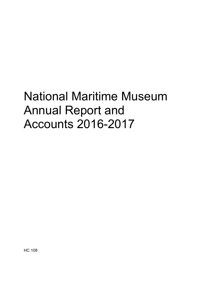# National Maritime Museum Annual Report and Accounts 2016-2017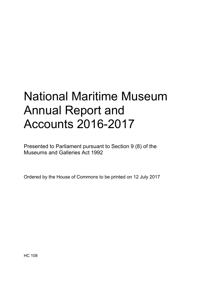# National Maritime Museum Annual Report and Accounts 2016-2017

Presented to Parliament pursuant to Section 9 (8) of the Museums and Galleries Act 1992

Ordered by the House of Commons to be printed on 12 July 2017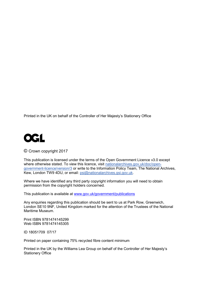Printed in the UK on behalf of the Controller of Her Majesty's Stationery Office



© Crown copyright 2017

This publication is licensed under the terms of the Open Government Licence v3.0 except where otherwise stated. To view this licence, visit [nationalarchives.gov.uk/doc/open](http://www.nationalarchives.gov.uk/doc/open-government-licence/version/3)[government-licence/version/3](http://www.nationalarchives.gov.uk/doc/open-government-licence/version/3) or write to the Information Policy Team, The National Archives, Kew, London TW9 4DU, or email: [psi@nationalarchives.gsi.gov.uk.](mailto:psi@nationalarchives.gsi.gov.uk)

Where we have identified any third party copyright information you will need to obtain permission from the copyright holders concerned.

This publication is available at [www.gov.uk/government/publications](http://www.gov.uk/government/publications)

Any enquiries regarding this publication should be sent to us at Park Row, Greenwich, London SE10 9NF, United Kingdom marked for the attention of the Trustees of the National Maritime Museum.

Print ISBN 9781474145299 Web ISBN 9781474145305

ID 18051709 07/17

Printed on paper containing 75% recycled fibre content minimum

Printed in the UK by the Williams Lea Group on behalf of the Controller of Her Majesty's Stationery Office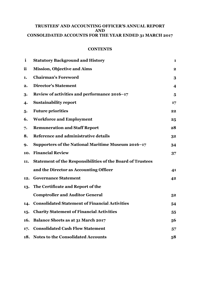# **TRUSTEES' AND ACCOUNTING OFFICER'S ANNUAL REPORT AND CONSOLIDATED ACCOUNTS FOR THE YEAR ENDED 31 MARCH 2017**

# **CONTENTS**

| $\mathbf{i}$     | <b>Statutory Background and History</b>                           | 1                       |
|------------------|-------------------------------------------------------------------|-------------------------|
| ii               | <b>Mission, Objective and Aims</b>                                | $\mathbf{2}$            |
| 1.               | <b>Chairman's Foreword</b>                                        | 3                       |
| 2.               | <b>Director's Statement</b>                                       | $\overline{\mathbf{4}}$ |
| 3.               | Review of activities and performance 2016-17                      | 5                       |
| $\boldsymbol{4}$ | <b>Sustainability report</b>                                      | 17                      |
| 5.               | <b>Future priorities</b>                                          | 22                      |
| 6.               | <b>Workforce and Employment</b>                                   | 25                      |
| 7.               | <b>Remuneration and Staff Report</b>                              | 28                      |
| 8.               | Reference and administrative details                              | 32                      |
| 9.               | Supporters of the National Maritime Museum 2016-17                | 34                      |
| 10.              | <b>Financial Review</b>                                           | 37                      |
| 11.              | <b>Statement of the Responsibilities of the Board of Trustees</b> |                         |
|                  | and the Director as Accounting Officer                            | 41                      |
| 12.              | <b>Governance Statement</b>                                       | 42                      |
| 13.              | The Certificate and Report of the                                 |                         |
|                  | <b>Comptroller and Auditor General</b>                            | 5 <sup>2</sup>          |
| 14.              | <b>Consolidated Statement of Financial Activities</b>             | 54                      |
| 15.              | <b>Charity Statement of Financial Activities</b>                  | 55                      |
| 16.              | <b>Balance Sheets as at 31 March 2017</b>                         | 56                      |
| 17.              | <b>Consolidated Cash Flow Statement</b>                           | 57                      |
| 18.              | <b>Notes to the Consolidated Accounts</b>                         | 58                      |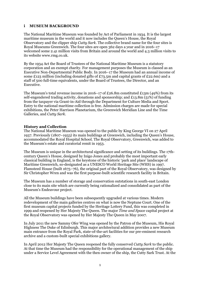## **i MUSEUM BACKGROUND**

The National Maritime Museum was founded by Act of Parliament in 1934. It is the largest maritime museum in the world and it now includes the Queen's House, the Royal Observatory and the clipper ship *Cutty Sark*. The collective brand name for the four sites is Royal Museums Greenwich. The four sites are open 362 days a year and in 2016–17 welcomed some 2.41 million visits from Britain and around the world and 4.3 million visits to its website www.rmg.co.uk.

By the 1934 Act the Board of Trustees of the National Maritime Museum is a statutory corporation and an exempt charity. For management purposes the Museum is classed as an Executive Non-Departmental Public Body. In 2016–17 the Museum had an annual income of some £123 million (including donated gifts of £73.5m and capital grants of £22.6m) and a staff of 500 full-time equivalents, under the Board of Trustees, the Director, and an Executive.

The Museum's total revenue income in 2016–17 of £26.8m constituted £13m (49%) from its self-engendered trading activity, donations and sponsorship; and £13.8m (51%) of funding from the taxpayer via Grant-in-Aid through the Department for Culture Media and Sport. Entry to the national maritime collection is free. Admission charges are made for special exhibitions, the Peter Harrison Planetarium, the Greenwich Meridian Line and the Time Galleries, and *Cutty Sark*.

# **History and Collection**

The National Maritime Museum was opened to the public by King George VI on 27 April 1937. Previously (1807–1933) its main buildings at Greenwich, including the Queen's House, accommodated the Royal Hospital School. The Royal Observatory, Greenwich, was added to the Museum's estate and curatorial remit in 1953.

The Museum is unique in the architectural significance and setting of its buildings. The 17thcentury Queen's House, designed by Inigo Jones and probably the most important early classical building in England, is the keystone of the historic 'park and place' landscape of Maritime Greenwich, so-designated as a UNESCO World Heritage Site (WHS) in 1997. Flamsteed House (built 1675–76), the original part of the Royal Observatory, was designed by Sir Christopher Wren and was the first purpose-built scientific research facility in Britain.

The Museum has a number of storage and conservation outstations in south-east London close to its main site which are currently being rationalized and consolidated as part of the Museum's Endeavour project.

All the Museum buildings have been subsequently upgraded at various times. Modern redevelopment of the main galleries centres on what is now the Neptune Court. One of the first museum capital projects funded by the Heritage Lottery Fund, this was completed in 1999 and reopened by Her Majesty The Queen. The major *Time and Space* capital project at the Royal Observatory was opened by Her Majesty The Queen in May 2007.

In July 2011 the new Sammy Ofer Wing was opened by the Patron of the Museum, His Royal Highness The Duke of Edinburgh. This major architectural addition provides a new Museum main entrance from the Royal Park, state-of-the-art facilities for our pre-eminent research archive and a custom-built special exhibitions gallery.

In April 2012 Her Majesty The Queen reopened the fully conserved *Cutty Sark* to the public. At that time the Museum had the responsibility for the operational management of the ship under a Service Level Agreement with the then owner of the ship, the Cutty Sark Trust. At the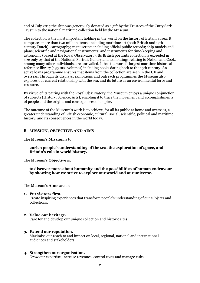end of July 2015 the ship was generously donated as a gift by the Trustees of the Cutty Sark Trust in to the national maritime collection held by the Museum.

The collection is the most important holding in the world on the history of Britain at sea. It comprises more than two million items, including maritime art (both British and 17thcentury Dutch); cartography; manuscripts including official public records; ship models and plans; scientific and navigational instruments; and instruments for time-keeping and astronomy (based at the Royal Observatory). Its British portraits collection is exceeded in size only by that of the National Portrait Gallery and its holdings relating to Nelson and Cook, among many other individuals, are unrivalled. It has the world's largest maritime historical reference library (135,000 volumes) including books dating back to the 15th century. An active loans programme ensures that items from the collection are seen in the UK and overseas. Through its displays, exhibitions and outreach programmes the Museum also explores our current relationship with the sea, and its future as an environmental force and resource.

By virtue of its pairing with the Royal Observatory, the Museum enjoys a unique conjunction of subjects (History, Science, Arts), enabling it to trace the movement and accomplishments of people and the origins and consequences of empire.

The outcome of the Museum's work is to achieve, for all its public at home and overseas, a greater understanding of British economic, cultural, social, scientific, political and maritime history, and its consequences in the world today.

## **ii MISSION, OBJECTIVE AND AIMS**

The Museum's **Mission** is to:

## **enrich people's understanding of the sea, the exploration of space, and Britain's role in world history.**

The Museum's **Objective** is:

**to discover more about humanity and the possibilities of human endeavour by showing how we strive to explore our world and our universe.** 

The Museum's **Aims** are to:

## **1. Put visitors first.**

Create inspiring experiences that transform people's understanding of our subjects and collections.

## **2. Value our heritage.**

Care for and develop our unique collection and historic sites.

## **3. Extend our reputation.**

Maximise our reach to and impact on local, regional, national and international audiences and stakeholders.

## **4. Strengthen our organisation.**

Grow our expertise, increase revenues, control costs and manage risks.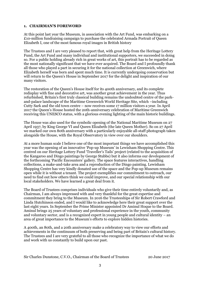## **1. CHAIRMAN'S FOREWORD**

At this point last year the Museum, in association with the Art Fund, was embarking on a £10-million fundraising campaign to purchase the celebrated Armada Portrait of Queen Elizabeth I, one of the most famous royal images in British history

The Trustees and I are very pleased to report that, with great help from the Heritage Lottery Fund, the Art Fund and many individual and institutional supporters, we succeeded in doing so. For a public holding already rich in great works of art, this portrait has to be regarded as the most nationally significant that we have ever acquired. The Board and I profoundly thank all those who played a part in securing it for the national collection at Greenwich, where Elizabeth herself was born and spent much time. It is currently undergoing conservation but will return to the Queen's House in September 2017 for the delight and inspiration of our many visitors.

The restoration of the Queen's House itself for its 400th anniversary, and its complete redisplay with fine and decorative art, was another great achievement in the year. Thus refurbished, Britain's first truly classical building remains the undoubted centre of the parkand-palace landscape of the Maritime Greenwich World Heritage Site, which –including Cutty Sark and the old town centre – now receives some 17 million visitors a year. In April 2017 the Queen's House hosted the 20th-anniversary celebration of Maritime Greenwich receiving this UNESCO status, with a glorious evening lighting of the main historic buildings.

The House was also used for the symbolic opening of the National Maritime Museum on 27 April 1937, by King George VI and Queen Elizabeth (the late Queen Mother). So on 27 April we marked our own 80th anniversary with a particularly enjoyable all-staff photograph taken alongside the House, with the Royal Observatory in view over our shoulders.

At a more human scale I believe one of the most important things we have accomplished this year was the opening of an innovative 'Pop-up Museum' in Lewisham Shopping Centre. This centred on our Heritage Lottery Fund 'Traveller's Tails' project (related to the acquisition of the Kangaroo and Dingo paintings by George Stubbs) but it also informs our development of the forthcoming 'Pacific Encounters' gallery. The space features interactives, handling collections, a make-and-take area and a reproduction of the Dingo painting. Lewisham Shopping Centre has very kindly donated use of the space and the Pop-up Museum remains open while it is without a tenant. The project exemplifies our commitment to outreach, our need to find out how others think we could improve, and our special relationship with our local stakeholders. We have learned a great deal from it.

The Board of Trustees comprises individuals who give their time entirely voluntarily and, as Chairman, I am always impressed with and very thankful for the great expertise and commitment they bring to the Museum. In 2016 the Trusteeships of Sir Robert Crawford and Linda Hutchinson ended, and I would like to acknowledge here their great support over the last eight years. In September the Prime Minister appointed Dr Aminul Hoque to the Board. Aminul brings 25 years of voluntary and professional experience in the youth, community and voluntary sector, and is a recognized expert in young people and cultural identity – an area of great importance to the Museum's efforts to explore hidden histories.

A 400th, an 80th, and a 20th anniversary make a celebratory way to view our efforts and achievements in the continuum of both preserving and being part of Britain's cultural history. The Trustees and I are very grateful to all those who recognize the importance of what we do and work with us constantly to build upon our past.

Sir Charles Dunstone, C.V.O., Chairman of the Board of Trustees 20 June 2017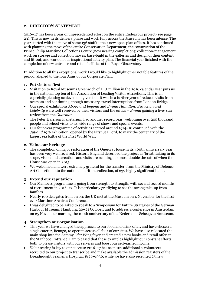# **2. DIRECTOR'S STATEMENT**

2016–17 has been a year of unprecedented effort on the entire Endeavour project (see page 23). This is now in its delivery phase and work fully across the Museum has been intense. The year started with the move of some 136 staff to their new open-plan offices. It has continued with planning the move of the entire Conservation Department; the construction of the Prince Philip Maritime Collections Centre (now nearing completion); collection-management work on storage and collection moves; base-build in the galleries and design of their content and fit-out; and work on our inspirational activity plan. The financial year finished with the completion of new entrance and retail facilities at the Royal Observatory.

In addition to all this exceptional work I would like to highlight other notable features of the period, aligned to the four Aims of our Corporate Plan:

## **1. Put visitors first**

- Visitation to Royal Museums Greenwich of 2.45 million in the 2016 calendar year puts us in the national top ten of the Association of Leading Visitor Attractions. This is an especially pleasing achievement given that it was in a further year of reduced visits from overseas and continuing, though necessary, travel interruptions from London Bridge.
- Our special exhibitions *Above and Beyond* and *Emma Hamilton: Seduction and Celebrity* were well received by their visitors and the critics – *Emma* gaining a five- star review from the *Guardian*.
- The Peter Harrison Planetarium had another record year, welcoming over 205 thousand people and school visits to its wide range of shows and special events.
- Our four-year programme of activities centred around 1914–18 continued with the *Jutland 1916* exhibition, opened by the First Sea Lord, to mark the centenary of the largest sea battle of the First World War.

## **2. Value our heritage**

- The completion of major restoration of the Queen's House in its 400th anniversary year has been very well received. Historic England described the project as 'breathtaking in its scope, vision and execution' and visits are running at almost double the rate of when the House was open in 2015.
- We welcomed and were extremely grateful for the transfer, from the Ministry of Defence Art Collection into the national maritime collection, of 239 highly significant items.

## **3. Extend our reputation**

- Our Members programme is going from strength to strength, with several record months of recruitment in 2016–17. It is particularly gratifying to see the strong take-up from families.
- Nearly 100 delegates from across the UK met at the Museum on 4 November for the firstever Maritime Archives Conference.
- I was delighted to be asked to speak to a Symposium for Future Strategies of the German Harbour Museum, Hamburg, 20–21 October, and to address a conference in Amsterdam on 25 November marking the 100th anniversary of the Nederlands Scheepvaartmuseum.

## **4. Strengthen our organisation**

- This year we have changed the approach to our food and drink offer, and have chosen a single caterer, Benugo, to operate across all four of our sites. We have also relocated the main shop into the Sammy Ofer Wing foyer and created a new books and retail offer at the Stanhope Entrance. I am pleased that these examples highlight our constant efforts both to please visitors with our services and boost our self-earned income.
- Volunteering is key to our success: 2016–17 has seen 102 additional e-volunteers recruited to our project to transcribe and make available the admission registers of the Dreadnought Seamen's Hospital, 1826–1930, while we have also recruited 25 new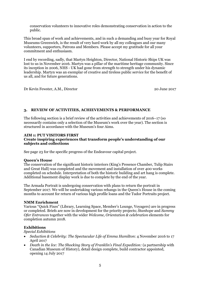conservation volunteers to innovative roles demonstrating conservation in action to the public.

This broad span of work and achievements, and in such a demanding and busy year for Royal Museums Greenwich, is the result of very hard work by all my colleagues and our many volunteers, supporters, Patrons and Members. Please accept my gratitude for all your commitment and enthusiasm.

I end by recording, sadly, that Martyn Heighton, Director, National Historic Ships UK was lost to us in November 2016. Martyn was a pillar of the maritime heritage community. Since its inception in 2006, NHS - UK had gone from strength to strength under his dynamic leadership. Martyn was an exemplar of creative and tireless public service for the benefit of us all, and for future generations.

Dr Kevin Fewster, A.M., Director 20 June 2017

# **3. REVIEW OF ACTIVITIES, ACHIEVEMENTS & PERFORMANCE**

The following section is a brief review of the activities and achievements of 2016–17 (so necessarily contains only a selection of the Museum's work over the year). The section is structured in accordance with the Museum's four Aims.

# **AIM 1: PUT VISITORS FIRST**

## **Create inspiring experiences that transform people's understanding of our subjects and collections**

See page 23 for the specific progress of the Endeavour capital project.

## **Queen's House**

The conservation of the significant historic interiors (King's Presence Chamber, Tulip Stairs and Great Hall) was completed and the movement and installation of over 400 works completed on schedule. Interpretation of both the historic building and art hang is complete. Additional basement display work is due to complete by the end of the year.

The Armada Portrait is undergoing conservation with plans to return the portrait in September 2017. We will be undertaking various rehangs in the Queen's House in the coming months to account for return of various high profile loans and the Tudor Portraits project.

## **NMM Enrichment**

Various "Quick Fixes" (Library, Learning Space, Member's Lounge, Voyagers) are in progress or completed. Briefs are now in development for the priority projects; *Stanhope* and *Sammy Ofer Entrances* together with the wider *Welcome, Orientation & celebration* elements for completion autumn 2018.

## **Exhibitions**

## *Special Exhibitions*

- *Seduction & Celebrity: The Spectacular Life of Emma Hamilton*: 4 November 2016 to 17 April 2017
- *Death in the Ice: The Shocking Story of Franklin's Final Expedition:* (a partnership with Canadian Museum of History), detail design complete, build contractor appointed, opening 14 July 2017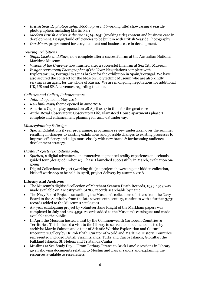- *British Seaside photography: 1960 to present* (working title) showcasing 4 seaside photographers including Martin Parr
- *Modern British Artists & the Sea: 1914–1951* (working title) content and business case in development. Design/build efficiencies to be built in with British Seaside Photography
- *Our Moon*, programmed for 2019 content and business case in development.

# *Touring Exhibitions*

- *Ships, Clocks and Stars*, now complete after a successful run at the Australian National Maritime Museum
- *Visions of the Universe* now finished after a successful final run at Sea City Museum
- *Insight Astronomy Photographer of the Year*: Negotiations complete with Exploratorium, Portugal to act as broker for the exhibition in Spain/Portugal. We have also secured the contract for the Moscow Polytechnic Museum who are also kindly serving as an agent for the whole of Russia. We are in ongoing negotiations for additional UK, US and SE Asia venues regarding the tour.

# *Galleries and Gallery Enhancements*

- *Jutland* opened in May 2016
- *Re-Think Navy* theme opened in June 2016
- America's Cup display opened on 28 April 2017 in time for the great race
- At the Royal Observatory: Observatory Life, Flamsteed House apartments phase 2 complete and enhancement planning for 2017-18 underway.

## *Masterplanning & Design*

• Special Exhibitions 5 year programme: programme review undertaken over the summer resulting in changes to existing exhibitions and possible changes to existing processes to improve efficiency and align more closely with new brand & forthcoming audience development strategy.

## *Digital Projects (exhibitions only)*

- *Spirited*, a digital adventure: an immersive augmented reality experience and schools guided tour (designed in-house). Phase 1 launched successfully in March, evaluation ongoing
- Digital Collections Project (working title): a project showcasing our hidden collection, kick off workshop to be held in April, project delivery by autumn 2018.

## **Library and Archives**

- The Museum's digitised collection of Merchant Seamen Death Records, 1939-1953 was made available on Ancestry with 61,786 records searchable by name
- The Navy Board Project transcribing the Museum's collections of letters from the Navy Board to the Admiralty from the late seventeenth century, continues with a further 3,731 records added to the Museum's catalogues
- A 3 year cataloguing project by volunteer Jane Knight of the Markham papers was completed in July and saw 4,950 records added to the Museum's catalogues and made available to the public
- In April the Museum hosted a visit by the Commonwealth Caribbean Countries & Territories. This included a visit to the Library to see related documents hosted by archivist Martin Salmon and a tour of Atlantic Worlds: Exploration and Cultural Encounters gallery by Dr Rob Blyth, Curator of World and Maritime History. Countries represented included British Virgin Islands, Turks and Caicos Islands, Gibraltar, the Falkland Islands, St. Helena and Tristan da Cunha
- Muslims at Sea Study Day 'From Barbary Pirates to Brick Lane' 2 sessions in Library given showing documents relating to Muslim and Lascar sailors and explaining the resources available to researchers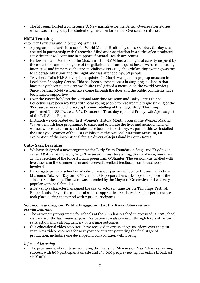• The Museum hosted a conference 'A New narrative for the British Overseas Territories' which was arranged by the student organisation for British Overseas Territories.

# **NMM Learning**

# *Informal Learning and Public programmes*

- A programme of activities ran for World Mental Health day on 10 October, the day was created in partnership with Greenwich Mind and was the first in a series of co-produced activities that will continue in support of Mental Health awareness
- Halloween Late: Mystery at the Museum the NMM hosted a night of activity inspired by the collections and making use of the galleries in a frantic quest for answers from leading interactive and immersive theatre specialists SPECIFIQ, the exhilarating evening was run to celebrate Museums and the night and was attended by 600 people
- Traveller's Tails HLF Activity Plan update In March we opened a pop-up museum in Lewisham Shopping Centre. This has been a great success in engaging audiences that have not yet been to our Greenwich site (and gained a mention on the World Service). Since opening 6,644 visitors have come through the door and the public comments have been hugely supportive
- Over the Easter holidays the National Maritime Museum and Daisy Farris Dance Collective have been working with local young people to research the tragic sinking of the SS *Princess Alice* and choreograph a new retelling of the tragic story. The group performed The SS *Princess Alice* Disaster on Thursday 13th and Friday 14th April as part of the [Tall Ships Regatta](http://www.visitgreenwich.org.uk/tallships/)
- In March we celebrated our first Women's History Month programme Women Making Waves a month long programme to share and celebrate the lives and achievements of women whose adventures and tales have been lost to history. As part of this we installed the Haenyeo: Women of the Sea exhibition at the National Maritime Museum, an exploration of the inspirational female divers of Jeju Island in South Korea.

# **Cutty Sark Learning**

- We have designed a new programme for Early Years Foundation Stage and Key Stage 1 called *All Aboard the Story Ship*. The session uses storytelling, drama, dance, music and art in a retelling of the Robert Burns poem Tam O'Shanter. The session was trialled with five classes in the summer term and received excellent feedback from the schools involved
- Heronsgate primary school in Woolwich was our partner school for the annual Kids in Museums Takeover Day on 18 November. Six preparation workshops took place at the school or at the ship. The event was attended by the Mayor of Greenwich and was very popular with local families
- A new ship's character has joined the cast of actors in time for the Tall Ships Festival. Emma Louise Ray is the mother of a ship's apprentice. 84 character actor performances took place during the period with 2,900 participants.

# **Science Learning and Public Engagement at the Royal Observatory**

# *Formal Learning*

- The astronomy programme for schools at the ROG has reached in excess of 41,000 school visitors over the last financial year. Evaluation reveals consistently high levels of visitor satisfaction and a strong delivery of learning outcomes
- Our educational video resources have received in excess of 67,000 views over the past year. New video resources for next year are currently entering the final stage of production, including one developed in collaboration with Boeing.

# *Informal Learning*

• The programme of events surrounding the Transit of Mercury on May 9th was a rousing success, with 800 participants on site and 136,000 people viewing our online broadcast via YouTube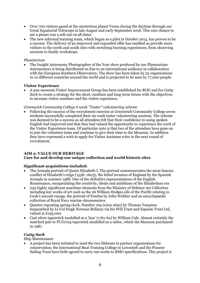- Over 700 visitors gazed at the mysterious planet Venus during the daytime through our Great Equatorial Telescope in late August and early September 2016. This rare chance to see a planet was a sell-out on all dates
- The new informal learning team, which began as a pilot in October 2015, has proven to be a success. The delivery of an improved and expanded offer has enabled us provide more visitors to the north and south sites with enriching learning experiences, from observing sessions to family workshops.

## *Planetarium*

• The Insight Astronomy Photographer of the Year show produced by our Planetarium Astronomers is being distributed on line to an international audience in collaboration with the European Southern Observatory. The show has been taken by 25 organisations in 10 different countries around the world and is projected to be seen by 77,000 people.

# **Visitor Experience**

• A pan-museum Visitor Improvement Group has been established for ROG and for *Cutty Sark* to create a strategy for the short, medium and long-term future with the objectives to increase visitor numbers and the visitor experience.

# *Greenwich Community College 6 week "Taster" volunteering scheme*

• Following the success of the recruitment exercise at Greenwich Community College seven students successfully completed their six week taster volunteering sessions. The scheme was deemed to be a success as all attendees felt that their confidence in using spoken English had improved and that they had valued the opportunity to experience the work of the Visitor Experience team. Of particular note is that two of the attendees have gone on to join the volunteer team and continue to give their time to the Museum. In addition they have expressed a wish to apply for Visitor Assistant roles in the next round of recruitment.

# **AIM 2: VALUE OUR HERITAGE**

# **Care for and develop our unique collection and world historic sites**

# **Significant acquisitions included:**

- The Armada portrait of Queen Elizabeth I. The portrait commemorates the most famous conflict of Elizabeth's reign (1558–1603), the failed invasion of England by the Spanish Armada in summer 1588. One of the definitive representations of the English Renaissance, encapsulating the creativity, ideals and ambitions of the Elizabethan era
- 239 highly significant maritime elements from the Ministry of Defence Art Collection including key works of art such as the 26 William Hodges oils of the Pacific relating to Cook's second voyage, the portrait of Poedua by John Webber and an encyclopaedic collection of Royal Navy marine chronometers
- Quarter repeating spring clock, Number 164 (circa 1690) by Thomas Tompion bequeathed by Lt-Col Hugh Norman Bellamy via his Will Trust and Equiom Trust Ltd, valued at £195,000
- Cast silver taperstick modelled as a 'lass' (1761-62) by William Cafe. Almost certainly the matched pair to PLT0724 taperstick modelled as a sailor, which the Museum purchased in 1987.

# *Cutty Sark*

# Ship Maintenance

• A project has been initiated to send the two lifeboats to partner organisations for conservation; the International Boat Training College in Lowestoft and the Pioneer Sailing Trust have both agreed to carry out works to RMG specifications. This project is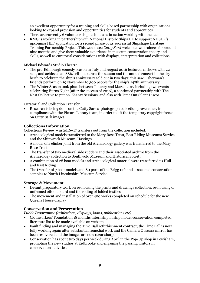an excellent opportunity for a training and skills-based partnership with organisations looking to expand provision and opportunities for students and apprentices

- There are currently 6 volunteer ship technicians in action working with the team
- RMG is working in partnership with National Historic Ships UK to support NHSUK's upcoming HLF application for a second phase of its successful Shipshape Heritage Training Partnership Project. This would see *Cutty Sark* welcome two trainees for around nine months and give them valuable experience in museum conservation theory and skills, as well as curatorial considerations with displays, interpretation and collections.

Michael Edwards Studio Theatre

- The pre-Edinburgh comedy season in July and August 2016 featured 11 shows with 22 acts, and achieved an 88% sell-out across the season and the annual concert in the dry berth to celebrate the ship's anniversary sold out in two days; this saw Fisherman's Friends perform on 19 November to 300 people for the ship's 147th anniversary
- The Winter Season took place between January and March 2017 including two events celebrating Burns Night (after the success of 2016), a continued partnership with The Nest Collective to put on 'Shanty Sessions' and also with Time Out Silent Discos.

Curatorial and Collection Transfer

• Research is being done on the Cutty Sark's photograph collection provenance, in compliance with the Picture Library team, in order to lift the temporary copyright freeze on Cutty Sark images.

## **Collections Information**

Collections Review – in 2016–17 transfers out from the collection included:

- Archaeological models transferred to the Mary Rose Trust, East Riding Museums Service and the Shipwreck Museum, Hastings
- A model of a clinker joint from the old Archaeology gallery was transferred to the Mary Rose Trust
- The transfer of two medieval side rudders and their associated archive from the Archaeology collection to Southwold Museum and Historical Society
- A combination of 28 boat models and Archaeological material were transferred t0 Hull and East Riding
- The transfer of 7 boat models and 80 parts of the Brigg raft and associated conservation samples to North Lincolnshire Museum Service.

## **Storage & Movement**

- Decant preparatory work on re-housing the prints and drawings collection, re-housing of unframed oils on board and the rolling of folded textiles
- The movement and installation of over 400 works completed on schedule for the new Queens House display

## **Conservation and Preservation**

*Public Programme (exhibitions, displays, loans, publications etc)*

- Clothworkers' Foundation 18 months internship in ship model conservation completed; literature list to be made available on website
- Fault finding and managing the Time Ball refurbishment contract; the Time Ball is now fully working again after substantial remedial work and the Camera Obscura mirror has been resilvered and the images are now razor sharp.
- Conservation has spent two days per week during April in the Pop-Up shop in Lewisham, promoting the new studios at Kidbrooke and engaging the passing visitors in conservation activities.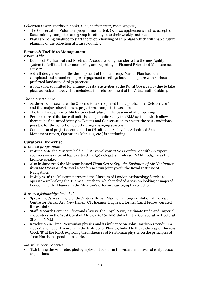## *Collections Care (condition needs, IPM, environment, rehousing etc)*

- The Conservation Volunteer programme started. Over 40 applications and 30 accepted. Base training completed and group is settling in to their weekly routines
- Plans are being finalised to start the pilot rehousing of ship plans which will enable future planning of the collection at Brass Foundry.

# **Estates & Facilities Management**

## *Estate Wide*

- Details of Mechanical and Electrical Assets are being transferred to the new Agility system to facilitate better monitoring and reporting of Planned Prioritised Maintenance activity
- A draft design brief for the development of the Landscape Master Plan has been completed and a number of pre-engagement meetings have taken place with various preferred landscape design practices
- Application submitted for a range of estate activities at the Royal Observatory due to take place as budget allows. This includes a full refurbishment of the Altazimuth Building.

## *The Queen's House*

- As described elsewhere, the Queen's House reopened to the public on 11 October 2016 and this major refurbishment project was complete to acclaim
- The final large phase of M&E works took place in the basement after opening
- Performance of the fan coil units is being monitored by the BMS system, which allows them to be fine-tuned jointly by Estates and Conservation to ensure the best conditions possible for the collection object during changing seasons
- Completion of project documentation (Health and Safety file, Scheduled Ancient Monument report, Operations Manuals, etc.) is continuing.

# **Curatorial Expertise**

## *Research programme*

- In June 2016 the Museum held a *First World War at Sea* Conference with 60 expert speakers on a range of topics attracting 130 delegates. Professor NAM Rodger was the keynote speaker
- Also in June 2016 the Museum hosted *From Sea to Sky: the Evolution of Air Navigation from the Ocean and Beyond* a conference run jointly with the Royal Institute of Navigation.
- In July 2016 the Museum partnered the Museum of London Archaeology Service to operate a walk along the Thames Foreshore which included a session looking at maps of London and the Thames in the Museum's extensive cartography collection.

## *Research fellowships included*

- Spreading Canvas: Eighteenth-Century British Marine Painting exhibition at the Yale Centre for British Art, New Haven, CT. Eleanor Hughes, a former Caird Fellow, curated the exhibition.
- Staff Research Seminar 'Beyond Slavery: the Royal Navy, legitimate trade and Imperial encounters on the West Coast of Africa, c.1820-1900' Julia Binter, Collaborative Doctoral Student NMM
- Revolution in Time: Newtonian physics and its influence on John Harrison's pendulum clocks', a joint conference with the Institute of Physics, linked to the re-display of Burgess Clock 'B' at the ROG, exploring the influences of Newtonian physics on the principles of John Harrison's pendulum clocks.

## *Maritime Lecture series:*

• 'Exhibiting the Antarctic: photography and colour in the visual narratives of early 1900s expeditions'.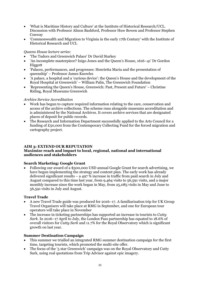- 'What is Maritime History and Culture' at the Institute of Historical Research/UCL. Discussion with Professor Alison Bashford, Professor Huw Bowen and Professor Stephen Conway
- 'Commonwealth and Migration to Virginia in the early 17th Century' with the Institute of Historical Research and UCL

# *Queens House lecture series:*

- 'The Tudors and Greenwich Palace' Dr David Starkey
- 'An incomplete masterpiece? Inigo Jones and the Queen's House, 1616–41' Dr Gordon Higgott
- 'Palaces, performances, and progresses: Henrietta Maria and the presentation of queenship' – Professor James Knowles
- 'A palace, a hospital and a 'curious device': the Queen's House and the development of the Royal Hospital at Greenwich' – William Palin, The Greenwich Foundation
- 'Representing the Queen's House, Greenwich: Past, Present and Future' Christine Riding, Royal Museums Greenwich

# *Archive Service Accreditation*

- Work has begun to capture required information relating to the care, conservation and access of the archive collections. The scheme runs alongside museums accreditation and is administered by the National Archives. It covers archive services that are designated places of deposit for public records.
- The Research and Information Department successfully applied to the Arts Council for a funding of £50,000 from the Contemporary Collecting Fund for the forced migration and cartography project.

# **AIM 3: EXTEND OUR REPUTATION**

# **Maximize reach and impact to local, regional, national and international audiences and stakeholders**

# **Search Marketing: Google Grant**

• Following our award of a \$500,000 USD annual Google Grant for search advertising, we have begun implementing the strategy and content plan. The early work has already delivered significant results – a  $497\%$  increase in traffic from paid search in July and August compared to this time last year, from 9,464 visits to 56,591 visits, and a major monthly increase since the work began in May, from 25,085 visits in May and June to 56,591 visits in July and August.

## **Travel Trade**

- A new Travel Trade guide was produced for 2016–17. A familiarisation trip for UK Group Travel Organisers will take place at RMG in September, and one for European tour operators will take place in November
- The increase in ticketing partnerships has supported an increase in tourists to *Cutty Sark.* In 2016–17 April to July, the London Pass partnership has equated to 18.6% of overall visitors for *Cutty Sark* and 11.7% for the Royal Observatory which is significant growth on last year.

## **Summer Destination Campaign**

- This summer we trialled an integrated RMG summer destination campaign for the first time, targeting tourists, which promoted the multi-site offer.
- The focus of the '5 star Greenwich' campaign was on the Royal Observatory and Cutty Sark, using real quotations from Trip Advisor against epic imagery.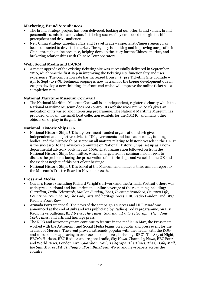# **Marketing, Brand & Audiences**

- The brand strategy project has been delivered, looking at our offer, brand values, brand personalities, mission and vision. It is being successfully embedded to begin to shift perceptions and drive audiences
- New China strategy targeting FITs and Travel Trade a specialist Chinese agency has been contracted to drive this market. The agency is auditing and improving our profile in China through online presence, helping develop the story for the Chinese market, and brokering relationships with Chinese Tour operators.

# **Web, Social Media and E-CRM**

• A major upgrade of the existing ticketing site was successfully delivered in September 2016, which was the first step in improving the ticketing site functionality and user experience. The completion rate has increased from 14% (pre Ticketing Site upgrade – Apr to Sept) to 17%. Technical scoping is now in train for the bigger development due in 2017 to develop a new ticketing site front-end which will improve the online ticket sales completion rate.

# **National Maritime Museum Cornwall**

• The National Maritime Museum Cornwall is an independent, registered charity which the National Maritime Museum does not control. Its website [www.nmmc.co.uk](http://www.nmmc.co.uk/) gives an indication of its varied and interesting programme. The National Maritime Museum has provided, on loan, the small boat collection exhibits for the NMMC, and many other objects on display in its galleries.

# **National Historic Ships UK**

- National Historic Ships UK is a government-funded organisation which gives independent and objective advice to UK governments and local authorities, funding bodies, and the historic ships sector on all matters relating to historic vessels in the UK. It is the successor to the advisory committee on National Historic Ships, set up as a nondepartmental advisory body in July 2006. That organisation followed on from the National Historic Ships Committee, which emerged from a seminar held in 1991 to discuss the problems facing the preservation of historic ships and vessels in the UK and the evident neglect of this part of our heritage
- National Historic Ships UK is based at the Museum and made its third annual report to the Museum's Trustee Board in November 2016.

## **Press and Media**

- Queen's House (including Richard Wright's artwork and the Armada Portrait): there was widespread national and local print and online coverage of the reopening including: *Guardian, Daily Telegraph, Mail on Sunday, The i, Evening Standard, Country Life, Country & Town house, The Lady*, arts and heritage press, BBC Radio London, and BBC Radio 4 Front Row
- Armada Portrait appeal: The news of the campaign's success and HLF award was announced at the end of July and was publicised by Radio 4 Today programme, on BBC Radio news bulletins, BBC News, *The Times*, *Guardian*, *Daily Telegraph*, *The i*, *New York Times*, and arts and heritage press
- The ROG and astronomy team continue to feature in the media: in May, the Press team worked with the Astronomy and Social Media teams on a public and press event for the Transit of Mercury. The event proved extremely popular with the media, with the ROG and astronomers appearing in over 200 media pieces, including: BBC's The Sky at Night, BBC2's Horizon, BBC Radio 4 and regional radio, Sky News, Channel 5 News, BBC Four and World News, London Live, *Guardian, Daily Telegraph, The Times, The i, Daily Mail, the Sun, Mirror, PA, Huffington Post, BuzzFeed, Wired* and newspapers across the country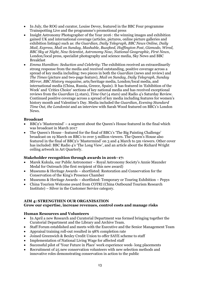- In July, the ROG and curator, Louise Devoy, featured in the BBC Four programme Trainspotting Live and the programme's promotional press
- Insight Astronomy Photographer of the Year 2016 : the winning images and exhibition gained UK and international coverage (articles, pictures, online picture galleries and exhibition listings) such as: *the Guardian, Daily Telegraph, BBC News Online, Daily Mail, Express, Mail on Sunday, Mashable, Buzzfeed, Huffington Post*, *Gizmodo, Wired, BBC Sky at Night, New Scientist, Astronomy Now, National Geographic, First News*, London/local press, specialist photography and science media, Sky News and BBC Breakfast
- *Emma Hamilton: Seduction and Celebrity*: The exhibition received an extraordinarily strong response from the media and received outstanding, positive coverage across a spread of key media including: two pieces in both the *Guardian* (news and review) and *The Times* (picture and two-page feature), *Mail on Sunday, Daily Telegraph, Sunday Mirror, BBC History magazine*, arts/heritage media, London/local media, and international media (China, Russia, Greece, Spain). It has featured in 'Exhibition of the Week' and 'Critics Choice' sections of key national media and has received exceptional reviews from the *Guardian* (5 stars), *Time Out* (4 stars) and Radio 4's Saturday Review. Continued positive coverage across a spread of key media including features for women's history month and Valentine's Day. Media included the *Guardian*, *Evening Standard Time Out, the Londonist* and an interview with Sarah Wood featured on BBC1's London News.

## **Broadcast**

- BBC2's 'Mastermind' a segment about the Queen's House featured in the final which was broadcast in March 2017
- The Queen's House featured for the final of BBC1's 'The Big Painting Challenge' broadcast on 19 March on BBC1 to over 5 million viewers. The Queen's House also featured in the final of BBC2's 'Mastermind' on 3 and 4 March to 5m viewers. Other cover has included: BBC Radio 4's 'The Long View', and an article about the Richard Wright ceiling artwork in Art Quarterly.

# **Stakeholder recognition through awards in 2016–17:**

- Marek Kukula, our Public Astronomer Royal Astronomy Society's Annie Maunder Medal for Outreach (the first recipient of this new award)
- Museums & Heritage Awards shortlisted: Restoration and Conservation for the Conservation of the King's Presence Chamber
- Museums & Heritage Awards shortlisted: Temporary or Touring Exhibition Pepys
- China Tourism Welcome award from COTRI (China Outbound Tourism Research Institute) – Silver in the Customer Service category.

# **AIM 4: STRENGTHEN OUR ORGANISATION**

## **Grow our expertise, increase revenues, control costs and manage risks**

# **Human Resources and Volunteers**

- In April a new Research and Curatorial Department was formed bringing together the Curatorial Department and the Library and Archive Team.
- Staff Forum established and meets with the Executive and the Senior Management Team
- Appraisal training roll-out resulted in 98% completion rate
- Joined Greenwich & Bexley Credit Union to offer SAYE scheme to staff
- Implementation of National Living Wage for affected staff
- Successful pilot of 'Your Future in Place' work experience week- long placements
- Recruitment of 25 new conservation volunteers with new selection methods and innovative roles demonstrating conservation in action to the public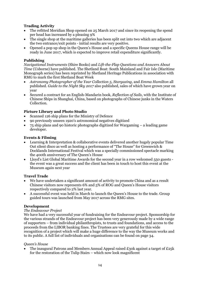# **Trading Activity**

- The refitted Meridian Shop opened on 25 March 2017 and since its reopening the spend per head has increased by a pleasing 9%
- The single shop at the maritime galleries has been split out into two which are adjacent the two entrance/exit points - initial results are very positive.
- Opened a pop up shop in the Queen's House and a specific Queens House range will be ready in June 2017, which is expected to improve retail expenditure significantly.

## **Publishing**

*Navigational Instruments* (Shire Books) and *Lift-the-Flap Questions and Answers About Time* (Usborne) have published. The Shetland Boat: South Mainland and Fair Isle (Maritime Monograph series) has been reprinted by Shetland Heritage Publications in association with RMG to mark the first Shetland Boat Week

- *Astronomy Photographer of the Year Collection 5*, *Stargazing,* and *Emma Hamilton* all published. *Guide to the Night Sky 2017* also published, sales of which have grown year on year
- Secured a contract for an English-Mandarin book, *Reflection of Sails*, with the Institute of Chinese Ships in Shanghai, China, based on photographs of Chinese junks in the Waters Collection.

# **Picture Library and Photo Studio**

- Scanned 126 ship plans for the Ministry of Defence
- 90 previously unseen 1920's astronomical negatives digitized
- 75 ship plans and 90 historic photographs digitized for Wargaming a leading game developer.

# **Events & Filming**

- Learning & Interpretation & collaborative events delivered another hugely popular Time Out silent disco as well as hosting a performance of "The House" for Greenwich & Docklands International Festival which was a specially commissioned spectacle marking the 400th anniversary of The Queen's House
- Lloyd's List Global Maritime Awards for the second year in a row welcomed 550 guests the event was a great success and the client has been in touch to host this event at the Museum again next year

## **Travel Trade**

- We have undertaken a significant amount of activity to promote China and as a result Chinese visitors now represents 6% and 5% of ROG and Queen's House visitors respectively compared to 2% last year.
- A successful event was held in March to launch the Queen's House to the trade. Group guided tours was launched from May 2017 across the RMG sites.

## **Development**

## *The Endeavour Project*

We have had a very successful year of fundraising for the Endeavour project. Sponsorship for the various strands of the Endeavour project has been very generously made by a wide range of supporters – from individual philanthropists, to trusts and foundations, and access to the proceeds from the LIBOR banking fines. The Trustees are very grateful for this wide recognition of a project which will make a huge difference to the way the Museum works and to its public. A full list of individuals and organisations can be found on page 34.

## *Queen's House*

The inaugural Patrons and Members Annual Appeal raised £30k against a target of £25k for the restoration of the Tulip Stairs – which now look magnificent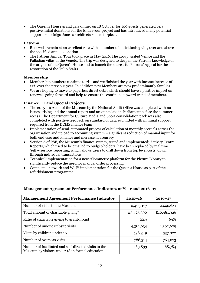• The Queen's House grand gala dinner on 18 October for 100 guests generated very positive initial donations for the Endeavour project and has introduced many potential supporters to Inigo Jones's architectural masterpiece.

# **Patrons**

- Renewals remain at an excellent rate with a number of individuals giving over and above the specified annual donation
- The Patrons Annual Tour took place in May 2016. The group visited Venice and the Palladian villas of the Veneto. The trip was designed to deepen the Patrons knowledge of the origins of the Queen's House and to launch the successful Patrons' Appeal for the restoration of the Tulip Stairs.

# **Membership**

- Membership numbers continue to rise and we finished the year with income increase of 17% over the previous year. In addition new Members are now predominantly families
- We are hoping to move to paperless direct debit which should have a positive impact on renewals going forward and help to ensure the continued upward trend of members.

# **Finance, IT and Special Projects**

- The 2015–16 Audit of the Museum by the National Audit Office was completed with no issues arising and the annual report and accounts laid in Parliament before the summer recess. The Department for Culture Media and Sport consolidation pack was also completed with positive feedback on standard of data submitted with minimal support required from the DCMS finance team
- Implementation of semi-automated process of calculation of monthly accruals across the organisation and upload to accounting system – significant reduction of manual input for both end user and Finance and increase in accuracy
- Version 6 of PSF, the Museum's finance system, tested and implemented; Activity Centre Reports, which used to be emailed to budget-holders, have been replaced by real time 'self – service' reporting, which allows users to drill down from top level costs, down through individual transactions
- Technical implementation for a new eCommerce platform for the Picture Library to significantly reduce the need for manual order processing
- Completed network and Wi-Fi implementation for the Queen's House as part of the refurbishment programme.

| <b>Management Agreement Performance Indicator</b>                                                        | $2015 - 16$ | $2016 - 17$ |
|----------------------------------------------------------------------------------------------------------|-------------|-------------|
| Number of visits to the Museum                                                                           | 2,403,177   | 2,440,681   |
| Total amount of charitable giving*                                                                       | £3,425,390  | £10,981,926 |
| Ratio of charitable giving to grant-in-aid                                                               | 22%         | 69%         |
| Number of unique website visits                                                                          | 4,361,634   | 4,302,629   |
| Visits by children under 16                                                                              | 538,349     | 537,022     |
| Number of overseas visits                                                                                | 786,314     | 764,073     |
| Number of facilitated and self-directed visits to the<br>Museum by visitors under 18 in formal education | 163,833     | 168,784     |

# **Management Agreement Performance Indicators at Year end 2016–17**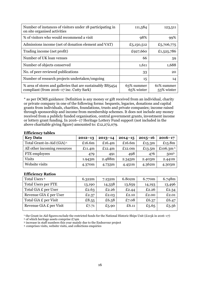| Number of instances of visitors under 18 participating in<br>on site organised activities              | 111,584                  | 123,511                  |
|--------------------------------------------------------------------------------------------------------|--------------------------|--------------------------|
| % of visitors who would recommend a visit                                                              | 98%                      | 99%                      |
| Admissions income (net of donation element and VAT)                                                    | £5,150,512               | £5,706,775               |
| Trading income (net profit)                                                                            | £927,660                 | £1,525,786               |
| Number of UK loan venues                                                                               | 66                       | 59                       |
| Number of objects conserved                                                                            | 1,611                    | 1,688                    |
| No. of peer-reviewed publications                                                                      | 33                       | 20                       |
| Number of research projects undertaken/ongoing                                                         | 15                       | 14                       |
| % area of stores and galleries that are sustainably BS5454<br>compliant (from 2016–17 inc. Cutty Sark) | 63% summer<br>65% winter | 61% summer<br>53% winter |

\* as per DCMS guidance: Definition is any money or gift received from an individual, charity or private company in one of the following forms: bequests, legacies, donations and capital grants from individuals, charities, foundations, trusts and private companies; income raised through sponsorship and income from membership schemes. It does not include any money received from a publicly funded organisation, central government grants, investment income or lottery grant funding. In 2016–17 Heritage Lottery Fund support (not included in the above charitable giving figure) amounted to: £12,272,079.

#### **Efficiency tables**

| <b>Key Data</b>                        | $2012 - 13$ | $2013 - 14$ | $2014 - 15$ | $2015 - 16$ | $2016 - 17$           |
|----------------------------------------|-------------|-------------|-------------|-------------|-----------------------|
| Total Grant-in-Aid (GiA) <sup>1.</sup> | £16.6m      | £16.4 $m$   | £16.6m      | £15.3 $m$   | £15.8m                |
| All other incoming resources           | £11.4 $m$   | £12.4 $m$   | £12.0m      | £13.5 $m$   | £106.3m <sup>2.</sup> |
| FTE employees                          | 479         | 491         | 498         | 476         | 5003                  |
| <b>Visits</b>                          | 1.943m      | 2.488m      | 2.343m      | 2.403m      | 2.441m                |
| Website visits                         | 4.370m      | 4.733m      | 4.451m      | 4.362m      | 4.303m                |

## **Efficiency Ratios**

| Total Users <sup>4</sup>   | 6.322m | 7.232m | 6.802m | 6.770m | 6.748m |
|----------------------------|--------|--------|--------|--------|--------|
| <b>Total Users per FTE</b> | 13,190 | 14,338 | 13,659 | 14,193 | 13,496 |
| Total GiA £ per User       | £2.63  | £2.26  | £2.44  | £2.26  | £2.34  |
| Revenue GIA £ per User     | £2.37  | £2.03  | £2.10  | £2.00  | £2.01  |
| Total GiA £ per Visit      | £8.55  | £6.58  | £7.08  | £6.37  | £6.47  |
| Revenue GiA £ per Visit    | £7.71  | £5.90  | £6.11  | £5.65  | £5.56  |

<sup>1</sup> the Grant-in-Aid figures exclude the restricted funds for the National Historic Ships Unit (£215k in 2016–17)

2. of which heritage assets comprise £74m

3. increase in staff numbers this year mainly due to the Endeavour project

4. comprises visits, website visits, and collections enquiries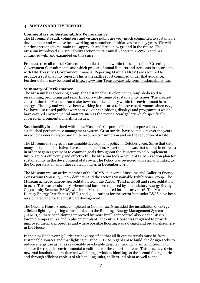## **4. SUSTAINABILITY REPORT**

## **Commentary on Sustainability Performance**

The Museum, its staff, volunteers and visiting public are very much committed to sustainable development and we have been working on a number of initiatives for many years. We will continue striving to maintain this approach and break new ground in the future. The Museum introduced a Sustainability section in its Annual Report in 2007-08 and has continued with and expanded on this since.

From 2011–12 all central Government bodies that fall within the scope of the 'Greening Government Commitments' and which produce Annual Reports and Accounts in accordance with HM Treasury's Government Financial Reporting Manual (FReM) are required to produce a sustainability report. This is the sixth report compiled under that guidance. Further details may be found at [http://www.hm-Treasury.gov.uk/frem\\_sustainability.htm](http://www.hm-treasury.gov.uk/frem_sustainability.htm)

## **Summary of Performance**

The Museum has a working group, the Sustainable Development Group, dedicated to researching, promoting and reporting on a wide range of sustainability issues. The greatest contribution the Museum can make towards sustainability within the environment is in energy efficiency and we have been working in this area to improve performance since 1995. We have also raised public awareness via our exhibitions, displays and programmes which have covered environmental matters such as the 'Your Ocean' gallery which specifically covered environmental maritime issues.

Sustainability is enshrined within the Museum's Corporate Plan and reported on via an established performance management system. Great strides have been taken over the years in reducing energy, water and finite resource consumption and on the reduction of waste.

The Museum first agreed a sustainable development policy in October 2006. Since that date many sustainable initiatives have come to fruition. An action plan was first set out in 2009-10 in order to gain agreement to common goals throughout the Museum to help implement future actions efficiently and effectively. The Museum took account of DCMS's action plan for sustainability in the development of its own. The Policy was reviewed, updated and linked to the Corporate Plan and other related policies in December 2015.

The Museum was an active member of the DCMS sponsored Museums and Galleries Energy Consortium (MAGEC) – now defunct - and the sector's Sustainable Exhibitions Group. The Museum achieved Energy Accreditation from the Carbon Trust in 2008 and reaccreditation in 2011. This was a voluntary scheme and has been replaced by a mandatory Energy Savings Opportunity Scheme (ESOS) which the Museum entered into in early 2016. The Museum's Display Energy Certificates (DECs) had good ratings for the sector but under ESOS have been recalculated and for the most part downgraded.

The Queen's House Project completed in October 2016 included the installation of energy efficient lighting, lighting control linked to the Buildings Energy Management System (BEMS), climate conditioning improved by more intelligent control also via the BEMS, lowered temperatures and replacement plant. The entire House was re-glazed to provide improved thermal properties and where possible flooring was salvaged and re-laid elsewhere in the House.

In the new Endeavour galleries we have specified that all fit out materials must be from sustainable sources and that lighting must be LED. As regards base build, the design seeks to reduce energy use as far as reasonably practicable despite introducing air conditioning to achieve the requisite environmental conditions for the collection items. This is achieved via new roof insulation, new thermal wall linings, window blocking on the second floor galleries and through efficient choices of air handling units, chillers and plant as well as the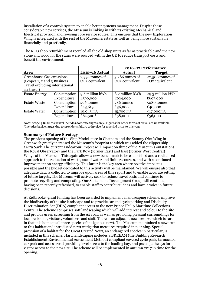installation of a controls system to enable better systems management. Despite these considerable new services, the Museum is linking in with its existing Mechanical and Electrical provision and re-using core service routes. This ensures that the new Exploration Wing is integrated with the rest of the Museum's estate as well as being more sustainable financially and practically.

The ROG shop refurbishment recycled all the old shop units as far as practicable and the new stone and wood for the stairs were sourced within the UK to reduce transport costs and benefit the environment.

|                                |             |                            | 2016-17 Performance        |                            |  |
|--------------------------------|-------------|----------------------------|----------------------------|----------------------------|--|
| <b>Area</b>                    |             | $2015 - 16$ Actual         | <b>Actual</b>              | <b>Target</b>              |  |
| Greenhouse Gas emissions       |             | 2,994 tonnes of            | $3,286$ tonnes of          | $2,500$ tonnes of          |  |
| (Scopes 1, 2 and 3 Business    |             | CO <sub>2</sub> equivalent | CO <sub>2</sub> equivalent | CO <sub>2</sub> equivalent |  |
| Travel excluding international |             |                            |                            |                            |  |
| air travel)                    |             |                            |                            |                            |  |
| <b>Estate Energy</b>           | Consumption | 9.6 million kWh            | 8.2 million kWh            | <9.3 million kWh           |  |
|                                | Expenditure | £596,000                   | £624,000                   | £607,000                   |  |
| <b>Estate Waste</b>            | Consumption | 296 tonnes                 | 286 tonnes                 | <280 tonnes                |  |
|                                | Expenditure | £43,619                    | £36,000                    | £40,000                    |  |
| <b>Estate Water</b>            | Consumption | 10,045 m3                  | 15,700 m3                  | $<$ 17,000m3               |  |
|                                | Expenditure | £64,500 $*$                | £58,000                    | £56,000                    |  |

Note: Scope 3 Business Travel includes domestic flights only. Figures for other forms of travel are unavailable. **\***Includes back charges due to provider's failure to invoice for a period prior to this year

## **Summary of Future Strategy**

The previous opening of the Ship Model store in Chatham and the Sammy Ofer Wing in Greenwich greatly increased the Museum's footprint to which was added the clipper ship *Cutty Sark*. The current Endeavour Project will impact on three of the Museum's outstations, the Royal Observatory and the Park Row (former East) and East (former West Central) Wings of the Museum. This again allows a new benchmark to be established and a revitalised approach to the reduction of waste, use of water and finite resources, and with a continued improvement on energy efficiency. This latter is the key area where positive impact is possible and the budget dedicated to this activity will be maintained. We will ensure also that adequate data is collected to improve upon areas of this report and to enable accurate setting of future targets. The Museum will actively seek to reduce travel costs and continue to promote recycling and composting. Our Sustainable Development Group will continue, having been recently refreshed, to enable staff to contribute ideas and have a voice in future decisions.

At Kidbrooke, grant funding has been awarded to implement a landscaping scheme, improve the biodiversity of the site landscape and to provide car and cycle parking and Disability Discrimination Act (DDA) compliant access to the new Prince Philip Maritime Collections Centre. The scheme comprises soft landscaping which will add interest and colour to the site and provide green screening from the A2 road as well as providing pleasant surroundings for local residents, visitors, volunteers and staff. There is an adjacent newt reserve which is rare in that it is home to all three species of indigenous newt. The Museum maintained a newt run to this habitat and introduced newt mitigation measures required in planning. Special provision of a habitat for the Great Crested Newt, an endangered species in particular, is included in this scheme. Hard landscaping includes a BREEAM (the Building Research Establishment Environmental Assessment Method) compliant covered cycle park, tarmacked car park and access road providing level access to the loading bay, and paved pathways for visitor access to the new site. The scheme will be implemented in autumn 2017 in time for the opening.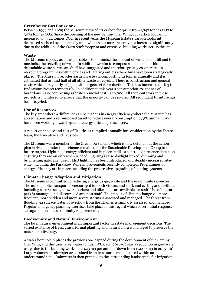## **Greenhouse Gas Emissions**

Between 1999 and 2009 the Museum reduced its carbon footprint from 3842 tonnes CO2 to 3072 tonnes CO2. Since the opening of the new Sammy Ofer Wing our carbon footprint increased to 3422 tonnes CO2. In recent years the Museum Estate's carbon footprint decreased assisted by abnormally mild winters but more recently has increased significantly due to the addition of the *Cutty Sark* footprint and extensive building works across the site.

## **Waste**

The Museum's policy as far as possible is to minimise the amount of waste to landfill and to maximise the recycling of waste. In addition we aim to compost as much of our biodegradable waste as we can. Staff have suggested and therefore greatly co-operated in recycling programmes within offices and catering outlets where bins have been strategically placed. The Museum recycles garden waste via composting 12 tonnes annually and it is estimated that around half of all other waste is recycled. There is construction and general waste which is regularly skipped with targets set for reduction. This has increased during the Endeavour Project temporarily. In addition to this year's consumption, 20 tonnes of hazardous waste comprising asbestos removal cost £329,000. All strip-out work in these projects is monitored to ensure that the majority can be recycled. All redundant furniture has been recycled.

## **Use of Resources**

The key area where a difference can be made is in energy efficiency where the Museum has accreditation and a self-imposed target to reduce energy consumption by 5% annually.We have been working towards greater energy efficiency since 1995.

A report on the use and cost of Utilities is compiled annually for consideration by the Estates team, the Executive and Trustees.

The Museum was a member of the Green500 scheme which is now defunct but the action plan arrived at under that scheme remained for the Sustainable Development Group to set future targets. Lighting is energy efficient and in places utilises controlled presence detection ensuring they are on only when needed. Lighting is also daylight linked, dimming and brightening naturally. Use of LED lighting has been introduced and steadily increased sitewide, including the Park Row Wing improvements recently completed. Programmes of energy efficiency are in place including the progressive upgrading of lighting systems.

## **Climate Change Adaption and Mitigation**

The Museum is committed to reducing energy usage, waste and the use of finite resources. The use of public transport is encouraged for both visitors and staff, and cycling and facilities including secure racks, showers, lockers and bike loans are available for staff. Use of the car park is managed and discouraged amongst staff. The impact of climate change via more frequent, more sudden and more severe storms is assessed and managed. The threat from flooding via surface water or overflow from the Thames is similarly assessed and managed. Regular emergency planning exercises take place in this regard which cover initial response, salvage and business continuity requirements.

## **Biodiversity and Natural Environment**

The local natural environment is an important factor in estate management decisions. The varied existence of trees, grass, formal planting and natural flora is managed to preserve the natural biodiversity.

A water borehole replaces the previous one capped during the development of the Sammy Ofer Wing and this uses 'grey' water to flush WCs, etc. 2016–17 saw a reduction in grey water usage due to the building works to 9,423 m3 per annum (down from 11,000 m3 in 2015–16). Large volumes of rainwater are drained from hard surfaces and stored within an underground tank. Rainwater is then pumped to the surrounding landscaping for irrigation.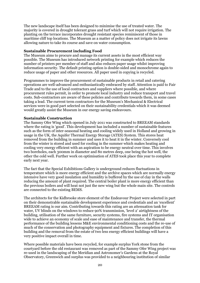The new landscape itself has been designed to minimise the use of treated water. The majority is covered in drought tolerant grass and turf which will not require irrigation. The planting on the terrace incorporates drought resistant species reminiscent of those in maritime cliff top locations. The Museum as a matter of policy does not irrigate its lawns allowing nature to take its course and save on water consumption.

## **Sustainable Procurement including Food**

The Museum aims to procure and manage its current assets in the most efficient way possible. The Museum has introduced network printing for example which reduces the number of printers per member of staff and also reduces paper usage whilst improving information security. The default printing option is double-sided and monochrome again to reduce usage of paper and other resources. All paper used in copying is recycled.

Programmes to improve the procurement of sustainable products in retail and catering operations are well-advanced and enthusiastically embraced by staff. Attention is paid to Fair Trade and to the use of local contractors and suppliers where possible, and where procurement rules permit, in order to promote local industry and reduce transport and travel costs. Sub-contractors are aware of these policies and contribute towards them, in some cases taking a lead. The current term contractors for the Museum's Mechanical & Electrical services were in good part selected on their sustainability credentials which it was deemed would greatly assist the Museum in our energy saving endeavours.

## **Sustainable Construction**

The Sammy Ofer Wing which opened in July 2011 was constructed to BREEAM standards where the rating is 'good'. This development has included a number of sustainable features such as the form of inter-seasonal heating and cooling widely used in Holland and growing in usage in the UK, the Aquifer Thermal Energy Storage (ATES) System. This stores heat removed from the building in summer and uses it to heat it in the winter. Conversely cool from the winter is stored and used for cooling in the summer which makes heating and cooling very energy efficient with an aspiration to be energy neutral over time. This involves two boreholes, each 300mm in diameter and 80 metres deep, one being the hot well, the other the cold well. Further work on optimisation of ATES took place this year to complete early next year.

The fact that the Special Exhibitions Gallery is underground reduces fluctuations in temperature which is more energy efficient and the archive spaces which are normally energy intensive have very good insulation and humidity is buffered by the use of clay in the walls reducing the amount of plant required. The central boiler plant is more energy efficient than the previous boilers and will heat not just the new wing but the whole main site. The controls are connected to the existing BEMS.

The architects for the Kidbrooke store element of the Endeavour Project were selected in part on their demonstrable sustainable development experience and credentials and an 'excellent' BREEAM rating is our aim. Contributing towards this rating are an attenuation tank for water, UV blinds on the windows to reduce 90% transmission, 'level 2' airtightness of the building, utilisation of the same furniture, security systems, fire systems and IT organisation wide to achieve an economy of scale and ease of maintenance and transfer, the thermal performance of the building lessens M&E environmental conditioning costs and the re-use of much of the conservation and photography equipment and fixtures. The completion of this building and the removal from the estate of two less energy efficient buildings will have a very positive impact overall in time.

Where possible materials have been recycled, for example surplus York stone from the courtyard before the old restaurant was removed as part of the Sammy Ofer Wing project was re-used in the landscaping of the Meridian and Astronomer's Gardens at the Royal Observatory, Greenwich and surplus was provided to a neighbouring institution of similar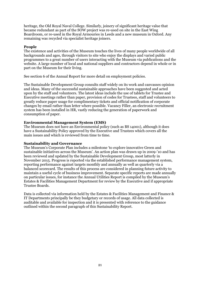heritage, the Old Royal Naval College. Similarly, joinery of significant heritage value that became redundant as part of the SOW project was re-used on site in the East Wing Boardroom, or re-used in the Royal Armouries in Leeds and a new museum in Oxford. Any remaining was recycled via specialist heritage joiners.

## **People**

The existence and activities of the Museum touches the lives of many people worldwide of all backgrounds and ages, through visitors to site who enjoy the displays and varied public programmes to a great number of users interacting with the Museum via publications and the website. A large number of local and national suppliers and contractors depend in whole or in part on the Museum for their living.

See section 6 of the Annual Report for more detail on employment policies.

The Sustainable Development Group consults staff widely on its work and canvasses opinion and ideas. Many of the successful sustainable approaches have been suggested and acted upon by the staff and volunteers. The latest ideas include the use of tablets for Trustee and Executive meetings rather than paper, provision of codes for Trustees, staff and volunteers to greatly reduce paper usage for complimentary tickets and official notification of corporate changes by email rather than letter where possible. Vacancy Filler, an electronic recruitment system has been installed in HR, vastly reducing the generation of paperwork and consumption of paper.

# **Environmental Management System (EMS)**

The Museum does not have an Environmental policy (such as BS 14001), although it does have a Sustainability Policy approved by the Executive and Trustees which covers all the main issues and which is reviewed from time to time.

## **Sustainability and Governance**

The Museum's Corporate Plan includes a milestone 'to explore innovative Green and sustainable initiatives across the Museum'. An action plan was drawn up in 2009-'10 and has been reviewed and updated by the Sustainable Development Group, most latterly in November 2015. Progress is reported via the established performance management system, reporting performance against targets monthly and annually as well as quarterly via a balanced scorecard. The results of this process are considered in planning future activity to maintain a useful cycle of business improvement. Separate specific reports are made annually on particular issues, for instance the Annual Utilities Report is compiled by the Museum's Estates & Facilities Management Department for review by the Executive and if appropriate Trustee Boards.

Data is collected via information held by the Estates & Facilities Management and Finance & IT Departments principally be they budgetary or records of usage. All data collected is auditable and available for inspection and it is presented with reference to the guidance outlined within the second paragraph of this Sustainability Report.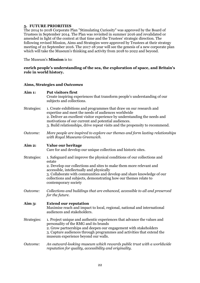# **5. FUTURE PRIORITIES**

The 2014 to 2018 Corporate Plan "Stimulating Curiosity" was approved by the Board of Trustees in September 2014. The Plan was revisited in summer 2016 and revalidated or amended in light of the context at that time and the Trustees' strategic direction. The following revised Mission, Aims and Strategies were approved by Trustees at their strategy meeting of 22 September 2016. The 2017-18 year will see the genesis of a new corporate plan which will take the Museum's thinking and activity from 2018 to 2022 and beyond.

The Museum's **Mission** is to:

## **enrich people's understanding of the sea, the exploration of space, and Britain's role in world history.**

## **Aims, Strategies and** *Outcomes*

| <b>Aim 1:</b> | Put visitors first<br>Create inspiring experiences that transform people's understanding of our<br>subjects and collections.                                                                                                                                                                                                                                                |
|---------------|-----------------------------------------------------------------------------------------------------------------------------------------------------------------------------------------------------------------------------------------------------------------------------------------------------------------------------------------------------------------------------|
| Strategies:   | 1. Create exhibitions and programmes that draw on our research and<br>expertise and meet the needs of audiences worldwide<br>2. Deliver an excellent visitor experience by understanding the needs and<br>motivations of our current and potential audiences.<br>3. Build relationships, drive repeat visits and the propensity to recommend.                               |
| Outcome:      | More people are inspired to explore our themes and form lasting relationships<br>with Royal Museums Greenwich.                                                                                                                                                                                                                                                              |
| Aim 2:        | Value our heritage<br>Care for and develop our unique collection and historic sites.                                                                                                                                                                                                                                                                                        |
| Strategies:   | 1. Safeguard and improve the physical conditions of our collections and<br>estate<br>2. Develop our collections and sites to make them more relevant and<br>accessible, intellectually and physically<br>3. Collaborate with communities and develop and share knowledge of our<br>collections and subjects, demonstrating how our themes relate to<br>contemporary society |
| Outcome:      | Collections and buildings that are enhanced, accessible to all and preserved<br>for the future.                                                                                                                                                                                                                                                                             |
| Aim 3:        | <b>Extend our reputation</b><br>Maximise reach and impact to local, regional, national and international<br>audiences and stakeholders.                                                                                                                                                                                                                                     |
| Strategies:   | 1. Project unique and authentic experiences that advance the values and<br>personality of the RMG and its brands<br>2. Grow partnerships and deepen our engagement with stakeholders<br>3. Capture audiences through programmes and activities that extend the<br>museum experience beyond our walls.                                                                       |
| Outcome:      | An outward-looking museum which rewards public trust with a worldwide<br>reputation for quality, accessibility and originality.                                                                                                                                                                                                                                             |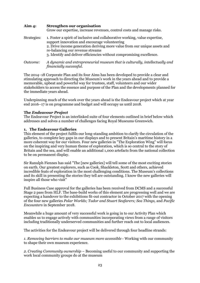| Aim $4:$    | Strengthen our organisation<br>Grow our expertise, increase revenues, control costs and manage risks.                                                                                                                                                                                                                  |
|-------------|------------------------------------------------------------------------------------------------------------------------------------------------------------------------------------------------------------------------------------------------------------------------------------------------------------------------|
| Strategies: | 1. Foster a spirit of inclusive and collaborative working, value expertise,<br>support innovation and encourage volunteering<br>2. Drive income generation deriving more value from our unique assets and<br>re-balancing our revenue streams<br>3. Identify and deliver efficiencies without compromising excellence. |
| Outcome:    | A dynamic and entrepreneurial museum that is culturally, intellectually and<br>financially successful.                                                                                                                                                                                                                 |

The 2014–18 Corporate Plan and its four Aims has been developed to provide a clear and stimulating approach to directing the Museum's work in the years ahead and to provide a memorable, upbeat and powerful way for trustees, staff, volunteers and our wider stakeholders to access the essence and purpose of the Plan and the developments planned for the immediate years ahead.

Underpinning much of the work over the years ahead is the Endeavour project which at year end 2016–17 is on programme and budget and will occupy us until 2018.

## **The** *Endeavour Project*

The Endeavour Project is an interlinked suite of four elements outlined in brief below which addresses and solves a number of challenges facing Royal Museums Greenwich.

## **1. The Endeavour Galleries**

This element of the project fulfils our long-standing ambition to clarify the circulation of the galleries, to complete key gaps in our displays and to present Britain's maritime history in a more coherent way for our visitors. Four new galleries in "The Exploration Wing" will focus on the inspiring and very human theme of exploration, which is so central to the story of Britain and the sea, and will enable an additional 1,000 artefacts from the national collection to be on permanent display.

Sir Ranulph Fiennes has said "The [new galleries] will tell some of the most exciting stories on earth. Our greatest explorers, such as Cook, Shackleton, Scott and others, achieved incredible feats of exploration in the most challenging conditions. The Museum's collections and its skill in presenting the stories they tell are outstanding. I know the new galleries will inspire all those who visit"

Full Business Case approval for the galleries has been received from DCMS and a successful Stage 2 pass from HLF. The base-build works of this element are progressing well and we are expecting a handover to the exhibitions fit-out contractor in October 2017 with the opening of the four new galleries *Polar Worlds; Tudor and Stuart Seafarers; Sea Things,* and *Pacific Encounters* in September 2018.

Meanwhile a huge amount of very successful work is going in to our Activity Plan which enables us to engage actively with communities incorporating views from a range of visitors including traditionally underserved communities and further reach out to local audiences.

The activities for the Endeavour project will be delivered through four headline strands:

*1. Removing barriers to make our museum more accessible* - Working with our community to shape their own museum experience.

*2. Creating Community ownership* – Becoming useful to our community and supporting the work local community groups do at the museum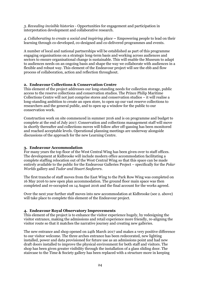*3. Revealing invisible histories* - Opportunities for engagement and participation in interpretation development and collaborative research.

*4. Collaborating to create a social and inspiring place* **–** Empowering people to lead on their learning through co-developed, co-designed and co-delivered programmes and events.

A number of local and national partnerships will be established as part of this programme engaging organisations on a strategic long-term basis and working across audiences and sectors to ensure organisational change is sustainable. This will enable the Museum to adapt to audiences needs on an ongoing basis and shape the way we collaborate with audiences in a flexible and robust way. This element of the Endeavour project will see the ebb and flow process of collaboration, action and reflection throughout.

## **2. Endeavour Collections & Conservation Centre**

This element of the project addresses our long-standing needs for collection storage, public access to the reserve collections and conservation studios. The Prince Philip Maritime Collections Centre will not just comprise stores and conservation studios – it will realise a long-standing ambition to create an open store, to open up our vast reserve collections to researchers and the general public, and to open up a window for the public to our conservation work.

Construction work on site commenced in summer 2016 and is on programme and budget to complete at the end of July 2017. Conservation and collections management staff will move in shortly thereafter and collections moves will follow after off-gassing has been monitored and reached acceptable levels. Operational planning meetings are underway alongside discussions of the approach for the new Learning Centre.

## **3. Endeavour Accommodation**

For many years the top floor of the West Central Wing has been given over to staff offices. The development at Kidbrooke will include modern office accommodation facilitating a complete staffing relocation out of the West Central Wing so that this space can be made entirely available to the public for the Endeavour Galleries Project – specifically for the *Polar Worlds* gallery and *Tudor and Stuart Seafarers*.

The first tranche of staff moves from the East Wing to the Park Row Wing was completed on 16 May 2016 to new open plan accommodation. The ground floor main space was then completed and re-occupied on 14 August 2016 and the final account for the works agreed.

Over the next year further staff moves into new accommodation at Kidbrooke (see 2. above) will take place to complete this element of the Endeavour project.

## **4. Endeavour Royal Observatory Improvements**

This element of the project is to enhance the visitor experience hugely, by redesigning the visitor entrance, making the admissions and retail experience more friendly, re-aligning the visitor route so that it matches the narrative journey and creating new galleries.

The new entrance and shop opened on 24th March 2017 and makes a very positive difference to our visitor welcome. The three arches entrance has been redecorated, new lighting installed, power and data provisioned for future use as an admissions point and had new draft doors installed to improve the physical environment for both staff and visitors. The shop has been given greater visibility through the installation of a glass sliding door. The staircase to the Time & Society gallery has been replaced with a structure more in keeping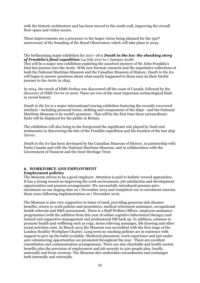with the historic architecture and has been moved to the south wall, improving the overall floor space and visitor access.

These improvements are a precursor to the larger vision being planned for the 350<sup>th</sup> anniversary of the founding of the Royal Observatory which will take place in 2025.

## The forthcoming major exhibition for 2017–18 is *Death in the Ice: the shocking story of Franklin's final expedition* (14 July 2017 to 7 January 2018)

This will be a major new exhibition exploring the unsolved mystery of Sir John Franklin's fatal last journey into the Arctic. With new forensic research and the superlative collections of both the National Maritime Museum and the Canadian Museum of History, *Death in the Ice* will begin to answer questions about what exactly happened to those men on their fateful journey to the Arctic in 1845.

In 2014, the wreck of HMS *Erebus* was discovered off the coast of Canada, followed by the discovery of HMS *Terror* in 2016. These are two of the most important archaeological finds in recent history.

*Death in the Ice* is a major international touring exhibition featuring the recently recovered artefacts - including personal items, clothing and components of the ships - and the National Maritime Museum is its world's premiere. This will be the first time these extraordinary finds will be displayed for the public in Britain.

The exhibition will also bring to the foreground the significant role played by Inuit oral testimonies in discovering the fate of the Franklin expedition and the location of the lost ship *Terror*.

*Death in the Ice* has been developed by the Canadian Museum of History, in partnership with Parks Canada and with the National Maritime Museum, and in collaboration with the Government of Nunavut and the Inuit Heritage Trust.

## **6. WORKFORCE AND EMPLOYMENT Employment policies**

The Museum strives to be a good employer. Attention is paid to holistic reward approaches. It has a strong record on improving the work environment, job satisfaction and development opportunities and pension arrangements. We successfully introduced pension autoenrolment on our staging date on 1 November 2013 and completed our re-enrolment exercise three years following implementation on 1 November 2016.

The Museum is also very supportive in times of need, providing generous sick absence benefits, return to work policies and procedures, medical retirement assistance, occupational health referrals and H&S assessments. There is a Staff Welfare Officer, employee assistance programmes (with the addition from this year of online cognitive behavioural therapy) and trained and supportive management and professional HR back up. In addition, schemes to promote health and wellbeing such as yoga, stress relieving massages, life drawing and other social activities exist. In March 2013 the Museum was accredited with the first stage of the London Healthy Workplace Charter. Long term no smoking policies are in existence with support to give up the habit available. Sheltered placement, work experience and just under 400 volunteering opportunities are promoted throughout the year. There are excellent consultation and communication arrangements. There are also charitable and health society benefits plus the provision of employment and job security to 500 people plus, locally, nationally and from overseas. The Museum also undertakes secondments and exchanges both internally and externally.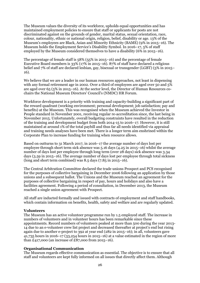The Museum values the diversity of its workforce, upholds equal opportunities and has maintained employment policies to ensure that staff or applicants for posts are not discriminated against on the grounds of gender, marital status, sexual orientation, race, colour, nationality, ethnic or national origin, religion, belief, disability or age. 13% of the Museum's employees are Black, Asian and Minority Ethnicity (BAME) (9% in 2015–16). The Museum holds the Employment Service's Disability Symbol. In 2016–17, 5% of staff employed by the Museum considered themselves to have a disability (6% in 2015–16).

The percentage of female staff is 58% (55% in 2015–16) and the percentage of female Executive Board members is 33% (17% in 2015–16). 87% of staff have declared a religious belief and 7% of staff are declared lesbian, gay, bisexual or transgender (LGBT) (5% in 2015– 16).

We believe that we are a leader in our human resources approaches, not least in dispensing with any formal retirement age in 2002. Over a third of employees are aged over 50 and 5% are aged over 65 (5% in 2015–16). At the sector level, the Director of Human Resources cochairs the National Museum Directors' Council's (NMDC) HR Forum.

Workforce development is a priority with training and capacity-building a significant part of the reward quadrant (working environment; personal development; job satisfaction; pay and benefits) at the Museum. This was recognised when the Museum achieved the Investor in People standard in November 2001, receiving regular re-accreditation since, the last being in November 2015. Unfortunately, overall budgeting constraints have resulted in the reduction of the training and development budget from both 2014-15 to 2016–17. However, it is still maintained at around 1% of the total paybill and thus far all needs identified via appraisal and training needs analyses have been met. There is a longer term aim enshrined within the Corporate Plan to increase funding for training when resource allows.

Based on outturns to 31 March 2017, in 2016–17 the average number of days lost per employee through short term sick absence was 5.16 days (4.25 in 2015–16) whilst the average number of days lost per employee through long term (over 28 days) sick absence was 3.34 days (3.59 in 2015–16). The average number of days lost per employee through total sickness (long and short term combined) was 8.5 days (7.85 in 2015–16).

The Central Arbitration Committee declared the trade unions Prospect and PCS recognised for the purposes of collective bargaining in December 2006 following an application by those unions and a subsequent ballot. The Unions and the Museum reached an agreement for the purposes of collective bargaining in respect of pay, hours and holidays and also have a facilities agreement. Following a period of consultation, in December 2013, the Museum reached a single union agreement with Prospect.

All staff are inducted formally and issued with contracts of employment and staff handbooks, which contain information on benefits, health, safety and welfare and are regularly updated.

## **Volunteers**

The Museum has an active volunteer programme run by 1.5 employed staff. The increase in numbers of volunteers and in volunteer hours has been remarkable since these appointments. Record numbers of volunteers peaked at more than 500 during the year 2013- 14 due to an e-volunteer crew list project and decreased thereafter at project's end but rising again due to another e-project to 392 at year end (282 in 2015–16); in all, volunteers gave 41,735 hours in 2016–17 (33,254 hours in 2015–16) at a value estimated in the region of more than £417,000 (an increase of £87,000 from 2015–16).

## **Organisational Communication**

The Museum regards effective communication as essential. The objective is to ensure that all staff and volunteers are kept fully informed on all issues that directly affect them. Although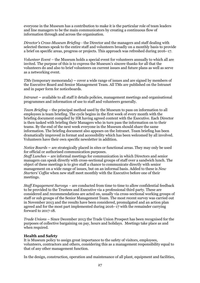everyone in the Museum has a contribution to make it is the particular role of team leaders and line managers to be the main communicators by creating a continuous flow of information through and across the organisation.

*Director's Cross-Museum Briefing* - the Director and the managers and staff dealing with selected themes speak to the entire staff and volunteers broadly on a monthly basis to provide a brief on specific areas, progress or projects. This approach was refreshed during 2016–17.

*Volunteer Event* – the Museum holds a special event for volunteers annually to which all are invited. The purpose of this is to express the Museum's sincere thanks for all that the volunteers do and also to brief volunteers on current issues and future plans as well as serve as a networking event.

*TMs* (temporary memoranda) **–** cover a wide range of issues and are signed by members of the Executive Board and Senior Management Team. All TMs are published on the Intranet and in paper form for noticeboards.

*Intranet* **–** available to all staff it details policies, management meetings and organisational programmes and information of use to staff and volunteers generally.

*Team Briefing* – the principal method used by the Museum to pass on information to all employees is team briefing. The cycle begins in the first week of every month with the briefing document compiled by HR having agreed content with the Executive. Each Director is then tasked with briefing their Managers who in turn pass the information on to their teams. By the end of the next week everyone in the Museum should share the same information. The briefing document also appears on the Intranet. Team briefing has been dramatically improved in format and accessibility which has been welcomed by all involved. Volunteers have their own specific newsletter in addition.

*Notice Boards* **–** are strategically placed in sites or functional areas. They may only be used for official or authorised communication purposes.

*Staff Lunches* **–** are informal meetings for communication in which Directors and senior managers can speak directly with cross-sectional groups of staff over a sandwich lunch. The object of these meetings is to give staff a chance to communicate directly with senior management on a wide range of issues, but on an informal basis. Added to these is *New Starters' Coffee* when new staff meet monthly with the Executive before one of their meetings.

*Staff Engagement Surveys* – are conducted from time to time to allow confidential feedback to be provided to the Trustees and Executive via a professional third party. These are considered and recommendations are acted on, usually via cross-sectional working groups of staff or sub groups of the Senior Management Team. The most recent survey was carried out in November 2013 and the results have been considered, promulgated and an action plan agreed and for the most part implemented during 2016–17 with the remainder carrying forward to 2017-18.

*Trade Unions* – Since December 2013 the Trade Union Prospect has been recognised for the purposes of collective bargaining on pay, hours and holidays. Meetings take place as and when required.

## **Health and Safety**

It is Museum policy to assign great importance to the safety of visitors, employees, volunteers, contractors and others, considering this as a management responsibility equal to that of any other management function.

In the design, construction, operation and maintenance of all plant, equipment and facilities,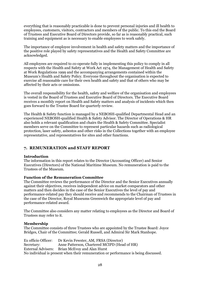everything that is reasonably practicable is done to prevent personal injuries and ill health to employees, customers, visitors, contractors and members of the public. To this end the Board of Trustees and Executive Board of Directors provide, so far as is reasonably practical, such training and equipment as is necessary to enable employees to work safely.

The importance of employee involvement in health and safety matters and the importance of the positive role played by safety representatives and the Health and Safety Committee are acknowledged.

All employees are required to co-operate fully in implementing this policy to comply in all respects with the Health and Safety at Work Act 1974, the Management of Health and Safety at Work Regulations 1999 and the accompanying arrangements contained within the Museum's Health and Safety Policy. Everyone throughout the organisation is expected to exercise all reasonable care for their own health and safety and that of others who may be affected by their acts or omissions.

The overall responsibility for the health, safety and welfare of the organisation and employees is vested in the Board of Trustees and Executive Board of Directors. The Executive Board receives a monthly report on Health and Safety matters and analysis of incidents which then goes forward to the Trustee Board for quarterly review.

The Health & Safety function is managed by a NEBOSH-qualified Departmental Head and an experienced NEBOSH-qualified Health & Safety Advisor. The Director of Operations & HR also holds a relevant qualification and chairs the Health & Safety Committee. Specialist members serve on the Committee to represent particular hazards such as radiological protection, laser safety, asbestos and other risks in the Collections together with an employee representative, and representatives for sites and other functions.

# **7. REMUNERATION and STAFF REPORT**

## **Introduction**

The information in this report relates to the Director (Accounting Officer) and Senior Executives (Directors) of the National Maritime Museum. No remuneration is paid to the Trustees of the Museum.

## **Function of the Remuneration Committee**

The Committee reviews the performance of the Director and the Senior Executives annually against their objectives, receives independent advice on market comparators and other matters and then decides in the case of the Senior Executives the level of pay and performance-related pay they should receive and recommends to the Chairman of Trustees in the case of the Director, Royal Museums Greenwich the appropriate level of pay and performance-related award.

The Committee also considers any matter relating to employees as the Director and Board of Trustees may refer to it.

## **Membership**

The Committee consists of three Trustees who are appointed by the Trustee Board: Joyce Bridges, Chair of the Committee; Gerald Russell, and Admiral Sir Mark Stanhope.

Ex officio Officer: Dr Kevin Fewster, AM, FRSA (Director)<br>Secretary: Anne Patterson, Chartered MCIPD (Hea Anne Patterson, Chartered MCIPD (Head of HR) External Advisers: Brian McEvoy and Alan Hurst No individual is present when their remuneration or performance is being discussed.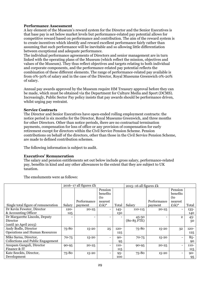## **Performance Assessment**

A key element of the Museum's reward system for the Director and the Senior Executives is that base pay is set below market levels but performance-related pay potential allows for competitive reward based on performance and contribution. The aim of the reward system is to create incentives which identify and reward excellent performance fairly rather than assuming that such performance will be inevitable and so allowing little differentiation between exceptional and adequate performance.

The individual performance agreements of Directors and senior management are in turn linked with the operating plans of the Museum (which reflect the mission, objectives and values of the Museum). They thus reflect objectives and targets relating to both individual and corporate components, and the performance-related pay potential reflects the combination of these different elements. The range of performance-related pay available is from 0%-30% of salary and in the case of the Director, Royal Museums Greenwich 0%-20% of salary.

Annual pay awards approved by the Museum require HM Treasury approval before they can be made, which must be obtained via the Department for Culture Media and Sport (DCMS). Increasingly, Public Sector Pay policy insists that pay awards should be performance driven, whilst urging pay restraint.

## **Service Contracts**

The Director and Senior Executives have open-ended rolling employment contracts: the notice period is six months for the Director, Royal Museums Greenwich, and three months for other Directors. Other than notice periods, there are no contractual termination payments, compensation for loss of office or any provision of compensation for early retirement except for directors within the Civil Service Pension Scheme. Pension contributions on behalf of the directors, other than those in the Civil Service Pension Scheme, are made to defined contribution schemes.

The following information is subject to audit.

## **Executives' Remuneration**

The salary and pension entitlements set out below include gross salary, performance-related pay, benefits in kind and any other allowances to the extent that they are subject to UK taxation.

The emoluments were as follows:

|                                       | $2016 - 17$ all figures £k |             | $2015 - 16$ all figures £k              |         |               |             |                              |         |
|---------------------------------------|----------------------------|-------------|-----------------------------------------|---------|---------------|-------------|------------------------------|---------|
|                                       |                            |             | Pension                                 |         |               |             | Pension                      |         |
|                                       |                            |             | benefits                                |         |               |             | benefits                     |         |
|                                       |                            |             | (to                                     |         |               |             | (to                          |         |
|                                       |                            | Performance | nearest                                 |         |               | Performance | nearest                      |         |
| Single total figure of remuneration   | Salary                     | payment     | $\pounds$ <sub>1</sub> $k$ <sup>*</sup> | Total   | Salary        | payment     | $£1k)*$                      | Total   |
| Dr Kevin Fewster, Director            | $120 -$                    | $20 - 25$   |                                         | $145 -$ | $110 - 115$   | $20 - 25$   |                              | $135 -$ |
| & Accounting Officer                  | 125                        |             |                                         | 150     |               |             |                              | 140     |
| Dr Margarette Lincoln, Deputy         |                            |             |                                         |         | $45 - 50$     |             | $\overline{2}$               | $45 -$  |
| Director                              |                            |             |                                         |         | $(80-85$ FTE) |             |                              | 50      |
| (until 30 April 2015)                 |                            |             |                                         |         |               |             |                              |         |
| Andy Bodle, Director                  | 75-80                      | $15 - 20$   | 25                                      | $120 -$ | 75-80         | $15 - 20$   | 32                           | $120 -$ |
| <b>Operations and Human Resources</b> |                            |             |                                         | 125     |               |             |                              | 125     |
| Mike Sarna, Director,                 | $70 - 75$                  | $15 - 20$   |                                         | $90 -$  | $70 - 75$     | $15 - 20$   | $\overline{\phantom{0}}$     | $85 -$  |
| Collections and Public Engagement     |                            |             |                                         | 95      |               |             |                              | 90      |
| Anupam Ganguli, Director              | $90 - 95$                  | $20 - 25$   | $\qquad \qquad \blacksquare$            | $110 -$ | $90 - 95$     | $20 - 25$   | $\qquad \qquad \blacksquare$ | $110 -$ |
| Finance & IT                          |                            |             |                                         | 115     |               |             |                              | 115     |
| Kate Seeckts, Director,               | 75-80                      | $15 - 20$   | $\overline{\phantom{0}}$                | $95 -$  | 75-80         | $15 - 20$   | $\overline{\phantom{0}}$     | $90 -$  |
| Development                           |                            |             |                                         | 100     |               |             |                              | 95      |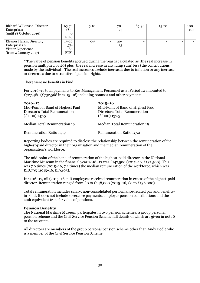| Richard Wilkinson, Director, | 65-70     | $5 - 10$ | 70-    | 85-90 | $15 - 20$ |                          | $100 -$ |
|------------------------------|-----------|----------|--------|-------|-----------|--------------------------|---------|
| Enterprises                  | (85-      |          | 75     |       |           |                          | 105     |
| (until 18 October 2016)      | 90        |          |        |       |           |                          |         |
|                              | FTE)      |          |        |       |           |                          |         |
| Eleanor Harris, Director,    | $15 - 20$ | $O - 5$  | $20 -$ |       |           | $\overline{\phantom{0}}$ |         |
| Enterprises &                | ່ 75−     |          | 25     |       |           |                          |         |
| Visitor Experience           | 80        |          |        |       |           |                          |         |
| (from 4 January 2017)        | FTE)      |          |        |       |           |                          |         |

\* The value of pension benefits accrued during the year is calculated as (the real increase in pension multiplied by 20) plus (the real increase in any lump sum) less (the contributions made by the individual). The real increases exclude increases due to inflation or any increase or decreases due to a transfer of pension rights.

There were no benefits in kind.

For 2016–17 total payments to Key Management Personnel as at Period 12 amounted to £727,480 (£732,568 in 2015–16) including bonuses and other payments.

| $2016 - 17$<br>Mid-Point of Band of Highest Paid<br>Director's Total Remuneration<br>$(\pounds'000)$ 147.5 | $2015 - 16$<br>Mid-Point of Band of Highest Paid<br>Director's Total Remuneration<br>$(\pounds'000)$ 137.5 |
|------------------------------------------------------------------------------------------------------------|------------------------------------------------------------------------------------------------------------|
| Median Total Remuneration 19                                                                               | Median Total Remuneration 19                                                                               |
| <b>Remuneration Ratio 1:7.9</b>                                                                            | Remuneration Ratio 1:7.2                                                                                   |

Reporting bodies are required to disclose the relationship between the remuneration of the highest-paid director in their organisation and the median remuneration of the organisation's workforce.

The mid-point of the band of remuneration of the highest-paid director in the National Maritime Museum in the financial year 2016–17 was  $\pounds 147,500$  (2015–16, £137,500). This was 7.9 times (2015–16, 7.2 times) the median remuneration of the workforce, which was £18,795 (2015–16, £19,105).

In 2016–17, nil (2015–16, nil) employees received remuneration in excess of the highest-paid director. Remuneration ranged from £0 to £148,000 (2015–16, £0 to £136,000).

Total remuneration includes salary, non-consolidated performance-related pay and benefitsin-kind. It does not include severance payments, employer pension contributions and the cash equivalent transfer value of pensions.

## **Pension Benefits**

The National Maritime Museum participates in two pension schemes; a group personal pension scheme and the Civil Service Pension Scheme full details of which are given in note 8 to the accounts.

All directors are members of the group personal pension scheme other than Andy Bodle who is a member of the Civil Service Pension Scheme.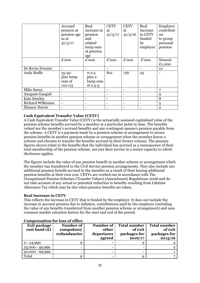|                          | Accrued                                 | Real                                        | <b>CETV</b> | <b>CETV</b>         | Real     | Employer       |
|--------------------------|-----------------------------------------|---------------------------------------------|-------------|---------------------|----------|----------------|
|                          | pension at                              | increase in                                 | at          | at                  | increase | contributi     |
|                          | pension age                             | pension                                     | 31/3/17     | 31/3/16             | in CETV  | <sub>on</sub>  |
|                          | as at                                   | and                                         |             |                     | funded   | to group       |
|                          | 31/3/17                                 | related                                     |             |                     | by       | personal       |
|                          |                                         | lump sum                                    |             |                     | employer | pension        |
|                          |                                         | at pension                                  |             |                     |          |                |
|                          |                                         | age                                         |             |                     |          |                |
|                          | £'000                                   | £'000                                       | £'000       | $\overline{E}$ '000 | £'000    | <b>Nearest</b> |
|                          |                                         |                                             |             |                     |          | £1,000         |
| Dr Kevin Fewster         |                                         | ۰                                           |             |                     |          | 12             |
| Andy Bodle               | 35-40<br>plus lump<br>sum of<br>110-115 | $0 - 2.5$<br>plus a<br>lump sum<br>of 2.5-5 | 812         | 756                 | 23       |                |
| Mike Sarna               |                                         |                                             |             |                     |          | 7              |
| Anupam Ganguli           |                                         | -                                           |             |                     |          | 9              |
| <b>Kate Seeckts</b>      |                                         | ۰                                           |             |                     |          | 8              |
| <b>Richard Wilkinson</b> |                                         | -                                           |             |                     |          | 5              |
| <b>Eleanor Harris</b>    |                                         |                                             |             |                     |          | $\mathbf{2}$   |

# **Cash Equivalent Transfer Value (CETV)**

A Cash Equivalent Transfer Value (CETV) is the actuarially assessed capitalised value of the pension scheme benefits accrued by a member at a particular point in time. The benefits valued are the member's accrued benefits and any contingent spouse's pension payable from the scheme. A CETV is a payment made by a pension scheme or arrangement to secure pension benefits in another pension scheme or arrangement when the member leaves a scheme and chooses to transfer the benefits accrued in their former scheme. The pension figures shown relate to the benefits that the individual has accrued as a consequence of their total membership of the pension scheme, not just their service in a senior capacity to which disclosure applies.

The figures include the value of any pension benefit in another scheme or arrangement which the member has transferred to the Civil Service pension arrangements. They also include any additional pension benefit accrued to the member as a result of their buying additional pension benefits at their own cost. CETVs are worked out in accordance with The Occupational Pension Schemes (Transfer Values) (Amendment) Regulations 2008 and do not take account of any actual or potential reduction to benefits resulting from Lifetime Allowance Tax which may be due when pension benefits are taken.

## **Real Increase in CETV**

This reflects the increase in CETV that is funded by the employer. It does not include the increase in accrued pension due to inflation, contributions paid by the employee (including the value of any benefits transferred from another pension scheme or arrangement) and uses common market valuation factors for the start and end of the period.

| <b>Exit package</b><br>cost band (f) | Number of<br>compulsory<br>redundancies | Number of<br>other<br>departures<br>agreed | <b>Total number</b><br>of exit<br>packages for<br>2016/17 | <b>Total number</b><br>of exit<br>packages for<br>2015/16 |
|--------------------------------------|-----------------------------------------|--------------------------------------------|-----------------------------------------------------------|-----------------------------------------------------------|
| $0 - 24,999$                         |                                         |                                            |                                                           |                                                           |
| 25,000 - 49,999                      |                                         |                                            | -                                                         |                                                           |
| 50,000 - 99,999                      |                                         |                                            |                                                           |                                                           |
| Total                                |                                         |                                            |                                                           |                                                           |

## **Compensation for loss of office**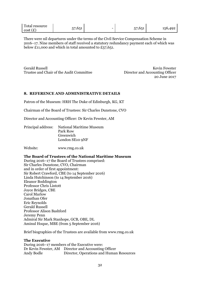| Total resource | --<br>$6 - 1$         |   | $- -$<br>$\epsilon$ $-$ |     |
|----------------|-----------------------|---|-------------------------|-----|
| $\sim$         | $\tilde{\phantom{a}}$ | - | . .                     | 15h |
| cost           | <b>STATISTICS</b>     |   | <b>STATE OF STATE</b>   |     |

There were nil departures under the terms of the Civil Service Compensation Scheme in 2016–17. Nine members of staff received a statutory redundancy payment each of which was below £11,000 and which in total amounted to £57,651.

Gerald Russell Kevin Fewster Trustee and Chair of the Audit Committee Director and Accounting Officer

20 June 2017

## **8. REFERENCE AND ADMINISTRATIVE DETAILS**

Patron of the Museum: HRH The Duke of Edinburgh, KG, KT

Chairman of the Board of Trustees: Sir Charles Dunstone, CVO

Director and Accounting Officer: Dr Kevin Fewster, AM

| Principal address: National Maritime Museum |
|---------------------------------------------|
| Park Row                                    |
| Greenwich                                   |
| London SE10 9NF                             |

Website: www.rmg.co.uk

## **The Board of Trustees of the National Maritime Museum**

During 2016–17 the Board of Trustees comprised: Sir Charles Dunstone, CVO, Chairman and in order of first appointment: Sir Robert Crawford, CBE (to 14 September 2016) Linda Hutchinson (to 14 September 2016) Eleanor Boddington Professor Chris Lintott Joyce Bridges, CBE Carol Marlow Jonathan Ofer Eric Reynolds Gerald Russell Professor Alison Bashford Jeremy Penn Admiral Sir Mark Stanhope, GCB, OBE, DL Aminul Hoque, MBE (from 5 September 2016)

Brief biographies of the Trustees are available from www.rmg.co.uk

## **The Executive**

During 2016–17 members of the Executive were: Dr Kevin Fewster, AM Director and Accounting Officer Director, Operations and Human Resources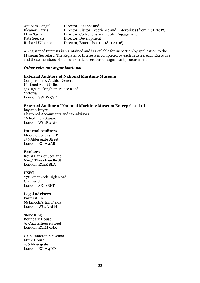| Anupam Ganguli           | Director, Finance and IT                                       |
|--------------------------|----------------------------------------------------------------|
| Eleanor Harris           | Director, Visitor Experience and Enterprises (from 4.01, 2017) |
| Mike Sarna               | Director, Collections and Public Engagement                    |
| Kate Seeckts             | Director, Development                                          |
| <b>Richard Wilkinson</b> | Director, Enterprises (to 18.10.2016)                          |

A Register of Interests is maintained and is available for inspection by application to the Museum Secretary. The Register of Interests is completed by each Trustee, each Executive and those members of staff who make decisions on significant procurement.

# *Other relevant organisations:*

# **External Auditors of National Maritime Museum**

Comptroller & Auditor General National Audit Office 157-197 Buckingham Palace Road Victoria London, SW1W 9SP

# **External Auditor of National Maritime Museum Enterprises Ltd**

haysmacintyre Chartered Accountants and tax advisors 26 Red Lion Square London, WC1R 4AG

### **Internal Auditors**

Moore Stephens LLP 150 Aldersgate Street London, EC1A 4AB

# **Bankers**

Royal Bank of Scotland 62-63 Threadneedle St London, EC2R 8LA

### **HSBC**

275 Greenwich High Road Greenwich London, SE10 8NF

# **Legal advisers**

Farrer & Co 66 Lincoln's Inn Fields London, WC2A 3LH

Stone King Boundary House 91 Charterhouse Street London, EC1M 6HR

CMS Cameron McKenna Mitre House 160 Aldersgate London, EC1A 4DD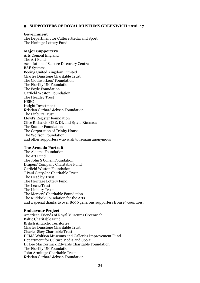# **9. SUPPORTERS OF ROYAL MUSEUMS GREENWICH 2016–17**

### **Government**

The Department for Culture Media and Sport The Heritage Lottery Fund

# **Major Supporters**

Arts Council England The Art Fund Association of Science Discovery Centres BAE Systems Boeing United Kingdom Limited Charles Dunstone Charitable Trust The Clothworkers' Foundation The Fidelity UK Foundation The Foyle Foundation Garfield Weston Foundation The Headley Trust **HSBC** Insight Investment Kristian Gerhard Jebsen Foundation The Linbury Trust Lloyd's Register Foundation Clive Richards, OBE, DL and Sylvia Richards The Sackler Foundation The Corporation of Trinity House The Wolfson Foundation and other supporters who wish to remain anonymous

# **The Armada Portrait**

The Aldama Foundation The Art Fund The John S Cohen Foundation Drapers' Company Charitable Fund Garfield Weston Foundation J Paul Getty Jnr Charitable Trust The Headley Trust The Heritage Lottery Fund The Leche Trust The Linbury Trust The Mercers' Charitable Foundation The Ruddock Foundation for the Arts and a special thanks to over 8000 generous supporters from 19 countries.

### **Endeavour Project**

American Friends of Royal Museums Greenwich Baltic Charitable Fund British Antarctic Territories Charles Dunstone Charitable Trust Charles Skey Charitable Trust DCMS Wolfson Museums and Galleries Improvement Fund Department for Culture Media and Sport Dr Lee MacCormick Edwards Charitable Foundation The Fidelity UK Foundation John Armitage Charitable Trust Kristian Gerhard Jebsen Foundation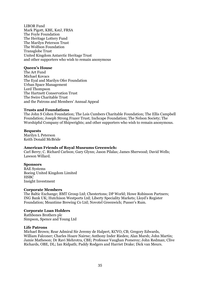LIBOR Fund Mark Pigott, KBE, KstJ, FRSA The Foyle Foundation The Heritage Lottery Fund The Marilyn Peterson Trust The Wolfson Foundation Transglobe Trust United Kingdom Antarctic Heritage Trust and other supporters who wish to remain anonymous

# **Queen's House**

The Art Fund Michael Kovacs The Eyal and Marilyn Ofer Foundation Urban Space Management Lord Thompson The Hartnett Conservation Trust The Swire Charitable Trust and the Patrons and Members' Annual Appeal

# **Trusts and Foundations**

The John S Cohen Foundation; The Lois Cumbers Charitable Foundation; The Ellis Campbell Foundation; Joseph Strong Frazer Trust; Inchcape Foundation; The Nelson Society; The Worshipful Company of Shipwrights; and other supporters who wish to remain anonymous.

# **Bequests**

Marilyn L Peterson Keith Donald McBride

# **American Friends of Royal Museums Greenwich:**

Carl Berry; C. Richard Carlson; Gary Glynn; Jason Pilalas; James Sherwood; David Wells; Lawson Willard.

# **Sponsors**

BAE Systems Boeing United Kingdom Limited **HSBC** Insight Investment

# **Corporate Members**

The Baltic Exchange; BMT Group Ltd; Chestertons; DP World; Howe Robinson Partners; ING Bank UK; Hutchison Westports Ltd; Liberty Speciality Markets; Lloyd's Register Foundation; Meantime Brewing Co Ltd; Novotel Greenwich; Pusser's Rum.

# **Corporate Loan Holders**

Rathbones Brothers plc Simpson, Spence and Young Ltd

# **Life Patrons**

Michael Brown; Rear Admiral Sir Jeremy de Halpert, KCVO, CB; Gregory Edwards, William Falconer; Charles Hoare Nairne; Anthony Inder Rieden; Alan Marsh; John Martin; Jamie Matheson; Dr Ravi Mehrotra, CBE; Professor Vaughan Pomeroy; John Redman; Clive Richards, OBE, DL; Ian Ridpath; Paddy Rodgers and Harriet Drake; Dick van Meurs.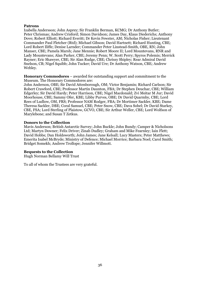# **Patrons**

Izabella Andersson; John Asprey; Sir Franklin Berman, KCMG; Dr Anthony Butler; Peter Chrismas; Andrew Crisford; Simon Davidson; James Day, Klaus Diederichs; Anthony Dove; Robert Elliott; Richard Everitt; Dr Kevin Fewster, AM; Nicholas Fisher; Lieutenant Commander Paul Fletcher (Rtd); Michael Gibson; David Hartnett; Richard Hunting, CBE; Lord Robert Iliffe; Denise Larnder; Commander Peter Linstead-Smith, OBE, RN; John Manser, CBE; Pamela Marsh; Jane Mennie; Robert Moore II; Lord Mountevans, RNR and Lady Mountevans; Alan Parker, CBE; Jeremy Penn; W. Scott Perry; Spyros Polemis; Merrick Rayner; Eric Shawyer, CBE; Sir Alan Rudge, CBE; Chrissy Shipley; Rear Admiral David Snelson, CB; Nigel Squibb; John Tucker; David Ure; Dr Anthony Watson, CBE; Andrew Webley.

**Honorary Commodores** – awarded for outstanding support and commitment to the Museum. The Honorary Commodores are:

John Anderson, OBE; Sir David Attenborough, OM; Victor Benjamin; Richard Carlson; Sir Robert Crawford, CBE; Professor Martin Daunton, FBA; Dr Stephen Deuchar, CBE; William Edgerley; Sir David Hardy; Peter Harrison, CBE; Nigel Macdonald; Zvi Meitar M Jur; David Moorhouse, CBE; Sammy Ofer, KBE; Libby Purves, OBE; Dr David Quarmby, CBE; Lord Rees of Ludlow, OM, FRS; Professor NAM Rodger, FBA; Dr Mortimer Sackler, KBE; Dame Theresa Sackler, DBE; Coral Samuel, CBE; Peter Snow, CBE; Dava Sobel; Dr David Starkey, CBE, FSA; Lord Sterling of Plaistow, GCVO, CBE; Sir Arthur Weller, CBE; Lord Wolfson of Marylebone; and Susan T Zetkus.

# **Donors to the Collection**

Mavis Anderson; British Antarctic Survey; John Buckle; John Bundy; Camper & Nicholsons Ltd; Martyn Downer; Felix Driver; Zinab Dudley; Graham and Mike Fearnley; Iain Flett; David Hobbs; Dan Holdsworth; John James; Jane Kelsall; Lucy Masters; Peter Matthews; Emerita Isabel McBryde; Ministry of Defence; Michael Morrice; Barbara Noel; Carol Smith; Bridget Somekh; Andrew Trollope; Jennifer Willmott.

# **Bequests to the Collection**

Hugh Norman Bellamy Will Trust

To all of whom the Trustees are very grateful.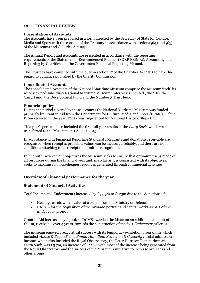# **10. FINANCIAL REVIEW**

# **Presentation of Accounts**

The Accounts have been prepared in a form directed by the Secretary of State for Culture, Media and Sport with the consent of the Treasury in accordance with sections  $9(4)$  and  $9(5)$ of the Museums and Galleries Act 1992.

The Annual Report and Accounts are presented in accordance with the reporting requirements of the Statement of Recommended Practice (SORP FRS102), Accounting and Reporting by Charities and the Government Financial Reporting Manual.

The Trustees have complied with the duty in section 17 of the Charities Act 2011 to have due regard to guidance published by the Charity Commission.

# **Consolidated Accounts**

The consolidated Accounts of the National Maritime Museum comprise the Museum itself, its wholly owned subsidiary National Maritime Museum Enterprises Limited (NMME), the Caird Fund, the Development Fund and the Number 3 Trust Fund.

# **Financial policy**

During the period covered by these accounts the National Maritime Museum was funded primarily by Grant in Aid from the Department for Culture, Media and Sport (DCMS). Of the £16m received in the year, £215k was ring-fenced for National Historic Ships UK.

This year's performance included the first full year results of the *Cutty Sark,* which was transferred to the Museum on 1 August 2015.

In accordance with Financial Reporting Standard 102 grants and donations receivable are recognised when receipt is probable, values can be measured reliably, and there are no conditions attaching to its receipt that limit its recognition.

In line with Government objectives the Museum seeks to ensure that optimum use is made of all resources during the financial year and, in so far as it is consistent with its objectives, seeks to maximise non-Exchequer resources generated through commercial activities.

# **Overview of Financial performance for the year**

# **Statement of Financial Activities**

Total Income and Endowments increased by £93.9m to £123m due to the donations of:-

- Heritage assets with a value of  $E73.5m$  from the Ministry of Defence
- £20.3m for the acquisition of the *Armada* portrait and capital works as part of the *Endeavour* project

Grant in Aid increased by £500k as DCMS awarded the Museum an additional amount of £1.4m, receivable over 4 years, towards the construction of the four *Endeavour* galleries.

The museum enjoyed great critical success with its temporary exhibition programme which included '*Above & Beyond'* and *'Emma Hamilton: Seduction & Celebrity'*. Total admission income, which also included the Royal Observatory, the Peter Harrison Planetarium and *Cutty Sark*, was £5.7m, an increase of £556k, with most of the increase being generated from the Royal Observatory and the success of the Museum's initiative to increase overseas and other groups.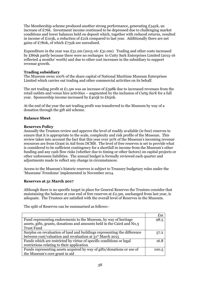The Membership scheme produced another strong performance, generating £342k, an increase of £76k. Investment income continued to be depressed due to challenging market conditions and lower balances held on deposit which, together with reduced returns, resulted in income of £103k, a reduction of £21k compared to last year. Additionally there are net gains of £780k, of which £732k are unrealised.

Expenditure in the year was  $\pounds 31.2m$  (2015-16:  $\pounds 31.0m$ ). Trading and other costs increased by £869k partly because there were no recharges to Cutty Sark Enterprises Limited (2015-16 reflected 4 months' worth) and due to other cost increases in the subsidiary to support revenue growth.

# **Trading subsidiary**

The Museum owns 100% of the share capital of National Maritime Museum Enterprises Limited which carries out trading and other commercial activities on its behalf.

The net trading profit at £1.5m was an increase of £598k due to increased revenues from the retail outlets and venue hire activities – augmented by the inclusion of *Cutty Sark* for a full year. Sponsorship income increased by £405k to £650k.

At the end of the year the net trading profit was transferred to the Museum by way of a donation through the gift aid scheme.

# **Balance Sheet**

# **Reserves Policy**

Annually the Trustees review and approve the level of readily available (ie free) reserves to ensure that it is appropriate to the scale, complexity and risk profile of the Museum. This review takes into account the fact that this year over 50% of the Museum's incoming revenue resources are from Grant in Aid from DCMS. The level of free reserves is set to provide what is considered to be sufficient contingency for a shortfall in income from the Museum's other funding and any cash flow risks (whether due to timing or other factors) on capital projects or other unforeseen liabilities. The annual budget is formally reviewed each quarter and adjustments made to reflect any change in circumstances.

Access to the Museum's historic reserves is subject to Treasury budgetary rules under the 'Museums' Freedoms' implemented in November 2014.

# **Reserves at 31 March 2017**

Although there is no specific target in place for General Reserves the Trustees consider that maintaining the balance at year end of free reserves at £2.5m, unchanged from last year, is adequate. The Trustees are satisfied with the overall level of Reserves in the Museum.

The split of Reserves can be summarised as follows:-

|                                                                          | E <sub>m</sub> |
|--------------------------------------------------------------------------|----------------|
| Fund representing endowments to the Museum, by way of heritage           | 98.5           |
| assets, gifts, grants, donations and amounts held in the Caird and No.3  |                |
| <b>Trust Fund</b>                                                        |                |
| Surplus on revaluation of land and buildings representing the difference | 57.2           |
| between cost/valuation and revaluation at 31 <sup>st</sup> March 2015    |                |
| Funds which are restricted by virtue of specific conditions or legal     | 16.8           |
| restrictions relating to their application                               |                |
| Funds representing assets acquired by way of gifts/donations or use of   | 100.5          |
| the Museum's core grant in aid                                           |                |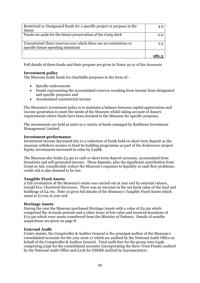| Restricted or Designated funds for a specific project or purpose in the | 4.9           |
|-------------------------------------------------------------------------|---------------|
| future                                                                  |               |
| Funds set aside for the future preservation of the Cutty Sark           | 0.9           |
|                                                                         |               |
| Unrestricted (free) reserves over which there are no restrictions or    | $2.5^{\circ}$ |
| specific future spending intentions                                     |               |
|                                                                         |               |
|                                                                         |               |

Full details of these funds and their purpose are given in Notes 19-21 of the Accounts.

# **Investment policy**

The Museum holds funds for charitable purposes in the form of:-

- Specific endowments
- Funds representing the accumulated reserves resulting from income from designated and specific purposes and
- Accumulated unrestricted income

The Museum's investment policy is to maintain a balance between capital appreciation and income generation to meet the needs of the Museum whilst taking account of donors' requirements where funds have been donated to the Museum for specific purposes.

The investments are held as units in a variety of funds managed by Rathbone Investment Management Limited.

# **Investment performance**

Investment income decreased due to a reduction of funds held on short term deposit as the museum withdrew monies to fund its building programme as part of the *Endeavour* project. Equity investments increased in value by £498k.

The Museum also holds £3.4m in cash or short term deposit accounts, accumulated from donations and self-generated income. These deposits, plus the significant contribution from Grant in Aid, considerably reduce the Museum's exposure to liquidity or cash flow problems; credit risk is also deemed to be low.

# **Tangible Fixed Assets**

A full revaluation of the Museum's estate was carried out at year end by external valuers, Gerald Eve, Chartered Surveyors. There was an increase in the net book value of the land and buildings of £4.7m. Note 10 gives full details of the Museum's Tangible Fixed Assets which stand at £171m at year end.

# **Heritage Assets**

During the year the Museum purchased Heritage Assets with a value of £9.5m which comprised the *Armada* portrait and 4 other items of low value and received donations of  $£73.5m$  which were assets transferred from the Ministry of Defence. Details of notable acquisitions are given on page 8.

# **External Audit**

Under statute, the Comptroller & Auditor General is the principal auditor of the Museum's consolidated accounts for the year 2016-17 which are audited by the National Audit Office on behalf of the Comptroller & Auditor General. Total audit fees for the group were £49k, comprising £39k for the consolidated accounts (incorporating the three Trust Funds) audited by the National Audit Office and £10k for NMME audited by haysmacintyre.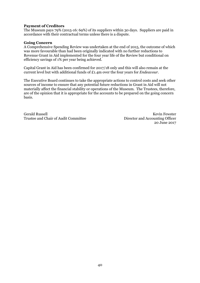# **Payment of Creditors**

The Museum pays 79% (2015-16: 69%) of its suppliers within 30 days. Suppliers are paid in accordance with their contractual terms unless there is a dispute.

# **Going Concern**

A Comprehensive Spending Review was undertaken at the end of 2015, the outcome of which was more favourable than had been originally indicated with no further reductions to Revenue Grant in Aid implemented for the four year life of the Review but conditional on efficiency savings of 1% per year being achieved.

Capital Grant in Aid has been confirmed for 2017/18 only and this will also remain at the current level but with additional funds of £1.4m over the four years for *Endeavour.*

The Executive Board continues to take the appropriate actions to control costs and seek other sources of income to ensure that any potential future reductions in Grant in Aid will not materially affect the financial stability or operations of the Museum. The Trustees, therefore, are of the opinion that it is appropriate for the accounts to be prepared on the going concern basis.

Gerald Russell Kevin Fewster Trustee and Chair of Audit Committee Director and Accounting Officer

20 June 2017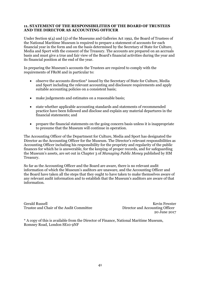# **11. STATEMENT OF THE RESPONSIBILITIES OF THE BOARD OF TRUSTEES AND THE DIRECTOR AS ACCOUNTING OFFICER**

Under Section 9(4) and (5) of the Museums and Galleries Act 1992, the Board of Trustees of the National Maritime Museum is required to prepare a statement of accounts for each financial year in the form and on the basis determined by the Secretary of State for Culture, Media and Sport with the consent of the Treasury. The accounts are prepared on an accruals basis and must give a true and fair view of the Board's financial activities during the year and its financial position at the end of the year.

In preparing the Museum's accounts the Trustees are required to comply with the requirements of FReM and in particular to:

- observe the accounts direction\* issued by the Secretary of State for Culture, Media and Sport including the relevant accounting and disclosure requirements and apply suitable accounting policies on a consistent basis;
- make judgements and estimates on a reasonable basis;
- state whether applicable accounting standards and statements of recommended practice have been followed and disclose and explain any material departures in the financial statements; and
- prepare the financial statements on the going concern basis unless it is inappropriate to presume that the Museum will continue in operation.

The Accounting Officer of the Department for Culture, Media and Sport has designated the Director as the Accounting Officer for the Museum. The Director's relevant responsibilities as Accounting Officer including his responsibility for the propriety and regularity of the public finances for which he is answerable, for the keeping of proper records, and for safeguarding the Museum's assets, are set out in Chapter 3 of *Managing Public Money* published by HM Treasury.

So far as the Accounting Officer and the Board are aware, there is no relevant audit information of which the Museum's auditors are unaware, and the Accounting Officer and the Board have taken all the steps that they ought to have taken to make themselves aware of any relevant audit information and to establish that the Museum's auditors are aware of that information.

Gerald Russell Kevin Fewster Trustee and Chair of the Audit Committee Director and Accounting Officer

20 June 2017

\* A copy of this is available from the Director of Finance, National Maritime Museum, Romney Road, London SE10 9NF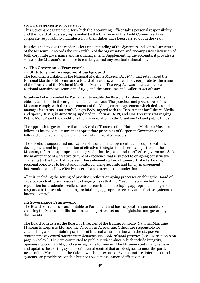# **12.GOVERNANCE STATEMENT**

This Governance Statement, for which the Accounting Officer takes personal responsibility, and the Board of Trustees, represented by the Chairman of the Audit Committee, take corporate responsibility, manifests how their duties have been carried out in the year.

It is designed to give the reader a clear understanding of the dynamics and control structure of the Museum. It records the stewardship of the organisation and encompasses discussion of both corporate governance and risk management. Supplementing the accounts, it provides a sense of the Museum's resilience to challenges and any residual vulnerability.

# **1. The Governance Framework**

# **1.1 Statutory and management background**

The founding legislation is the National Maritime Museum Act 1934 that established the National Maritime Museum and a Board of Trustees, who are a body corporate by the name of the Trustees of the National Maritime Museum. The 1934 Act was amended by the National Maritime Museum Act of 1989 and the Museums and Galleries Act of 1992.

Grant-in-Aid is provided by Parliament to enable the Board of Trustees to carry out the objectives set out in the original and amended Acts. The practices and procedures of the Museum comply with the requirements of the Management Agreement which defines and manages its status as an Arm's Length Body, agreed with the Department for Culture, Media and Sport (DCMS) in June 2014, updated in February 2017, and HM Treasury's 'Managing Public Money' and the conditions therein in relation to the Grant-in-Aid and public funds.

The approach to governance that the Board of Trustees of the National Maritime Museum follows is intended to ensure that appropriate principles of Corporate Governance are followed effectively. There are a number of interrelated aspects:

The selection, support and motivation of a suitable management team, coupled with the development and implementation of effective strategies to deliver the objectives of the Museum, reflecting appropriate and agreed priorities, is central to effective governance. So is the maintenance of a creative culture of excellence that is subject to on-going constructive challenge by the Board of Trustees. These elements allow a framework of interlocking personal objectives to be set and monitored, using accurate and timely management information, and allow effective internal and external communication.

All this, including the setting of priorities, reflects on-going processes enabling the Board of Trustees to identify and assess the changing risks that the Museum faces (including its reputation for academic excellence and research) and developing appropriate management responses to those risks including maintaining appropriate security and effective systems of internal control.

# **1.2Governance Framework**

The Board of Trustees is accountable to Parliament and has corporate responsibility for ensuring the Museum fulfils the aims and objectives set out in legislation and governing documents.

The Board of Trustees, the Board of Directors of the trading company National Maritime Museum Enterprises Ltd, and the Director as Accounting Officer are responsible for establishing and maintaining systems of internal control in line with the *Corporate governance in central government departments: code of good practice* (see also section 8 on page 48 below). They are committed to public service values, which include integrity, openness, accountability, and securing value for money. The Museum continually reviews and updates the existing systems of internal control that are designed to meet the particular needs of the Museum and the risks to which it is exposed. By their nature, internal control systems can provide reasonable but not absolute assurance of effectiveness.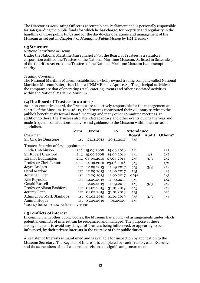The Director as Accounting Officer is accountable to Parliament and is personally responsible for safeguarding the public funds for which he has charge, for propriety and regularity in the handling of those public funds and for the day-to-day operations and management of the Museum as set out in Chapter 3 of *Managing Public Money* by HM Treasury.

# **1.3Structure**

# *National Maritime Museum*

Under the National Maritime Museum Act 1934, the Board of Trustees is a statutory corporation entitled the Trustees of the National Maritime Museum. As listed in Schedule 3 of the Charities Act 2011, the Trustees of the National Maritime Museum is an exempt charity.

# *Trading Company*

The National Maritime Museum established a wholly owned trading company called National Maritime Museum Enterprises Limited (NMME) on 2 April 1985. The principal activities of the company are that of operating retail, catering, events and other associated activities within the National Maritime Museum.

# **1.4The Board of Trustees in 2016–17**

As a non-executive board, the Trustees are collectively responsible for the management and control of the Museum. In 2016–17, the Trustees contributed their voluntary service to the public's benefit at six formal Board meetings and many other committee meetings. In addition to these, the Trustees also attended advocacy and other events during the year and made frequent contributions of advice and guidance to the Museum within their areas of specialism.

|                                             | <b>Term</b> | From                      | To         | <b>Attendance</b> |       |         |
|---------------------------------------------|-------------|---------------------------|------------|-------------------|-------|---------|
| Chairman                                    |             |                           |            | <b>Board</b>      | Audit | Others* |
| <b>Sir Charles Dunstone</b>                 | 1st         | 21.11.2013                | 20.11.2017 | 5/5               |       |         |
| Trustees in order of first appointment      |             |                           |            |                   |       |         |
| Linda Hutchinson                            |             | 2nd 15.09.2008 14.09.2016 |            | 1/1               |       | 2/2     |
| Sir Robert Crawford                         |             | 2nd 15.09.2008            | 14.09.2016 | 1/1               | 1/1   | 2/2     |
| Eleanor Boddington                          |             | 2nd 08.04.2010 07.04.2018 |            | 2/5               | 3/3   | 2/2     |
| Professor Chris Lintott                     | 2nd         | 24.06.2010                | 23.06.2018 | 5/5               |       | 1/2     |
| <b>Joyce Bridges</b>                        | 1st         | 12.09.2013                | 11.09.2017 | 5/5               | 3/3   | 2/2     |
| Carol Marlow                                | 1st         | 12.09.2013                | 11.09.2017 | 5/5               |       | 4/4     |
| Jonathan Ofer                               | 1st         | 12.09.2013                | 11.09.2017 | O/4#              |       | 2/3     |
| Eric Reynolds                               | 1st         | 12.09.2013                | 11.09.2017 | 5/5               |       | 4/4     |
| <b>Gerald Russell</b>                       | 1st         | 12.09.2013                | 11.09.2017 | 4/5               | 3/3   | 2/2     |
| Professor Alison Bashford                   | 1st         | 01.02.2015                | 31.01.2019 | 4/5               |       | 2/2     |
| Jeremy Penn                                 | 1st         | 01.02.2015                | 31.01.2019 | 5/5               |       | 6/6     |
| <b>Admiral Sir Mark Stanhope</b>            | 1st         | 01.02.2015                | 31.01.2019 | 3/5               | 3/3   | 4/4     |
| <b>Aminul Hoque</b>                         |             | 1st 05.09.2016            | 04.09.20   | 4/5               |       |         |
| $*$ see 1.7 helow $*$ now resident overseas |             |                           |            |                   |       |         |

below #now resident overseas

# **1.5Conflicts of interest**

In common with other public bodies, the Museum has a policy of arrangements under which potential conflicts of interest can be recognized and managed. The purpose of these arrangements is to avoid any danger of Trustees being influenced, or appearing to be influenced, by their private interests in the exercise of their public duties.

A Register of Interests is maintained and is available for inspection by application to the Museum Secretary. The Register of Interests is completed by each Trustee, each Executive and those members of staff who make decisions on significant procurement.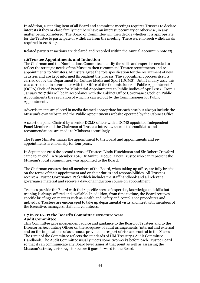In addition, a standing item of all Board and committee meetings requires Trustees to declare interests if they or close family members have an interest, pecuniary or otherwise, in any matter being considered. The Board or Committee will then decide whether it is appropriate for the Trustee to participate or withdraw from the meeting. There were no such withdrawals required in 2016–17.

Related party transactions are declared and recorded within the Annual Account in note 25.

# **1.6Trustee Appointments and Induction**

The Chairman and the Nominations Committee identify the skills and expertise needed to reflect the strategic needs of the Museum then recommend Trustee recruitments and reappointments to Ministers. Ministers agree the role specification for the recruitment of new Trustees and are kept informed throughout the process. The appointment process itself is carried out by the Department for Culture Media and Sport (DCMS). Until January 2017 this was carried out in accordance with the Office of the Commissioner of Public Appointments' (OCPA) Code of Practice for Ministerial Appointments to Public Bodies of April 2012. From 1 January 2017 this will be in accordance with the Cabinet Office Governance Code on Public Appointments the regulation of which is carried out by the Commissioner for Public Appointments.

Advertisements are placed in media deemed appropriate for each case but always include the Museum's own website and the Public Appointments website operated by the Cabinet Office.

A selection panel Chaired by a senior DCMS officer with a DCMS appointed Independent Panel Member and the Chairman of Trustees interview shortlisted candidates and recommendations are made to Ministers accordingly.

The Prime Minister makes the appointment to the Board and appointments and reappointments are normally for four years.

In September 2016 the second terms of Trustees Linda Hutchinson and Sir Robert Crawford came to an end. In September 2016 Dr Aminul Hoque, a new Trustee who can represent the Museum's local communities, was appointed to the Board.

The Chairman ensures that all members of the Board, when taking up office, are fully briefed on the terms of their appointment and on their duties and responsibilities. All Trustees receive a Trustee Governance Pack which includes the staff handbook and all relevant governance material and receive a day-long induction course on appointment.

Trustees provide the Board with their specific areas of expertise, knowledge and skills but training is always offered and available. In addition, from time to time, the Board receives specific briefings on matters such as Health and Safety and compliance procedures and individual Trustees are encouraged to take up departmental visits and meet with members of the Executive, managers, staff and volunteers.

# **1.7 In 2016–17 the Board's Committee structure was: Audit Committee**

This Committee gave independent advice and guidance to the Board of Trustees and to the Director as Accounting Officer on the adequacy of audit arrangements (internal and external) and on the implications of assurances provided in respect of risk and control in the Museum. The remit of the Committee reflects the standards of HM Treasury's Audit Committee Handbook. The Audit Committee usually meets some two weeks before each Trustee Board so that it can communicate any Board level issues at that point as well as assessing the Museum's strategic risk register before it goes forward to the Board.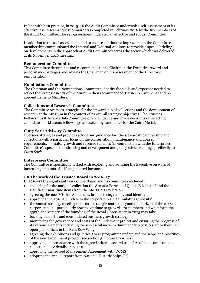In line with best practice, in 2015–16 the Audit Committee undertook a self-assessment of its effectiveness. A formal questionnaire was completed in February 2016 by the five members of the Audit Committee. The self-assessment indicated an effective and robust Committee.

In addition to the self-assessment, and to ensure continuous improvement, the Committee membership commissioned the Internal and External Auditors to provide a special briefing on developments in the approach of Audit Committees across the sector which was delivered at its November 2016 meeting.

# **Remuneration Committee**

This Committee determines and recommends to the Chairman the Executive reward and performance packages and advises the Chairman on his assessment of the Director's remuneration.

# **Nominations Committee**

The Chairman and the Nominations Committee identify the skills and expertise needed to reflect the strategic needs of the Museum then recommended Trustee recruitments and reappointments to Ministers.

# **Collections and Research Committee**

The Committee oversees strategies for the stewardship of collections and the development of research at the Museum in the context of its overall strategic objectives. The Trustees Fellowships & Awards Sub-Committee offers guidance and made decisions on selecting candidates for Museum fellowships and selecting candidates for the Caird Medal.

# **Cutty Sark Advisory Committee**

Oversees strategies and provides advice and guidance for: the stewardship of the ship and collections with a particular focus on the conservation, maintenance and upkeep requirements; visitor growth and revenue schemes (in conjunction with the Enterprises Committee); specialist fundraising and development and policy advice relating specifically to *Cutty Sark.*

# **Enterprises Committee**

The Committee is specifically tasked with exploring and advising the Executive on ways of increasing amounts of self-engendered income.

# **1.8 The work of the Trustee Board in 2016–17**

In 2016–17 the significant work of the Board and its committees included:

- acquiring for the national collection the Armada Portrait of Queen Elizabeth I and the significant maritime items from the MoD's Art Collection
- agreeing the new Mission Statement, brand strategy and visual identity
- approving the 2016-18 update to the corporate plan "Stimulating Curiosity"
- the annual strategy meeting to discuss strategic matters beyond the horizon of the current corporate plan - particularly how to continue to grow visitor numbers and what form the 350th anniversary of the founding of the Royal Observatory in 2025 may take
- backing a holistic and consolidated business growth strategy
- monitoring the governance and costs of the Endeavour project and ensuring the progress of its various elements including the successful move in Summer 2016 of 180 staff to their new open-plan offices in the Park Row Wing
- agreeing the exhibitions and galleries 5 year programme update and the scope and priorities of the new Enrichment project (see section 5. Future Priorities)
- approving, in accordance with the agreed criteria, several transfers of items out from the collection – see details on page 9
- approving the revised Management Agreement with DCMS
- adopting the annual report from National Historic Ships UK.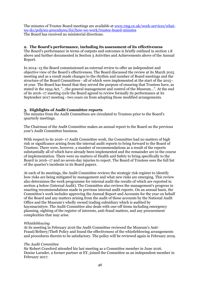The minutes of Trustee Board meetings are available a[t www.rmg.co.uk/work-services/what](http://www.rmg.co.uk/work-services/what-we-do/policies-procedures/foi/how-we-work/trustee-board-minutes)[we-do/policies-procedures/foi/how-we-work/trustee-board-minutes](http://www.rmg.co.uk/work-services/what-we-do/policies-procedures/foi/how-we-work/trustee-board-minutes) The Board has received no ministerial directions.

# **2. The Board's performance, including its assessment of its effectiveness**

The Board's performance in terms of outputs and outcomes is briefly outlined in section 1.8 above and further documented in Section 3 Activities and Achievements above of the Annual Report.

In 2014–15 the Board commissioned an external review to offer an independent and objective view of the Board's effectiveness. The Board discussed the review at its March 2015 meeting and as a result made changes to the rhythm and number of Board meetings and the structure of the Board Committees - all of which were implemented at the start of the 2015– 16 year. The Board has found that they served the purpose of ensuring that Trustees have, as stated in the 1934 Act, "…the general management and control of the Museum…". At the end of its 2016–17 meeting cycle the Board agreed to review formally its performance at its September 2017 meeting - two years on from adopting those modified arrangements.

# **3. Highlights of Audit Committee reports**

The minutes from the Audit Committees are circulated to Trustees prior to the Board's quarterly meetings.

The Chairman of the Audit Committee makes an annual report to the Board on the previous year's Audit Committee business.

With respect to its 2016–17 Audit Committee work, the Committee had no matters of high risk or significance arising from the internal audit reports to bring forward to the Board of Trustees. There were, however, a number of recommendations as a result of the reports substantially all of which have already been implemented and the remainder are in the course of implementation. There were no matters of Health and Safety to bring specifically to the Board in 2016–17 and no seven-day injuries to report. The Board of Trustees sees the full list of the quarter's incidents in its Board papers.

At each of its meetings, the Audit Committee reviews the strategic risk register to identify how risks are being mitigated by management and what new risks are emerging. This review also determines the work programme for internal audit the results of which are reported in section 4 below (Internal Audit). The Committee also reviews the management's progress in enacting recommendations made in previous internal audit reports. On an annual basis, the Committee's work includes approving the Annual Report and Accounts for the year on behalf of the Board and any matters arising from the audit of those accounts by the National Audit Office and the Museum's wholly owned trading subsidiary which is audited by haysmacintyre. The Audit Committee also deals with one-off items including emergency planning, sighting of the register of interests, anti-fraud matters, and any procurement complexities that may arise.

# *Whistleblowing*

At its meeting in February 2016 the Audit Committee reviewed the Museum's Anti-Fraud/Bribery/Theft Policy and found the effectiveness of the whistleblowing arrangements and procedures therein to be satisfactory. The policy will be reviewed again in February 2019.

# *The Audit Committee*

Sir Robert Crawford attended his last meeting as a Committee member in June 2016. Denise Larnder, a former partner at EY, joined the Committee as an independent member in February 2017.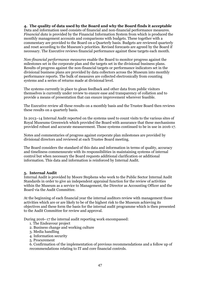# **4. The quality of data used by the Board and why the Board finds it acceptable**

Data and information used consists of financial and non-financial performance measures. *Financial data* is provided by the Financial Information System from which is produced the monthly management accounts and comparisons with budgets. These together with a commentary are provided to the Board on a Quarterly basis. Budgets are reviewed quarterly and reset according to the Museum's priorities. Revised forecasts are agreed by the Board if necessary. The Executive reviews financial performance against these targets each month.

*Non-financial performance measures* enable the Board to monitor progress against the milestones set in the corporate plan and the targets set in the divisional business plans. Results of progress against the non-financial targets or performance indicators set in the divisional business plans are provided by data collectors across the Museum into monthly performance reports. The bulk of measures are collected electronically from counting systems and a series of returns made at divisional level.

The systems currently in place to glean feedback and other data from public visitors themselves is currently under review to ensure ease and transparency of collation and to provide a means of presentation that can ensure improvement wherever feasible.

The Executive review all these results on a monthly basis and the Trustee Board then reviews these results on a quarterly basis.

In 2013–14 Internal Audit reported on the systems used to count visits to the various sites of Royal Museums Greenwich which provided the Board with assurance that these mechanisms provided robust and accurate measurement. Those systems continued to be in use in 2016-17.

Notes and commentaries of progress against corporate plan milestones are provided by divisional directors and reviewed at each Trustee Board meeting.

The Board considers the standard of this data and information in terms of quality, accuracy and timeliness commensurate with its responsibilities in maintaining systems of internal control but when necessary the Board requests additional clarification or additional information. This data and information is reinforced by Internal Audit.

# **5. Internal Audit**

Internal Audit is provided by Moore Stephens who work to the Public Sector Internal Audit Standards in order to give an independent appraisal function for the review of activities within the Museum as a service to Management, the Director as Accounting Officer and the Board via the Audit Committee.

At the beginning of each financial year the internal auditors review with management those activities which are or are likely to be of the highest risk to the Museum achieving its objectives and these form the basis for the internal audit programme which is then presented to the Audit Committee for review and approval.

During 2016–17 the internal audit reporting work encompassed:

- 1. The Endeavour project
- 2. Business change and working culture
- 3. Media handling
- 4. Information security
- 5. Procurement

6. Confirmation of the implementation of previous recommendations and a follow up of recommendations relating to IT and core financial controls.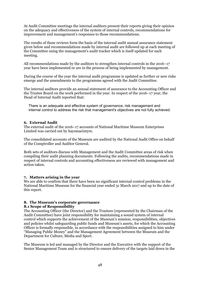At Audit Committee meetings the internal auditors present their reports giving their opinion on the adequacy and effectiveness of the system of internal controls, recommendations for improvement and management's responses to those recommendations.

The results of these reviews form the basis of the internal audit annual assurance statement given below and recommendations made by internal audit are followed up at each meeting of the Committee using the management's audit tracker which is itself updated for each meeting.

All recommendations made by the auditors to strengthen internal controls in the 2016–17 year have been implemented or are in the process of being implemented by management.

During the course of the year the internal audit programme is updated as further or new risks emerge and the amendments to the programme agreed with the Audit Committee.

The internal auditors provide an annual statement of assurance to the Accounting Officer and the Trustee Board on the work performed in the year. In respect of the 2016–17 year, the Head of Internal Audit reported that:

There is an adequate and effective system of governance, risk management and internal control to address the risk that management's objectives are not fully achieved.

# **6. External Audit**

The external audit of the 2016–17 accounts of National Maritime Museum Enterprises Limited was carried out by haysmacintyre.

The consolidated accounts of the Museum are audited by the National Audit Office on behalf of the Comptroller and Auditor General.

Both sets of auditors discuss with Management and the Audit Committee areas of risk when compiling their audit planning documents. Following the audits, recommendations made in respect of internal controls and accounting effectiveness are reviewed with management and action taken.

# **7. Matters arising in the year**

We are able to confirm that there have been no significant internal control problems in the National Maritime Museum for the financial year ended 31 March 2017 and up to the date of this report.

# **8. The Museum's corporate governance**

# **8.1 Scope of Responsibility**

The Accounting Officer (the Director) and the Trustees (represented by the Chairman of the Audit Committee) have joint responsibility for maintaining a sound system of internal control which supports the achievement of the Museum's mission, responsibilities, objectives and policies whilst safeguarding public funds and Museum's assets, for which the Accounting Officer is formally responsible, in accordance with the responsibilities assigned to him under "Managing Public Money" and the Management Agreement between the Museum and the Department for Culture, Media and Sport.

The Museum is led and managed by the Director and the Executive with the support of the Senior Management Team and is structured to ensure delivery of the targets laid down in the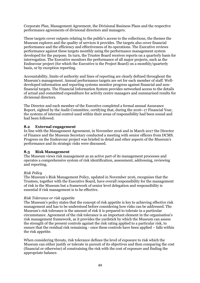Corporate Plan, Management Agreement, the Divisional Business Plans and the respective performance agreements of divisional directors and managers.

These targets cover outputs relating to the public's access to the collections, the themes the Museum explores and the quality of services it provides. The targets also cover financial performance and the efficiency and effectiveness of its operations. The Executive reviews performance against these targets monthly using the performance management system developed for the purpose. In turn, the Trustee Board receives reports on a quarterly basis for interrogation. The Executive monitors the performance of all major projects, such as the Endeavour project (for which the Executive is the Project Board) on a monthly/quarterly basis, or by exception reporting.

Accountability, limits of authority and lines of reporting are clearly defined throughout the Museum's management. Annual performance targets are set for each member of staff. Welldeveloped information and reporting systems monitor progress against financial and nonfinancial targets. The Financial Information System provides networked access to the details of actual and committed expenditure for activity centre managers and summarised results for divisional directors.

The Director and each member of the Executive completed a formal annual Assurance Report, sighted by the Audit Committee, certifying that, during the 2016–17 Financial Year, the systems of internal control used within their areas of responsibility had been sound and had been followed.

# **8.2 External engagement**

In line with the Management Agreement, in November 2016 and in March 2017 the Director of Finance and the Museum Secretary conducted a meeting with senior officers from DCMS. Progress on the Endeavour project was briefed in detail and other aspects of the Museum's performance and its strategic risks were discussed.

# **8.3 Risk Management**

The Museum views risk management as an active part of its management processes and operates a comprehensive system of risk identification, assessment, addressing, reviewing and reporting.

# *Risk Policy*

The Museum's Risk Management Policy, updated in November 2016, recognises that the Trustees, together with the Executive Board, have overall responsibility for the management of risk in the Museum but a framework of senior level delegation and responsibility is essential if risk management is to be effective.

# *Risk Tolerance or risk appetite*

The Museum's policy states that the concept of risk appetite is key to achieving effective risk management and has to be understood before considering how risks can be addressed. The Museum's risk tolerance is the amount of risk it is prepared to tolerate in a particular circumstance. Agreement of the risk tolerance is an important element in the organisation's risk management framework, as it provides the yardstick by which the Museum can assess the strength of the present controls against the risk rating applied to a particular risk, to ensure that the residual risk remaining - once these controls have been applied – falls within the risk appetite.

When considering threats, risk tolerance defines the level of exposure to risk which the Museum can either justify or tolerate in pursuit of its objectives and then comparing the cost (financial or otherwise) of constraining the risk with the cost of exposure and finding the appropriate balance.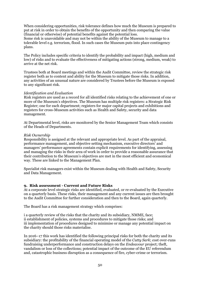When considering opportunities, risk tolerance defines how much the Museum is prepared to put at risk in order to obtain the benefits of the opportunity and then comparing the value (financial or otherwise) of potential benefits against the potential loss. Some risk is unavoidable and may not be within the ability of the Museum to manage to a tolerable level e.g. terrorism, flood. In such cases the Museum puts into place contingency plans.

The Policy includes specific criteria to identify the probability and impact (high, medium and low) of risks and to evaluate the effectiveness of mitigating actions (strong, medium, weak) to arrive at the net risk.

Trustees both at Board meetings and within the Audit Committee, review the strategic risk register both as to content and ability for the Museum to mitigate those risks. In addition, any activities of an unusual nature are considered by Trustees before the Museum is exposed to any significant risk.

# *Identification and Evaluation*

Risk registers are used as a record for all identified risks relating to the achievement of one or more of the Museum's objectives. The Museum has multiple risk registers: a Strategic Risk Register; one for each department; registers for major capital projects and exhibitions and registers for cross-Museum activities such as Health and Safety, security and data management.

At Departmental level, risks are monitored by the Senior Management Team which consists of the Heads of Departments.

# *Risk Ownership*

Responsibility is assigned at the relevant and appropriate level. As part of the appraisal, performance management, and objective setting mechanism, executive directors' and managers' performance agreements contain explicit requirements for identifying, assessing and managing the risks in their area of work in order to provide a reasonable assurance that their contribution to the Museum's objectives are met in the most efficient and economical way. These are linked to the Management Plan.

Specialist risk managers exist within the Museum dealing with Health and Safety, Security and Data Management.

# **9. Risk assessment - Current and Future Risks**

At a corporate level strategic risks are identified, evaluated, or re-evaluated by the Executive on a quarterly basis. These risks, their management and any current issues are then brought to the Audit Committee for further consideration and then to the Board, again quarterly.

The Board has a risk management strategy which comprises:

i a quarterly review of the risks that the charity and its subsidiary, NMME, face; ii establishment of policies, systems and procedures to mitigate those risks; and iii implementation of procedures designed to minimise or manage any potential impact on the charity should those risks materialise.

In 2016–17 this work has identified the following principal risks for both the charity and its subsidiary: the profitability of the financial operating model of the *Cutty Sark*; cost over-runs fundraising underperformance and construction delays on the *Endeavour* project; theft, vandalism or loss of the collections; potential impact of the outcome of the EU referendum and, catastrophic business disruption as a consequence of fire, cyber-crime or terrorism.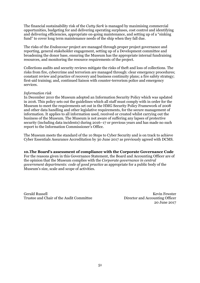The financial sustainability risk of the *Cutty Sark* is managed by maximising commercial opportunities, budgeting for and delivering operating surpluses, cost control and identifying and delivering efficiencies, appropriate on-going maintenance, and setting up of a "sinking fund" to cover long term maintenance needs of the ship when they fall due.

The risks of the *Endeavour* project are managed through proper project governance and reporting, general stakeholder engagement, setting up of a Development committee and broadening the donor base, ensuring the Museum has the appropriate internal fundraising resources, and monitoring the resource requirements of the project.

Collections audits and security reviews mitigate the risks of theft and loss of collections. The risks from fire, cybercrime and terrorism are managed through: clear emergency procedures; constant review and practice of recovery and business continuity plans; a fire safety strategy; first-aid training; and, continued liaison with counter-terrorism police and emergency services.

# *Information risk*

In December 2010 the Museum adopted an Information Security Policy which was updated in 2016. This policy sets out the guidelines which all staff must comply with in order for the Museum to meet the requirements set out in the HMG Security Policy Framework of 2008 and other data handling and other legislative requirements, for the secure management of information. It applies to all information used, received or created whilst carrying out the business of the Museum. The Museum is not aware of suffering any lapses of protective security (including data incidents) during 2016–17 or previous years and has made no such report to the Information Commissioner's Office.

The Museum meets the standard of the 10 Steps to Cyber Security and is on track to achieve Cyber Essentials Assurance Accreditation by 30 June 2017 as previously agreed with DCMS.

# **10.The Board's assessment of compliance with the Corporate Governance Code**

For the reasons given in this Governance Statement, the Board and Accounting Officer are of the opinion that the Museum complies with the *Corporate governance in central government departments: code of good practice* as appropriate for a public body of the Museum's size, scale and scope of activities.

Gerald Russell<br>Trustee and Chair of the Audit Committee Medianus Director and Accounting Officer Trustee and Chair of the Audit Committee

20 June 2017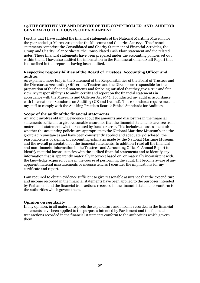# **13.THE CERTIFICATE AND REPORT OF THE COMPTROLLER AND AUDITOR GENERAL TO THE HOUSES OF PARLIAMENT**

I certify that I have audited the financial statements of the National Maritime Museum for the year ended 31 March 2017 under the Museums and Galleries Act 1992. The financial statements comprise: the Consolidated and Charity Statement of Financial Activities, the Group and Charity Balance Sheets, the Consolidated Cash Flow Statement and the related notes. These financial statements have been prepared under the accounting policies set out within them. I have also audited the information in the Remuneration and Staff Report that is described in that report as having been audited.

# **Respective responsibilities of the Board of Trustees, Accounting Officer and auditor**

As explained more fully in the Statement of the Responsibilities of the Board of Trustees and the Director as Accounting Officer, the Trustees and the Director are responsible for the preparation of the financial statements and for being satisfied that they give a true and fair view. My responsibility is to audit, certify and report on the financial statements in accordance with the Museums and Galleries Act 1992. I conducted my audit in accordance with International Standards on Auditing (UK and Ireland). Those standards require me and my staff to comply with the Auditing Practices Board's Ethical Standards for Auditors.

# **Scope of the audit of the financial statements**

An audit involves obtaining evidence about the amounts and disclosures in the financial statements sufficient to give reasonable assurance that the financial statements are free from material misstatement, whether caused by fraud or error. This includes an assessment of: whether the accounting policies are appropriate to the National Maritime Museum's and the group's circumstances and have been consistently applied and adequately disclosed; the reasonableness of significant accounting estimates made by the National Maritime Museum; and the overall presentation of the financial statements. In addition I read all the financial and non-financial information in the Trustees' and Accounting Officer's Annual Report to identify material inconsistencies with the audited financial statements and to identify any information that is apparently materially incorrect based on, or materially inconsistent with, the knowledge acquired by me in the course of performing the audit. If I become aware of any apparent material misstatements or inconsistencies I consider the implications for my certificate and report.

I am required to obtain evidence sufficient to give reasonable assurance that the expenditure and income recorded in the financial statements have been applied to the purposes intended by Parliament and the financial transactions recorded in the financial statements conform to the authorities which govern them.

# **Opinion on regularity**

In my opinion, in all material respects the expenditure and income recorded in the financial statements have been applied to the purposes intended by Parliament and the financial transactions recorded in the financial statements conform to the authorities which govern them.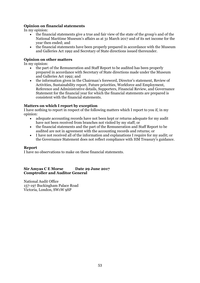# **Opinion on financial statements**

In my opinion:

- the financial statements give a true and fair view of the state of the group's and of the National Maritime Museum's affairs as at 31 March 2017 and of its net income for the year then ended; and
- the financial statements have been properly prepared in accordance with the Museum and Galleries Act 1992 and Secretary of State directions issued thereunder.

# **Opinion on other matters**

In my opinion:

- the part of the Remuneration and Staff Report to be audited has been properly prepared in accordance with Secretary of State directions made under the Museum and Galleries Act 1992; and
- the information given in the Chairman's foreword, Director's statement, Review of Activities, Sustainability report, Future priorities, Workforce and Employment, Reference and Administrative details, Supporters, Financial Review, and Governance Statement for the financial year for which the financial statements are prepared is consistent with the financial statements.

# **Matters on which I report by exception**

I have nothing to report in respect of the following matters which I report to you if, in my opinion:

- adequate accounting records have not been kept or returns adequate for my audit have not been received from branches not visited by my staff; or
- the financial statements and the part of the Remuneration and Staff Report to be audited are not in agreement with the accounting records and returns; or
- I have not received all of the information and explanations I require for my audit; or the Governance Statement does not reflect compliance with HM Treasury's guidance.

# **Report**

I have no observations to make on these financial statements.

# **Sir Amyas C E Morse Date 29 June 2017 Comptroller and Auditor General**

National Audit Office 157-197 Buckingham Palace Road Victoria, London, SW1W 9SP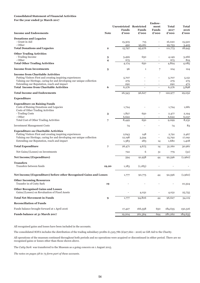### **Consolidated Statement of Financial Activities**

**For the year ended 31 March 2017**

|                                                                       |             |                         | Endow-       |                          |              |         |  |
|-----------------------------------------------------------------------|-------------|-------------------------|--------------|--------------------------|--------------|---------|--|
|                                                                       |             | Unrestricted Restricted |              | ment                     | <b>Total</b> | Total   |  |
|                                                                       |             | Funds                   | <b>Funds</b> | <b>Funds</b>             | 2017         | 2016    |  |
| <b>Income and Endowments</b>                                          | <b>Note</b> | £'000                   | £'000        | £'000                    | £'000        | £'000   |  |
| <b>Donations and Legacies</b>                                         |             |                         |              |                          |              |         |  |
| - Grant in Aid                                                        |             | 15,305                  | 715          | $\overline{\phantom{m}}$ | 16,020       | 15,520  |  |
| - Other                                                               |             | 492                     | 95,261       |                          | 95,753       | 3,425   |  |
| <b>Total Donations and Legacies</b>                                   | $\mathbf 2$ | 15,797                  | 95,976       | $\overline{\phantom{a}}$ | 111,773      | 18,945  |  |
| <b>Other Trading Activities</b>                                       |             |                         |              |                          |              |         |  |
| - Trading Income                                                      | 3           | 3,499                   | 650          | $\overline{\phantom{0}}$ | 4,149        | 3,266   |  |
| - Other                                                               | 4           | 675                     |              | $\overline{\phantom{a}}$ | 675          | 819     |  |
| <b>Total Other Trading Activities</b>                                 |             | 4,174                   | 650          | $\overline{\phantom{a}}$ | 4,824        | 4,085   |  |
| <b>Income from Investments</b>                                        | 5           | 96                      | $\mathbf 1$  | 7                        | 104          | 124     |  |
| <b>Income from Charitable Activities</b>                              |             |                         |              |                          |              |         |  |
| Putting Visitors First and creating inspiring experiences             |             | 5,707                   |              |                          | 5,707        | 5,151   |  |
| Valuing our Heritage, caring for and developing our unique collection |             | 279                     |              |                          | 279          | 275     |  |
| Extending our Reputation, reach and impact                            |             | 290                     |              |                          | 290          | 472     |  |
| <b>Total Income from Charitable Activities</b>                        | 6           | 6,276                   |              |                          | 6,276        | 5,898   |  |
| <b>Total Income and Endowments</b>                                    |             | 26,343                  | 96,627       | 7                        | 122,977      | 29,052  |  |
| <b>Expenditure</b>                                                    |             |                         |              |                          |              |         |  |
| <b>Expenditure on Raising Funds</b>                                   |             |                         |              |                          |              |         |  |
| Costs of Raising Donations and Legacies                               |             | 1,724                   |              |                          | 1,724        | 1,681   |  |
| Costs of Other Trading Activities                                     |             |                         |              |                          |              |         |  |
| - Trading Costs                                                       | 3           | 1,827                   | 650          |                          | 2,477        | 2,194   |  |
| - Other                                                               |             | 6,622                   |              | $\overline{\phantom{a}}$ | 6,622        | 6,037   |  |
| Total Cost of Other Trading Activities                                | 7           | 8,449                   | 650          | $\overline{\phantom{a}}$ | 9,099        | 8,231   |  |
| <b>Investment Management Costs</b>                                    |             | 74                      |              |                          | 74           | 83      |  |
| <b>Expenditure on Charitable Activities</b>                           |             |                         |              |                          |              |         |  |
| Putting Visitors First and creating inspiring experiences             |             | 2,643                   | 148          |                          | 2,791        | 2,467   |  |
| Valuing our Heritage, caring for and developing our unique collection |             | 12,198                  | 3,594        | $\overline{\phantom{a}}$ | 15,792       | 17,091  |  |
| Extending our Reputation, reach and impact                            |             | 1,383                   | 283          | 14                       | 1,680        | 1,408   |  |
| <b>Total Expenditure</b>                                              | 7           | 26,471                  | 4,675        | 14                       | 31,160       | 30,961  |  |
| Net Gains/(Losses) on Investments                                     |             | 722                     | 6            | 51                       | 779          | (51)    |  |
| Net Income/(Expenditure)                                              |             | 594                     | 91,958       | 44                       | 92,596       | (1,960) |  |
| <b>Transfers</b>                                                      |             |                         |              |                          |              |         |  |
| Transfers between funds                                               | 19,20       | 1,183                   | (1,183)      |                          |              |         |  |
| Net Income/(Expenditure) before other Recognised Gains and Losses     |             | 1,777                   | 90,775       | 44                       | 92,596       | (1,960) |  |
| <b>Other Incoming Resources</b>                                       |             |                         |              |                          |              |         |  |
| Transfer in of Cutty Sark                                             | 19          |                         |              |                          |              | 10,324  |  |
| <b>Other Recognised Gains and Losses</b>                              |             |                         |              |                          |              |         |  |
| Gains/(Losses) on Revaluation of Fixed Assets                         |             |                         | 4,031        | $\overline{\phantom{a}}$ | 4,031        | 25,755  |  |
| <b>Total Net Movement in Funds</b>                                    | 9           | 1,777                   | 94,806       | 44                       | 96,627       | 34,119  |  |
| <b>Reconciliation of Funds</b>                                        |             |                         |              |                          |              |         |  |
| Funds balance brought forward at 1 April 2016                         |             | 17,427                  | 166,558      | 650                      | 184,635      | 150,516 |  |
| Funds balance at 31 March 2017                                        |             | 19,204                  | 261,364      | 694                      | 281,262      | 184,635 |  |

All recognised gains and losses have been included in the accounts.

The consolidated SOFA includes the distribution of the trading subsidiary profits £1,525,786 (£927,660 - 2016) as Gift Aid to the Charity.

All operations of the museum continued throughout both periods and no operations were acquired or discontinued in either period. There are no recognised gains or losses other than those shown above.

The *Cutty Sark* was transferred to the Museum as a going concern on 1 August 2015.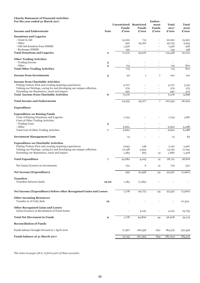### **Charity Statement of Financial Activities For the year ended 31 March 2017**

| For the year ended 31 March 2017                                                          |              |                          |                          | Endow-                                               |                          |               |
|-------------------------------------------------------------------------------------------|--------------|--------------------------|--------------------------|------------------------------------------------------|--------------------------|---------------|
|                                                                                           |              | Unrestricted Restricted  |                          | ment                                                 | Total                    | Total         |
| <b>Income and Endowments</b>                                                              | <b>Note</b>  | <b>Funds</b><br>£'000    | <b>Funds</b><br>£'000    | <b>Funds</b><br>£'000                                | 2017<br>£'000            | 2016<br>£'000 |
| <b>Donations and Legacies</b>                                                             |              |                          |                          |                                                      |                          |               |
| - Grant in Aid                                                                            |              | 15,305                   | 715                      |                                                      | 16,020                   | 15,520        |
| - Other                                                                                   |              | 492                      | 95,261                   |                                                      | 95,753                   | 3,425         |
| - Gift Aid donation from NMME                                                             |              | 1,526                    |                          | $\overline{\phantom{a}}$                             | 1,526                    | 928           |
| - Recharges NMME<br><b>Total Donations and Legacies</b>                                   | $\mathbf{2}$ | 149                      | $\overline{\phantom{a}}$ | $\overline{\phantom{a}}$<br>$\overline{\phantom{a}}$ | 149<br>113,448           | 148<br>20,021 |
|                                                                                           |              | 17,472                   | 95,976                   |                                                      |                          |               |
| <b>Other Trading Activities</b>                                                           |              |                          |                          |                                                      |                          |               |
| - Trading Income                                                                          | 3            | $\overline{\phantom{a}}$ | $\overline{\phantom{a}}$ | $\overline{\phantom{a}}$                             | $\overline{\phantom{a}}$ |               |
| - Other                                                                                   | 4            | 715                      | $\overline{\phantom{a}}$ | $\overline{\phantom{a}}$                             | 715                      | 870           |
| <b>Total Other Trading Activities</b>                                                     |              | 715                      |                          |                                                      | 715                      | 870           |
| <b>Income from Investments</b>                                                            | 5            | 92                       | $\mathbf{1}$             | 7                                                    | 100                      | 120           |
| <b>Income from Charitable Activities</b>                                                  |              |                          |                          |                                                      |                          |               |
| Putting Visitors First and creating inspiring experiences                                 |              | 5,707                    |                          |                                                      | 5,707                    | 5,151         |
| Valuing our Heritage, caring for and developing our unique collection                     |              | 279                      |                          | $\overline{\phantom{0}}$                             | 279                      | 275           |
| Extending our Reputation, reach and impact                                                |              | 290                      |                          |                                                      | 290                      | 472           |
| <b>Total Income from Charitable Activities</b>                                            | 6            | 6,276                    | $\overline{\phantom{a}}$ | $\overline{\phantom{a}}$                             | 6,276                    | 5,898         |
| <b>Total Income and Endowments</b>                                                        |              | 24,555                   | 95,977                   | 7                                                    | 120,539                  | 26,909        |
| <b>Expenditure</b>                                                                        |              |                          |                          |                                                      |                          |               |
| <b>Expenditure on Raising Funds</b>                                                       |              |                          |                          |                                                      |                          |               |
| Costs of Raising Donations and Legacies                                                   |              | 1,724                    |                          |                                                      | 1,724                    | 1,681         |
| Costs of Other Trading Activities                                                         |              |                          |                          |                                                      |                          |               |
| - Trading Costs                                                                           | 3            |                          |                          |                                                      |                          |               |
| - Other                                                                                   |              | 6,660                    | $\overline{\phantom{a}}$ | $\overline{\phantom{a}}$                             | 6,660                    | 6,088         |
| Total Cost of Other Trading Activities                                                    | 7            | 6,660                    | $\overline{a}$           |                                                      | 6,660                    | 6,088         |
| <b>Investment Management Costs</b>                                                        |              | 74                       |                          |                                                      | 74                       | 83            |
| <b>Expenditure on Charitable Activities</b>                                               |              |                          |                          |                                                      |                          |               |
| Putting Visitors First and creating inspiring experiences                                 |              | 2,643                    | 148                      |                                                      | 2,791                    | 2,467         |
| Valuing our Heritage, caring for and developing our unique collection                     |              | 12,198                   | 3,594                    | $\overline{\phantom{a}}$                             | 15,792                   | 17,091        |
| Extending our Reputation, reach and impact                                                |              | 1,383                    | 283                      | 14                                                   | 1,680                    | 1,408         |
| <b>Total Expenditure</b>                                                                  | 7            | 24,682                   | 4,025                    | 14                                                   | 28,721                   | 28,818        |
| Net Gains/(Losses) on Investments                                                         |              |                          | 6                        |                                                      |                          |               |
|                                                                                           |              | 722                      |                          | 51                                                   | 779                      | (51)          |
| Net Income/(Expenditure)                                                                  |              | 595                      | 91,958                   | 44                                                   | 92,597                   | (1,960)       |
| <b>Transfers</b>                                                                          |              |                          |                          |                                                      |                          |               |
| Transfers between funds                                                                   | 19,20        | 1,183                    | (1,183)                  |                                                      |                          |               |
| Net Income/(Expenditure) before other Recognised Gains and Losses                         |              | 1,778                    | 90,775                   | 44                                                   | 92,597                   | (1,960)       |
|                                                                                           |              |                          |                          |                                                      |                          |               |
| <b>Other incoming Resources</b><br>Transfer in of Cutty Sark                              |              |                          |                          | $\overline{a}$                                       |                          |               |
|                                                                                           | 19           |                          |                          |                                                      |                          | 10,324        |
| <b>Other Recognised Gains and Losses</b><br>Gains/(Losses) on Revaluation of Fixed Assets |              |                          | 4,031                    | $\overline{\phantom{a}}$                             | 4,031                    | 25,755        |
| <b>Total Net Movement in Funds</b>                                                        | 9            | 1,778                    | 94,806                   | 44                                                   | 96,628                   | 34,119        |
| <b>Reconciliation of Funds</b>                                                            |              |                          |                          |                                                      |                          |               |
| Funds balance brought forward at 1 April 2016                                             |              | 17,367                   | 166,558                  | 650                                                  | 184,575                  | 150,456       |
| Funds balance at 31 March 2017                                                            |              | 19,145                   | 261,364                  | 694                                                  | 281,203                  | 184,575       |
|                                                                                           |              |                          |                          |                                                      |                          |               |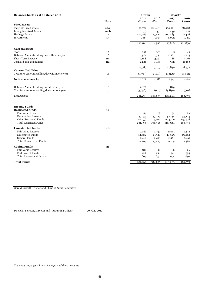| 2016<br>2016<br>2017<br>2017<br><b>Note</b><br>£'000<br>£'000<br>£'000<br>£'000<br><b>Fixed assets</b><br>Tangible Fixed assets<br>158,428<br>158,428<br>10.a<br>170,721<br>170,721<br><b>Intangible Fixed Assets</b><br>10.b<br>439<br>439<br>471<br>471<br>Heritage Assets<br>12<br>100,485<br>100,485<br>17,426<br>17,426<br>Investments<br>6,023<br>13<br>5,523<br>5,025<br>5,525<br>277,168<br>277,668<br>181,850<br>181,350<br><b>Current assets</b><br>Stock<br>85<br>301<br>15<br>397<br>49<br>Debtors: Amounts falling due within one year<br>16<br>10,181<br>8,961<br>1,354<br>2,244<br>Short-Term Deposit<br>1,188<br>1,188<br>3,161<br>3,161<br>24<br>2,983<br>4,481<br>382<br>24<br>2,241<br>11,836<br>12,787<br>8,437<br>9,297<br><b>Current liabilities</b><br>(4,715)<br>(5,111)<br>(4,323)<br>(4, 811)<br>17<br><b>Net current assets</b><br>8,072<br>4,186<br>3,626<br>7,513<br>Debtors: Amounts falling due after one year<br>16<br>1,879<br>1,879<br>$\overline{\phantom{a}}$<br>(5,856)<br>(901)<br>(5,856)<br>(901)<br>17<br><b>Net Assets</b><br>281,263<br>184,635<br>281,204<br>184,575<br><b>Income Funds</b><br><b>Restricted funds:</b><br>19<br><b>Fair Value Reserve</b><br>29<br>54<br>54<br>29<br><b>Revaluation Reserve</b><br>53,123<br>57,154<br>53,123<br>57,154<br>Other Restricted Funds<br>204,156<br>113,406<br>113,406<br>204,156<br><b>Total Restricted Funds</b><br>166,558<br>166,558<br>261,364<br>261,364<br><b>Unrestricted funds:</b><br>20<br>Fair Value Reserve<br>2,061<br>2,061<br>1,392<br>1,392<br>Designated Funds<br>14,682<br>14,623<br>13,484<br>13,544<br>General Funds<br>2,461<br>2,461<br>2,491<br>2,491<br>Total Unrestricted Funds<br>17,367<br>19,204<br>17,427<br>19,145<br><b>Capital Funds</b><br>21<br><b>Fair Value Reserve</b><br>182<br>182<br>96<br>96<br><b>Endowment Funds</b><br>512<br>512<br>554<br>554<br><b>Total Endowment Funds</b><br>694<br>650<br>694<br>650 | Balance Sheets as at 31 March 2017             | Group   |         | Charity |         |
|---------------------------------------------------------------------------------------------------------------------------------------------------------------------------------------------------------------------------------------------------------------------------------------------------------------------------------------------------------------------------------------------------------------------------------------------------------------------------------------------------------------------------------------------------------------------------------------------------------------------------------------------------------------------------------------------------------------------------------------------------------------------------------------------------------------------------------------------------------------------------------------------------------------------------------------------------------------------------------------------------------------------------------------------------------------------------------------------------------------------------------------------------------------------------------------------------------------------------------------------------------------------------------------------------------------------------------------------------------------------------------------------------------------------------------------------------------------------------------------------------------------------------------------------------------------------------------------------------------------------------------------------------------------------------------------------------------------------------------------------------------------------------------------------------------------------------------------------------------------------------------------------------------------------------------------------------|------------------------------------------------|---------|---------|---------|---------|
|                                                                                                                                                                                                                                                                                                                                                                                                                                                                                                                                                                                                                                                                                                                                                                                                                                                                                                                                                                                                                                                                                                                                                                                                                                                                                                                                                                                                                                                                                                                                                                                                                                                                                                                                                                                                                                                                                                                                                   |                                                |         |         |         |         |
|                                                                                                                                                                                                                                                                                                                                                                                                                                                                                                                                                                                                                                                                                                                                                                                                                                                                                                                                                                                                                                                                                                                                                                                                                                                                                                                                                                                                                                                                                                                                                                                                                                                                                                                                                                                                                                                                                                                                                   |                                                |         |         |         |         |
|                                                                                                                                                                                                                                                                                                                                                                                                                                                                                                                                                                                                                                                                                                                                                                                                                                                                                                                                                                                                                                                                                                                                                                                                                                                                                                                                                                                                                                                                                                                                                                                                                                                                                                                                                                                                                                                                                                                                                   |                                                |         |         |         |         |
|                                                                                                                                                                                                                                                                                                                                                                                                                                                                                                                                                                                                                                                                                                                                                                                                                                                                                                                                                                                                                                                                                                                                                                                                                                                                                                                                                                                                                                                                                                                                                                                                                                                                                                                                                                                                                                                                                                                                                   |                                                |         |         |         |         |
|                                                                                                                                                                                                                                                                                                                                                                                                                                                                                                                                                                                                                                                                                                                                                                                                                                                                                                                                                                                                                                                                                                                                                                                                                                                                                                                                                                                                                                                                                                                                                                                                                                                                                                                                                                                                                                                                                                                                                   |                                                |         |         |         |         |
|                                                                                                                                                                                                                                                                                                                                                                                                                                                                                                                                                                                                                                                                                                                                                                                                                                                                                                                                                                                                                                                                                                                                                                                                                                                                                                                                                                                                                                                                                                                                                                                                                                                                                                                                                                                                                                                                                                                                                   |                                                |         |         |         |         |
|                                                                                                                                                                                                                                                                                                                                                                                                                                                                                                                                                                                                                                                                                                                                                                                                                                                                                                                                                                                                                                                                                                                                                                                                                                                                                                                                                                                                                                                                                                                                                                                                                                                                                                                                                                                                                                                                                                                                                   |                                                |         |         |         |         |
|                                                                                                                                                                                                                                                                                                                                                                                                                                                                                                                                                                                                                                                                                                                                                                                                                                                                                                                                                                                                                                                                                                                                                                                                                                                                                                                                                                                                                                                                                                                                                                                                                                                                                                                                                                                                                                                                                                                                                   |                                                |         |         |         |         |
|                                                                                                                                                                                                                                                                                                                                                                                                                                                                                                                                                                                                                                                                                                                                                                                                                                                                                                                                                                                                                                                                                                                                                                                                                                                                                                                                                                                                                                                                                                                                                                                                                                                                                                                                                                                                                                                                                                                                                   |                                                |         |         |         |         |
|                                                                                                                                                                                                                                                                                                                                                                                                                                                                                                                                                                                                                                                                                                                                                                                                                                                                                                                                                                                                                                                                                                                                                                                                                                                                                                                                                                                                                                                                                                                                                                                                                                                                                                                                                                                                                                                                                                                                                   |                                                |         |         |         |         |
|                                                                                                                                                                                                                                                                                                                                                                                                                                                                                                                                                                                                                                                                                                                                                                                                                                                                                                                                                                                                                                                                                                                                                                                                                                                                                                                                                                                                                                                                                                                                                                                                                                                                                                                                                                                                                                                                                                                                                   |                                                |         |         |         |         |
|                                                                                                                                                                                                                                                                                                                                                                                                                                                                                                                                                                                                                                                                                                                                                                                                                                                                                                                                                                                                                                                                                                                                                                                                                                                                                                                                                                                                                                                                                                                                                                                                                                                                                                                                                                                                                                                                                                                                                   |                                                |         |         |         |         |
|                                                                                                                                                                                                                                                                                                                                                                                                                                                                                                                                                                                                                                                                                                                                                                                                                                                                                                                                                                                                                                                                                                                                                                                                                                                                                                                                                                                                                                                                                                                                                                                                                                                                                                                                                                                                                                                                                                                                                   | Cash at bank and in hand                       |         |         |         |         |
|                                                                                                                                                                                                                                                                                                                                                                                                                                                                                                                                                                                                                                                                                                                                                                                                                                                                                                                                                                                                                                                                                                                                                                                                                                                                                                                                                                                                                                                                                                                                                                                                                                                                                                                                                                                                                                                                                                                                                   |                                                |         |         |         |         |
|                                                                                                                                                                                                                                                                                                                                                                                                                                                                                                                                                                                                                                                                                                                                                                                                                                                                                                                                                                                                                                                                                                                                                                                                                                                                                                                                                                                                                                                                                                                                                                                                                                                                                                                                                                                                                                                                                                                                                   |                                                |         |         |         |         |
|                                                                                                                                                                                                                                                                                                                                                                                                                                                                                                                                                                                                                                                                                                                                                                                                                                                                                                                                                                                                                                                                                                                                                                                                                                                                                                                                                                                                                                                                                                                                                                                                                                                                                                                                                                                                                                                                                                                                                   | Creditors: Amounts falling due within one year |         |         |         |         |
|                                                                                                                                                                                                                                                                                                                                                                                                                                                                                                                                                                                                                                                                                                                                                                                                                                                                                                                                                                                                                                                                                                                                                                                                                                                                                                                                                                                                                                                                                                                                                                                                                                                                                                                                                                                                                                                                                                                                                   |                                                |         |         |         |         |
|                                                                                                                                                                                                                                                                                                                                                                                                                                                                                                                                                                                                                                                                                                                                                                                                                                                                                                                                                                                                                                                                                                                                                                                                                                                                                                                                                                                                                                                                                                                                                                                                                                                                                                                                                                                                                                                                                                                                                   |                                                |         |         |         |         |
|                                                                                                                                                                                                                                                                                                                                                                                                                                                                                                                                                                                                                                                                                                                                                                                                                                                                                                                                                                                                                                                                                                                                                                                                                                                                                                                                                                                                                                                                                                                                                                                                                                                                                                                                                                                                                                                                                                                                                   | Creditors: Amounts falling due after one year  |         |         |         |         |
|                                                                                                                                                                                                                                                                                                                                                                                                                                                                                                                                                                                                                                                                                                                                                                                                                                                                                                                                                                                                                                                                                                                                                                                                                                                                                                                                                                                                                                                                                                                                                                                                                                                                                                                                                                                                                                                                                                                                                   |                                                |         |         |         |         |
|                                                                                                                                                                                                                                                                                                                                                                                                                                                                                                                                                                                                                                                                                                                                                                                                                                                                                                                                                                                                                                                                                                                                                                                                                                                                                                                                                                                                                                                                                                                                                                                                                                                                                                                                                                                                                                                                                                                                                   |                                                |         |         |         |         |
|                                                                                                                                                                                                                                                                                                                                                                                                                                                                                                                                                                                                                                                                                                                                                                                                                                                                                                                                                                                                                                                                                                                                                                                                                                                                                                                                                                                                                                                                                                                                                                                                                                                                                                                                                                                                                                                                                                                                                   |                                                |         |         |         |         |
|                                                                                                                                                                                                                                                                                                                                                                                                                                                                                                                                                                                                                                                                                                                                                                                                                                                                                                                                                                                                                                                                                                                                                                                                                                                                                                                                                                                                                                                                                                                                                                                                                                                                                                                                                                                                                                                                                                                                                   |                                                |         |         |         |         |
|                                                                                                                                                                                                                                                                                                                                                                                                                                                                                                                                                                                                                                                                                                                                                                                                                                                                                                                                                                                                                                                                                                                                                                                                                                                                                                                                                                                                                                                                                                                                                                                                                                                                                                                                                                                                                                                                                                                                                   |                                                |         |         |         |         |
|                                                                                                                                                                                                                                                                                                                                                                                                                                                                                                                                                                                                                                                                                                                                                                                                                                                                                                                                                                                                                                                                                                                                                                                                                                                                                                                                                                                                                                                                                                                                                                                                                                                                                                                                                                                                                                                                                                                                                   |                                                |         |         |         |         |
|                                                                                                                                                                                                                                                                                                                                                                                                                                                                                                                                                                                                                                                                                                                                                                                                                                                                                                                                                                                                                                                                                                                                                                                                                                                                                                                                                                                                                                                                                                                                                                                                                                                                                                                                                                                                                                                                                                                                                   |                                                |         |         |         |         |
|                                                                                                                                                                                                                                                                                                                                                                                                                                                                                                                                                                                                                                                                                                                                                                                                                                                                                                                                                                                                                                                                                                                                                                                                                                                                                                                                                                                                                                                                                                                                                                                                                                                                                                                                                                                                                                                                                                                                                   |                                                |         |         |         |         |
|                                                                                                                                                                                                                                                                                                                                                                                                                                                                                                                                                                                                                                                                                                                                                                                                                                                                                                                                                                                                                                                                                                                                                                                                                                                                                                                                                                                                                                                                                                                                                                                                                                                                                                                                                                                                                                                                                                                                                   |                                                |         |         |         |         |
|                                                                                                                                                                                                                                                                                                                                                                                                                                                                                                                                                                                                                                                                                                                                                                                                                                                                                                                                                                                                                                                                                                                                                                                                                                                                                                                                                                                                                                                                                                                                                                                                                                                                                                                                                                                                                                                                                                                                                   |                                                |         |         |         |         |
|                                                                                                                                                                                                                                                                                                                                                                                                                                                                                                                                                                                                                                                                                                                                                                                                                                                                                                                                                                                                                                                                                                                                                                                                                                                                                                                                                                                                                                                                                                                                                                                                                                                                                                                                                                                                                                                                                                                                                   |                                                |         |         |         |         |
|                                                                                                                                                                                                                                                                                                                                                                                                                                                                                                                                                                                                                                                                                                                                                                                                                                                                                                                                                                                                                                                                                                                                                                                                                                                                                                                                                                                                                                                                                                                                                                                                                                                                                                                                                                                                                                                                                                                                                   |                                                |         |         |         |         |
|                                                                                                                                                                                                                                                                                                                                                                                                                                                                                                                                                                                                                                                                                                                                                                                                                                                                                                                                                                                                                                                                                                                                                                                                                                                                                                                                                                                                                                                                                                                                                                                                                                                                                                                                                                                                                                                                                                                                                   |                                                |         |         |         |         |
|                                                                                                                                                                                                                                                                                                                                                                                                                                                                                                                                                                                                                                                                                                                                                                                                                                                                                                                                                                                                                                                                                                                                                                                                                                                                                                                                                                                                                                                                                                                                                                                                                                                                                                                                                                                                                                                                                                                                                   |                                                |         |         |         |         |
|                                                                                                                                                                                                                                                                                                                                                                                                                                                                                                                                                                                                                                                                                                                                                                                                                                                                                                                                                                                                                                                                                                                                                                                                                                                                                                                                                                                                                                                                                                                                                                                                                                                                                                                                                                                                                                                                                                                                                   |                                                |         |         |         |         |
|                                                                                                                                                                                                                                                                                                                                                                                                                                                                                                                                                                                                                                                                                                                                                                                                                                                                                                                                                                                                                                                                                                                                                                                                                                                                                                                                                                                                                                                                                                                                                                                                                                                                                                                                                                                                                                                                                                                                                   |                                                |         |         |         |         |
|                                                                                                                                                                                                                                                                                                                                                                                                                                                                                                                                                                                                                                                                                                                                                                                                                                                                                                                                                                                                                                                                                                                                                                                                                                                                                                                                                                                                                                                                                                                                                                                                                                                                                                                                                                                                                                                                                                                                                   | <b>Total Funds</b>                             | 281,262 | 184,635 | 281,203 | 184,575 |

Gerald Russell, Trustee and Chair of Audit Committee

Dr Kevin Fewster, Director and Accounting Officer 20 June 2017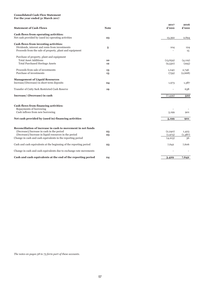### **Consolidated Cash Flow Statement**

**For the year ended 31 March 2017**

| <b>Statement of Cash Flows</b>                                                                                                                                                                                                   | <b>Note</b> | 2017<br>£'000                 | 2016<br>£'000          |
|----------------------------------------------------------------------------------------------------------------------------------------------------------------------------------------------------------------------------------|-------------|-------------------------------|------------------------|
| Cash flows from operating activities:<br>Net cash provided by (used in) operating activities                                                                                                                                     | 23          | 13,392                        | 2,694                  |
| Cash flows from investing activities:<br>Dividends, interest and rents from investments<br>Proceeds from the sale of property, plant and equipment                                                                               | 5           | 104                           | 124<br>15              |
| Purchase of property, plant and equipment<br><b>Total Asset Additions</b><br>Total Purchased Heritage Assets                                                                                                                     | 10<br>12    | (13, 659)<br>(9,530)          | (4, 119)<br>(295)      |
| Proceeds from sale of investments<br>Purchase of investments                                                                                                                                                                     | 13<br>13    | 1,040<br>(759)                | 2,746<br>(2,668)       |
| <b>Management of Liquid Resources</b><br>Increase/(Decrease) in short term deposits                                                                                                                                              | 24          | 1,973                         | 1,387                  |
| Transfer of Cutty Sark Restricted Cash Reserve                                                                                                                                                                                   | 19          |                               | 638                    |
| Increase/ (Decrease) in cash                                                                                                                                                                                                     |             | (7,439)                       | 522                    |
| Cash flows from financing activities:<br>Repayments of borrowing<br>Cash inflows from new borrowing<br>Net cash provided by (used in) financing activities                                                                       |             | 5,199<br>5,199                | 901<br>901             |
|                                                                                                                                                                                                                                  |             |                               |                        |
| Reconciliation of increase in cash to movement in net funds<br>(Decrease)/Increase in cash in the period<br>(Decrease)/Increase in liquid resources in the period<br>Change in cash and cash equivalents in the reporting period | 23<br>23    | (2,240)<br>(1,973)<br>(4,213) | 1,423<br>(1,387)<br>36 |
| Cash and cash equivalents at the beginning of the reporting period                                                                                                                                                               | 23          | 7,642                         | 7,606                  |
| Change in cash and cash equivalents due to exchange rate movements                                                                                                                                                               |             |                               |                        |
| Cash and cash equivalents at the end of the reporting period                                                                                                                                                                     | 24          | 3,429                         | 7,642                  |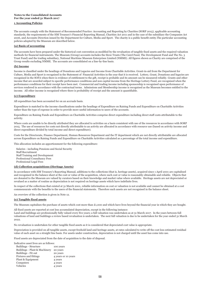### **Notes to the Consolidated Accounts For the year ended 31 March 2017**

### **1 Accounting Policies**

The accounts comply with the Statement of Recommended Practice: Accounting and Reporting by Charities (SORP 2015), applicable accounting standards, the requirements of the HM Treasury's Financial Reporting Manual, Charities Act 2011 and in the case of the subsidiary the Companies Act 2006, and Accounts Direction issued by the Department for Culture, Media and Sport. The charity is a public benefit entity.The particular accounting policies adopted by the Museum are described below.

### **(a) Basis of accounting**

The accounts have been prepared under the historical cost convention as modified by the revaluation of tangible fixed assets and the required valuation methods for financial instruments. The Museum (Group) accounts includes the three Trusts (The Caird Fund, The Development Fund and The No. 3 Trust Fund) and the trading subsidiary, National Maritime Museum Enterprises Limited (NMME). All figures shown as Charity are comprised of the Group results excluding NMME. The accounts are consolidated on a line-by-line basis.

### **(b) Income**

Income is classified under the headings of Donations and Legacies and Income from Charitable Activities. Grant-in-aid from the Department for Culture, Media and Sport is recognised in the Statement of Financial Activities in the year that it is received. Lottery, Grant, Donations and legacies are recognised in the SOFA when there is evidence of entitlement to the gift, receipt is probable and its amount can be measured reliably. Grants and other income that are awarded subject to specific performance conditions and non capital income from the Heritage Lottery Fund, are recognised when the performance conditions for their receipt have been met. Commercial and trading income including sponsorship is recognised upon performance of services rendered in accordance with the contractual terms. Admissions and Membership income is recognised as the Museum becomes entitled to the income. All other income is recognised where there is probability of receipt and the amount is quantifiable.

### **(c) Expenditure**

All expenditure has been accounted for on an accruals basis.

Expenditure is matched to the income classifications under the headings of Expenditure on Raising Funds and Expenditure on Charitable Activities rather than the type of expense in order to provide more useful information to users of the accounts.

Expenditure on Raising Funds and Expenditure on Charitable Activities comprise direct expenditure including direct staff costs attributable to the activity.

Where costs are unable to be directly attributed they are allocated to activities on a basis consistent with use of the resources in accordance with SORP 2015. The use of resources for costs not directly attributable to an activity are allocated in accordance with resource use (based on activity income and direct expenditure divided by total income and direct expenditure).

Costs for the Directorate, Finance Department, Human Resources Department and the IT department which are not directly attributable are allocated across Expenditure on Raising Funds and Expenditure on Charitable Activities calculated as a percentage of the total income and expenditure.

This allocation includes an apportionment for the following expenditure:

Salaries - including Pensions and Social Security Staff Recruitment Staff Training and Development Professional Consultancy Fees Professional Legal Fees

### **(d) Collection acquisitions (Heritage Assets)**

In accordance with HM Treasury's Reporting Manual, additions to the collections (that is, heritage assets), acquired since 1 April 2001 are capitalised and recognised in the balance sheet at the cost or value of the acquisition, where such cost or value is reasonably obtainable and reliable. Objects that are donated to the Museum are valued by curators based on their knowledge and market value where available. Heritage assets are not depreciated or revalued as a matter of routine as depreciation is not required on heritage assets which have indefinite lives.

In respect of the collections that existed at 31 March 2001, reliable information on cost or valuation is not available and cannot be obtained at a cost commensurate with the benefits to the users of the financial statements. Therefore such assets are not recognised in the balance sheet.

An overview of the collection is given in Note 12.

### **(e) Tangible fixed assets**

The Museum capitalises the purchase of assets which cost more than  $£1,000$  and which have lives beyond the financial year in which they are bought.

All fixed assets are reported at cost less accumulated depreciation, except in the following instance: Land and buildings are professionally fully valued every five years; a full valuation was undertaken as at 31 March 2017. In the years between full valuations of land and buildings a review based revaluation is undertaken. The next full valuation is due to be undertaken for the year ended 31 March 2022.

No revaluation is undertaken for other tangible fixed assets as it is considered that depreciated cost value is appropriate.

Depreciation is provided on all tangible assets, except freehold land and heritage assets, at rates calculated to write off the cost less estimated residual value of each asset on a straight line basis. For assets under construction, depreciation is not charged until the asset has come into use.

Fixed assets are depreciated from the date of acquisition to the date of disposal.

Indicative asset lives are as follows:

| Buildings - Structure         | 100 years           |
|-------------------------------|---------------------|
| Buildings - Plant & Machinery | 20 years            |
| Buildings - Fit out           | 20 years            |
| <b>Fixtures and fittings</b>  | 4 years or 10 years |
| Plant & Equipment             | 4 years             |
| Computers                     | 4 years             |
| Vehicles                      | 4 years             |
|                               |                     |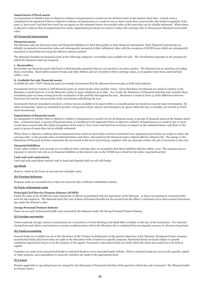### **Impairment of fixed assets**

An assessment of whether there is objective evidence of impairment is carried out for all fixed assets at the balance sheet date. A fixed asset is considered to be impaired if there is objective evidence of impairment as a result of one or more events that occurred after the initial recognition of the asset (a 'loss event') and that loss event has an impact on the estimated future recoverable value of the asset that can be reliably estimated. Where there is objective evidence that an impairment loss exists, impairment provisions are made to reduce the carrying value to the present estimated recoverable value.

### **(f) Financial instruments**

### **Financial assets**

The Museum only has financial assets and financial liabilities of a kind that qualify as basic financial instruments. Basic financial instruments are initially recognised at transaction value and subsequently measured at their settlement value with the exception of DCMS loans which are subsequently measured at amortised cost using the effective interest method.

The Museum classifies its financial assets in the following categories: receivables and available-for-sale. The classification depends on the purpose for which the financial asset was acquired.

### **i. Receivables**

Receivables are financial assets with fixed or determinable payments that are not quoted in an active market. The Museum has no intention of trading these receivables. Receivables consist of trade and other debtors and are recorded at their carrying values, in recognition that these assets fall due within 1 year.

### **ii. Available for sale financial assets**

Available for sale ("AFS") financial assets are mainly investments that the Museum does not plan to hold until maturity.

Investments that are treated as AFS financial assets are stated at fair value (market value). Given that these investments are small in relation to the Museum's overall reserves, it is the Museum's policy to keep valuations up to date. As a result, the Statement of Financial Activities only includes those unrealised gains or losses arising from the revaluation of the portfolio throughout the year. Disclosure is made in Note 13 of the difference between historical cost and the sale proceeds of the investments sold during the year.

Investments that are intended to produce a return, but are available to be spent within a 12 month period are treated as Current Asset investments. All other investments, which are intended to produce a long term return, and are not intended to be spent within the next 12 months, are treated as Fixed Asset investments.

### **Impairment of financial assets**

An assessment of whether there is objective evidence of impairment is carried out for all financial assets or groups of financial assets at the balance sheet date. A financial asset, or group of financial assets, is considered to be impaired if there is objective evidence of impairment as a result of one or more events that occurred after the initial recognition of the asset (a 'loss event') and that loss event has an impact on the estimated future cash flows of the asset or group of assets that can be reliably estimated.

Where there is objective evidence that an impairment loss exists on receivables carried at amortised cost, impairment provisions are made to reduce the carrying value to the present value of estimated future cash flows, discounted at the financial asset's original effective interest rate. The charge to the Statement of Financial Activities represents the movement in the level of provisions, together with any amounts written off, net of recoveries in the year.

#### **Financial liabilities**

Trade, other creditors and accruals are recorded at their carrying value, in recognition that these liabilities fall due within 1 year. The museum has no exposure to interest rate risk on its financial liabilities as the interest rate on the DCMS loan is fixed for the entire repayment period.

### **Cash and cash equivalents**

Cash and cash equivalents include cash in hand and deposits held on call with banks.

### **(g) Stock**

Stock is valued at the lower of cost and net realisable value.

### **(h) Pension Schemes**

Pensions costs are accounted for as they are incurred, this is defined contribution scheme.

### **(i) Early retirement costs**

### **Principal Civil Service Pension Scheme (PCSPS)**

Under the rules of the PCSPS the early retirement of officers is permitted with the agreement of the Museum. In these circumstances certain benefits arise for the employee. The Museum bears the cost of these retirement benefits for the period from the officer's retirement up to their normal retirement age under the Scheme's rules.

### **Group Personal Pension Scheme**

There are no early retirement benefit costs incurred by the Museum under the Group Personal Pension Scheme.

### **(j) Foreign currencies**

Unless material, foreign currency transactions are converted to or from Sterling at the Bank Rate available on the day of the transaction. For material transactions and where a movement in currency would present a risk to the Museum, this is minimised by securing the currency in advance of payment.

### **(k) Fund accounting**

General funds are available for use at the discretion of the Trustees in furtherance of the general objectives of the Museum. Designated funds comprise unrestricted funds which have been set aside at the discretion of the Trustees for specific purposes. Restricted funds are funds subject to specific conditions imposed by donors or by the purpose of the appeal. Permanent endowment funds are funds which the donor has stated are to be held as capital.

Transfers are made from unrestricted funds to restricted funds to cover restricted funds' deficits. Where restricted funds are received for specific capital or other projects, once expenditure is incurred, transfers are made to the appropriate fund.

### **(l) Leases**

Rentals applicable to operating leases are charged to the Statement of Financial Activities of the period in which the cost is incurred. The Museum holds no finance leases.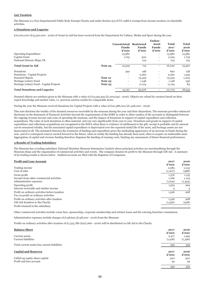### **(m) Taxation**

The Museum is a Non Departmental Public Body Exempt Charity and under Section 505 ICTA 1988 is exempt from income taxation on charitable activities.

### **2 Donations and Legacies**

£16,020,000 (£15,520,000 - 2016) of Grant-in-Aid has been received from the Department for Culture, Media and Sport during the year.

|                                          |                                            | <b>Endow-</b>     |                          |              |                             |
|------------------------------------------|--------------------------------------------|-------------------|--------------------------|--------------|-----------------------------|
|                                          | <b>Unrestricted</b>                        | <b>Restricted</b> | ment                     | <b>Total</b> | <b>Total</b>                |
|                                          | <b>Funds</b>                               | <b>Funds</b>      | <b>Funds</b>             | 2017         | 2016                        |
|                                          | $\boldsymbol{\pounds}$ '000                | £'000             | £'000                    | £'000        | $\boldsymbol{\pounds}$ '000 |
| <b>Operating Expenditure</b>             | 13,580                                     |                   | $\overline{\phantom{a}}$ | 13,580       | 13,580                      |
| Capital Grant                            | 1,725                                      | 500               | $\overline{\phantom{a}}$ | 2,225        | 1,725                       |
| National Historic Ships UK               | $\overline{a}$                             | 215               | $\overline{a}$           | 215          | 215                         |
| <b>Total Grant in Aid</b>                | Note 25<br>15,305                          | 715               | $\overline{a}$           | 16,020       | 15,520                      |
| Donations                                | 492                                        | 198               | $\qquad \qquad -$        | 690          | 758                         |
| Donations - Capital Projects             | $\overline{\phantom{a}}$                   | 9,262             | $\overline{\phantom{a}}$ | 9,262        | 1,345                       |
| Donated Objects<br>Note 12               | $\overline{\phantom{a}}$                   | 73,529            | $\overline{\phantom{a}}$ | 73,529       | 1,003                       |
| Heritage Lottery Fund                    | Note 25<br>$\overline{\phantom{a}}$        | 1,148             | $\overline{\phantom{a}}$ | 1,148        | 236                         |
| Heritage Lottery Fund - Capital Projects | <b>Note 25</b><br>$\overline{\phantom{a}}$ | 11,124            | $\overline{\phantom{a}}$ | 11,124       | 83                          |
| <b>Total Donations and Legacies</b>      | 15,797                                     | 95,976            | $\overline{\phantom{0}}$ | 111,773      | 18,945                      |

Donated objects are artefacts given to the Museum with a value of £73,529,329 (£1,002,640 - 2016). Objects are valued by curators based on their expert knowledge and market value, i.e. previous auction results for comparable items.

During the year the Museum received donations for Capital Projects with a value of £20,386,000 (£1,428,000 - 2016).

This note discloses the totality of the donated resources receivable by the museum during the year and their disposition. The museum provides enhanced disclosure in the Statement of Financial Activities beyond the requirements of the SORP in order to allow readers of the accounts to distinguish between the ongoing revenue income and costs of operating the museum, and the impact of donations in support of capital expenditure and collection acquisitions. The value of such donations is often material, and can vary significantly from year to year. Donations and grants in support of capital expenditure and collections acquisitions are recognised in the SOFA when there is evidence of entitlement to the gift, receipt is probable and its amount can be measured reliably, but the associated capital expenditure is depreciated over the expected useful life of the asset, and heritage assets are not depreciated at all. The mismatch between the treatment of funding and expenditure gives the misleading appearance of an increase in funds during the year, and of a consequent reserve carried forward to the future, when in reality the funding has already been used, often to acquire an inalienable asset. Aggregation of capital and revenue funding therefore disguises the funding of running costs, limiting any assessment of future financial performance.

### **3 Results of Trading Subsidiary**

The Museum has a trading subsidiary National Maritime Museum Enterprises Limited whose principal activities are merchandising through the Museum shops and the organisation of commercial activities and events. The company donates its profit to the Museum through Gift Aid. A summary of its trading results is shown below. Audited accounts are filed with the Registrar of Companies.

### **Profit and Loss Account 2017 2016**

| - ---- ------ ----- --- --- ---               | £'000   | £'000   |
|-----------------------------------------------|---------|---------|
| Trading income                                | 2,383   | 2,143   |
| Cost of sales                                 | (1,007) | (988)   |
| Gross profit                                  | 1,376   | 1,155   |
| Income from other commercial activities       | 1,766   | 1,123   |
| Administrative expenses                       | (1,619) | (1,354) |
| Operating profit                              | 1,523   | 924     |
| Interest receivable and similar income        |         | 4       |
| Profit on ordinary activities before taxation | 1,526   | 928     |
| Tax on profit on ordinary activities          |         |         |
| Profit on ordinary activities after taxation  | 1,526   | 928     |
| Gift Aid donation to the Charity              | (1,526) | (928)   |
| Profit retained in the subsidiary             |         |         |

Other commercial activities include venue hire, sponsorship, corporate membership and artefact loans and the catering franchise commission.

Administrative expenses include charges of £148,650 (£148,000 - 2016) from the Museum.

Profits on ordinary activities after taxation of £1,525,786 (£927,660 - 2016) will be distributed as Gift Aid to the Charity.

| <b>Balance Sheet</b>                                      | 2017<br>£'000    | 2016<br>£'000    |
|-----------------------------------------------------------|------------------|------------------|
| Current assets<br>Current liabilities                     | 2,477<br>(1,918) | 1,955<br>(1,396) |
| Total current assets less current liabilities             | 559              | 559              |
| <b>Capital and Reserves</b>                               | 2017<br>£'000    | 2016<br>£'000    |
| Called-up equity share capital<br>Profit and loss account | 500<br>59        | 500<br>59        |
|                                                           | 559              | 559              |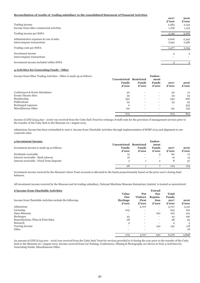### **Reconciliation of results of trading subsidiary to the consolidated Statement of Financial Activities**

|                                                                      | 2017<br>£'000  | 2016<br>£'000  |
|----------------------------------------------------------------------|----------------|----------------|
| Trading income                                                       | 2,383          | 2,143          |
| Income from other commercial activities                              | 1,766          | 1,123          |
| Trading income per SOFA                                              | 4,149          | 3,266          |
| Administrative expenses & cost of sales<br>Intercompany transactions | 2,626<br>(149) | 2,342<br>(148) |
| Trading costs per SOFA                                               | 2,477          | 2,194          |
| Investment income<br>Intercompany transactions                       | 3              | $\overline{4}$ |
| Investment income included within SOFA                               |                |                |

### **4 Activities for Generating Funds - Other**

Income from Other Trading Activities - Other is made up as follows:

| .                              | Unrestricted Restricted<br><b>Funds</b><br>$\boldsymbol{\pounds}$ '000 | <b>Funds</b><br>$\boldsymbol{\pounds}$ '000 | ment<br><b>Funds</b><br>$\boldsymbol{\pounds}$ '000 | 2017<br>£'000            | 2016<br>$\boldsymbol{\pounds}$ '000 |
|--------------------------------|------------------------------------------------------------------------|---------------------------------------------|-----------------------------------------------------|--------------------------|-------------------------------------|
| Conferences & Event Attendance | 30                                                                     |                                             |                                                     | 30                       | 12                                  |
| <b>Events Theatre Hire</b>     | 59                                                                     |                                             |                                                     | 59                       | 24                                  |
| Membership                     | 342                                                                    | $\overline{\phantom{a}}$                    | $\overline{\phantom{a}}$                            | 342                      | 266                                 |
| Publications                   | 53                                                                     | $\overline{\phantom{a}}$                    | $\overline{\phantom{0}}$                            | 53                       | 43                                  |
| Recharged expenses             | $\Omega$                                                               | $\overline{\phantom{a}}$                    | $\overline{\phantom{a}}$                            | $\overline{\phantom{a}}$ | 335                                 |
| Miscellaneous Other            | 191                                                                    | $\overline{\phantom{a}}$                    | $\overline{\phantom{a}}$                            | 191                      | 139                                 |
|                                | 675                                                                    |                                             |                                                     | 675                      | 819                                 |

**Endow-**

Income of £Nil (£334,650 - 2016) was received from the Cutty Sark Trust for recharge of staff costs for the provision of management services prior to the transfer of the Cutty Sark to the Museum on 1 August 2015.

Admissions Income has been reclassified to note 6, Income from Charitable Activities through implementation of SORP 2015 and alignment to our corporate aims.

| 5 Investment Income                       |                                                  |                       | Endow-                        |               |               |
|-------------------------------------------|--------------------------------------------------|-----------------------|-------------------------------|---------------|---------------|
| Investment income is made up as follows:  | Unrestricted Restricted<br><b>Funds</b><br>£'000 | <b>Funds</b><br>£'000 | ment<br><b>Funds</b><br>£'000 | 2017<br>£'000 | 2016<br>£'000 |
| Dividends receivable                      | 75                                               |                       | 5                             | 80            | 72            |
| Interest receivable - Bank interest       | 16                                               |                       | $\overline{\phantom{a}}$      | 16            | 15            |
| Interest receivable - Fixed Term Deposits | 5                                                |                       | $\overline{2}$                | 8             | 37            |
|                                           | 96                                               |                       |                               | 104           | 124           |

Investment income received by the Museum's three Trust accounts is allocated to the funds proportionately based on the prior year's closing fund balances.

All investment income received by the Museum and its trading subsidiary, National Maritime Museum Enterprises Limited, is treated as unrestricted.

### **6 Income from Charitable Activities Extend**

| Income from Charitable Activities include the following: | <b>Value</b><br>Our<br>Heritage<br>£'000 | Put<br><b>Visitors</b><br><b>First</b><br>£'000 | Our<br>Reputa-<br>tion<br>£'000 | <b>Total</b><br><b>Funds</b><br>2017<br>£'000 | 2016<br>£'000 |
|----------------------------------------------------------|------------------------------------------|-------------------------------------------------|---------------------------------|-----------------------------------------------|---------------|
| Admissions                                               | $\overline{\phantom{a}}$                 | 5,707                                           | $\overline{\phantom{a}}$        | 5,707                                         | 5,151         |
| Licensing                                                | 205                                      | $\overline{\phantom{a}}$                        | $\overline{\phantom{a}}$        | 205                                           | 162           |
| Open Museum                                              | $\overline{\phantom{a}}$                 | $\overline{\phantom{a}}$                        | 160                             | 160                                           | 221           |
| Recharges                                                | 42                                       | $\overline{\phantom{a}}$                        | $\overline{\phantom{0}}$        | 42                                            | 196           |
| Reproductions, Plans & Print Sales                       | 28                                       | $\overline{\phantom{a}}$                        | $\overline{\phantom{a}}$        | 28                                            | 29            |
| Research                                                 | 4                                        | $\overline{\phantom{a}}$                        | $\overline{\phantom{a}}$        | 4                                             | 3             |
| Touring Income                                           | $\overline{\phantom{0}}$                 | $\overline{\phantom{a}}$                        | 130                             | 130                                           | 118           |
| Other                                                    | $\overline{\phantom{a}}$                 | $\overline{\phantom{a}}$                        | $\overline{\phantom{a}}$        | -                                             | 18            |
|                                                          | 279                                      | 5,707                                           | 290                             | 6,276                                         | 5,898         |

An amount of £Nil (£133,000 - 2016) was received from the Cutty Sark Trust for services provided to it during the year prior to the transfer of the Cutty Sark to the Museum on 1 August 2015. Income received from Car Parking, Conferences, Filming & Photography are shown in Note 4 Activities for Generating Funds: Miscellaneous Other.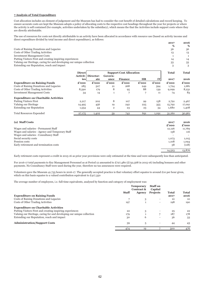### **7 Analysis of Total Expenditure**

Cost allocation includes an element of judgement and the Museum has had to consider the cost benefit of detailed calculations and record keeping. To ensure accurate costs are kept the Museum adopts a policy of allocating costs to the respective cost headings throughout the year for projects or where the activity is self contained (for example, activities undertaken by the subsidiary), which means the that the Activities include support costs where they are directly attributable.

The use of resources for costs not directly attributable to an activity have been allocated in accordance with resource use (based on activity income and direct expenditure divided by total income and direct expenditure), as follows:

|                                                                       | 2017 | 2016 |
|-----------------------------------------------------------------------|------|------|
|                                                                       | %    | $\%$ |
| Costs of Raising Donations and Legacies                               | 36   | 36   |
| Costs of Other Trading Activities                                     | 13   | 13   |
| <b>Investment Management Costs</b>                                    |      |      |
| Putting Visitors First and creating inspiring experiences             | 14   | 14   |
| Valuing our Heritage, caring for and developing our unique collection | 33   | 33   |
| Extending our Reputation, reach and impact                            |      |      |

|                                             | <b>Direct</b> | <b>Support Cost Allocation</b> |                |                |                |       | <b>Total</b> | <b>Total</b> |
|---------------------------------------------|---------------|--------------------------------|----------------|----------------|----------------|-------|--------------|--------------|
|                                             | Activit-l     | Director-                      | Govern-        |                |                |       |              |              |
|                                             | ies           | ate                            | ance           | <b>Finance</b> | <b>HR</b>      | IT    | 2017         | 2016         |
| <b>Expenditure on Raising Funds</b>         | £'000         | £'000                          | £'000          | £'000          | £'000          | £'000 | £'000        | £'000        |
| Costs of Raising Donations and Legacies     | 285           | 507                            | 21             | 268            | 249            | 394   | 1,724        | 1,681        |
| Costs of Other Trading Activities           | 8,590         | 179                            | 8              | 95             | 88             | 139   | 9,099        | 8,231        |
| <b>Investment Management Costs</b>          | 34            | 14                             | $\mathbf{1}$   | $\overline{ }$ | $\overline{ }$ | 11    | 74           | 83           |
| <b>Expenditure on Charitable Activities</b> |               |                                |                |                |                |       |              |              |
| <b>Putting Visitors First</b>               | 2,217         | 202                            | 8              | 107            | 99             | 158   | 2,791        | 2,467        |
| Valuing our Heritage                        | 14,495        | 456                            | 19             | 242            | 225            | 355   | 15,792       | 17,091       |
| <b>Extending our Reputation</b>             | 1,554         | 44                             | $\overline{2}$ | 23             | 23             | 34    | 1,680        | 1,408        |
| <b>Total Resources Expended</b>             | 27,175        | 1,402                          | 59             | 742            | 691            | 1,091 | 31,160       | 30,961       |

| (a) Staff Costs                                 | 2017   | 2016   |
|-------------------------------------------------|--------|--------|
|                                                 | £'000  | £'000  |
| Wages and salaries - Permanent Staff            | 12,126 | 11,769 |
| Wages and salaries - Agency and Temporary Staff | 158    | 116    |
| Wages and salaries - Consultancy Staff          |        |        |
| Social security costs                           | 1,073  | 1,015  |
| Pension costs                                   | 1,108  | 1,094  |
| Early retirement and termination costs          | .58    | (118)  |
|                                                 | 14,523 | 13,876 |

Early retirment costs represent a credit in 2015-16 as prior year provisions were only estimated at the time and were subsequently less than anticipated.

For 2016-17 total payments to Key Management Personnel as at Period 12 amounted to £727,480 (£732,568 in 2015-16) including bonuses and other payments. No Consultancy Staff were used during the year, therefore no tax assurances were required.

Volunteers gave the Museum 41,735 hours in 2016-17. The generally accepted practice is that voluntary effort equates to around £10 per hour given, which on this basis equates to a valued contribution equivalent to  $E_{417,350}$ 

The average number of employees, i.e. full-time equivalents, analysed by function and category of employment was:

|                                                                       | <b>Staff</b> | <b>Temporary</b><br>Contract &<br>Agency | <b>Staff</b> on<br>Capital<br><b>Projects</b> | <b>Total</b> | <b>Total</b> |
|-----------------------------------------------------------------------|--------------|------------------------------------------|-----------------------------------------------|--------------|--------------|
| <b>Expenditure on Raising Funds</b>                                   |              |                                          |                                               | 2017         | 2016         |
| Costs of Raising Donations and Legacies                               |              | 3                                        |                                               | 10           | 10           |
| Costs of Other Trading Activities                                     | 197          |                                          |                                               | 198          | 190          |
| <b>Expenditure on Charitable Activities</b>                           |              |                                          |                                               |              |              |
| Putting Visitors First and creating inspiring experiences             | 22           | 3                                        |                                               | 25           | 22           |
| Valuing our Heritage, caring for and developing our unique collection | 179          |                                          |                                               | 187          | 178          |
| Extending our Reputation, reach and impact                            | 30           | 6                                        |                                               | 36           | 33           |
| <b>Administration/Support Costs</b>                                   | 39           | 5                                        |                                               | 44           | 43           |
|                                                                       | 474          | 19                                       |                                               | 500          | 476          |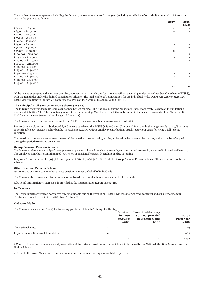The number of senior employees, including the Director, whose emoluments for the year (including taxable benefits in kind) amounted to £60,000 or over in the year was as follows:

|                                       | 2017 | 2016            |
|---------------------------------------|------|-----------------|
|                                       |      | (restated)      |
| £60,000 - £65,000                     | 4    | 3               |
| £65,001 - £70,000                     |      |                 |
| $£70,001 - £75,000$                   |      |                 |
| £75,001 - £80,000                     |      |                 |
| $£80,001 - £85,000$                   |      |                 |
| £85,001 - £90,000                     |      |                 |
| £90,001 - £95,000                     |      | $\overline{2}$  |
| £95,001 - £100,000                    |      |                 |
| $£100,001 - £105,000$                 |      |                 |
| $£105,001 - £110,000$                 |      |                 |
| $£110,001 - £115,000$                 |      |                 |
| $£115,001 - £120,000$                 |      |                 |
| £120,001 - £125,001                   |      |                 |
| $£125,001 - £130,000$                 |      |                 |
| $\pounds 130,001$ - $\pounds 135,000$ |      |                 |
| $£135,001 - £140,000$                 |      |                 |
| £140,001 - £145,000                   |      |                 |
| $£145,001 - £150,000$                 |      |                 |
|                                       | 12   | 10 <sup>1</sup> |

Of the twelve employees with earnings over £60,000 per annum there is one for whom benefits are accruing under the defined benefits scheme (PCSPS), with the remainder under the defined contribution scheme. The total employer's contribution for the individual to the PCSPS was £18,945 (£18,425 -2016). Contributions to the NMM Group Personal Pension Plan were £112,422 (£84,360 - 2016).

#### **The Principal Civil Service Pension Scheme (PCSPS)**

The PCSPS is an unfunded multi-employer defined benefit scheme. The National Maritime Museum is unable to identify its share of the underlying assets and liabilities. The Scheme Actuary valued the scheme as at 31 March 2012. Details can be found in the resource accounts of the Cabinet Office: Civil Superannuation (www.civilservice.gov.uk/pensions).

The Museum ceased offering membership to the PCSPS to new non-member employees on 1 April 1994.

For 2016-17, employer's contributions of £76,637 were payable to the PCSPS (£85,916 - 2016) at one of four rates in the range 20.0% to 24.5% per cent of pensionable pay, based on salary bands. The Scheme Actuary reviews employer contributions usually every four years following a full scheme valuation.

The contribution rates are set to meet the cost of the benefits accruing during 2016-17 to be paid when the member retires, and not the benefits paid during this period to existing pensioners.

### **Group Personal Pension Scheme**

The Museum offers membership of a group personal pension scheme into which the employer contributes between 8.5% and 10% of pensionable salary. The employee contributes a minimum of 1.5% or 3% of pensionable salary dependant on date of joining.

Employers' contributions of £1,031,228 were paid in 2016-17 (£990,500 - 2016) into the Group Personal Pension scheme. This is a defined contribution scheme.

### **Other Personal Pension Scheme**

Nil contributions were paid to other private pension schemes on behalf of individuals.

The Museum also provides, centrally, an insurance based cover for death in service and ill health benefits.

Additional information on staff costs is provided in the Remuneration Report on page 28.

#### **b) Trustees**

The Trustees neither received nor waived any emoluments during the year (£nil - 2016). Expenses reimbursed (for travel and subsistence) to four Trustees amounted to £3,485 (£2,028 - five Trustees 2016).

### **c) Grants Made**

The Museum has made in 2016-17 the following grants in relation to Valuing Our Heritage:

|                                    |    | in these<br>accounts<br>£000 | Provided Committed for 2017-<br>18 but not provided<br>in these accounts<br>£000 | $2016 -$<br>Prior year<br>£000 |
|------------------------------------|----|------------------------------|----------------------------------------------------------------------------------|--------------------------------|
| The National Trust                 |    | $\overline{\phantom{0}}$     | $\overline{\phantom{a}}$                                                         | 29                             |
| Royal Museums Greenwich Foundation | ii | $\overline{\phantom{0}}$     |                                                                                  | 1,603                          |
|                                    |    |                              |                                                                                  | 1,632                          |

i. Contribution to the maintenance and preservation of the historic vessel *Shamrock* which is jointly owned by the National Maritime Museum and the National Trust.

ii. Grant to the Royal Museums Greenwich Foundation for use in achieving its charitable objectives.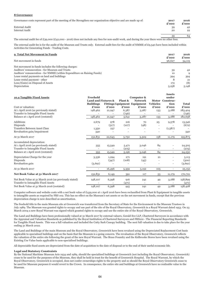### **8 Governance**

| Governance costs represent part of the meeting of the Strengthen our organisation objective and are made up of: |    | 2016<br>£'000 |
|-----------------------------------------------------------------------------------------------------------------|----|---------------|
| External Audit                                                                                                  | 39 | 42            |
| Internal Audit                                                                                                  | 20 | 22            |
|                                                                                                                 | 59 | 64            |

The external audit fee of £39,000 (£42,000 - 2016) does not include any fees for non-audit work, and during the year there were no other fees.

The external audit fee is for the audit of the Museum and Trusts only. External audit fees for the audit of NMME of £9,540 have been included within Activities for Generating Funds - Trading Costs.

| <b>9 Total Net Movement in Funds</b> | 2017<br>___ | 2016 |
|--------------------------------------|-------------|------|
|                                      |             |      |

| Net movement in funds                                                   | £'000<br>96,627 | $\boldsymbol{\pounds}$ '000<br>34,119 |
|-------------------------------------------------------------------------|-----------------|---------------------------------------|
| Net movement in funds includes the following charges:                   |                 |                                       |
| Auditors' remuneration - for Museum and Trusts                          | 39              | 42                                    |
| Auditors' remuneration - for NMME (within Expenditure on Raising Funds) | 10              |                                       |
| Lease rental payments on land and buildings                             | 394             | 394                                   |
| Lease rental payment - other                                            |                 | 21                                    |
| Loss/(Gain) on Disposal of Assets                                       | 172             | (8)                                   |
| Depreciation                                                            | 5,258           | 5,148                                 |

| 10.a Tangible Fixed Assets                             | Freehold                       |        |                          | Computer &                          |                          | <b>Assets</b><br>under       |              |
|--------------------------------------------------------|--------------------------------|--------|--------------------------|-------------------------------------|--------------------------|------------------------------|--------------|
|                                                        | <b>Land and Fixtures &amp;</b> |        | Plant &                  | <b>Network</b>                      |                          | Motor Construc-              |              |
|                                                        | <b>Buildings</b>               |        |                          | <b>Fittings Equipment Equipment</b> | <b>Vehicles</b>          | tion                         | <b>Total</b> |
| Cost or valuation:                                     | £'000                          | £'000  | £'000                    | £'000                               | £'000                    | £'000                        | £'000        |
| At 1 April 2016 (as previously stated)                 | 148,462                        | 21,947 | 6,387                    | 3,287                               | 133                      | 3,188                        | 183,404      |
| Transfer to Intangible Fixed Assets                    |                                |        | (746)                    |                                     |                          |                              | (746)        |
| Balance at 1 April 2016 (restated)                     | 148,462                        | 21,947 | 5,641                    | 3,287                               | 133                      | 3,188                        | 182,658      |
| Additions                                              | 2,679                          | 978    | 216                      | 70                                  | 25                       | 9,578                        | 13,546       |
| Disposals                                              |                                | (517)  | (107)                    | (48)                                | $\overline{\phantom{a}}$ |                              | (672)        |
| Transfers Between Asset Class                          | 1,350                          | 237    |                          |                                     | $\overline{\phantom{a}}$ | (1,587)                      |              |
| Revaluation gain/impairment                            | 340                            |        | $\overline{\phantom{0}}$ | $\overline{a}$                      | $\overline{a}$           |                              | 340          |
| At 31 March 2017                                       | 152,831                        | 22,645 | 5,750                    | 3,309                               | 158                      | 11,179                       | 195,873      |
| Accumulated depreciation:                              |                                |        |                          |                                     |                          |                              |              |
| At 1 April 2016 (as previously stated)                 | 355                            | 15,549 | 5,471                    | 3,046                               | 84                       | $\overline{\phantom{a}}$     | 24,505       |
| Transfer to Intangible Fixed Assets                    |                                |        | (275)                    |                                     | $\overline{\phantom{a}}$ | $\overline{\phantom{0}}$     | (275)        |
| Balance at 1 April 2016 (restated)                     | 355                            | 15,549 | 5,196                    | 3,046                               | 84                       | $\overline{\phantom{a}}$     | 24,230       |
| Depreciation Charge for the year                       | 3,336                          | 1,294  | 271                      | 191                                 | 21                       | $\qquad \qquad \blacksquare$ | 5,113        |
| Disposals                                              |                                | (347)  | (108)                    | (45)                                |                          | $\overline{\phantom{0}}$     | (500)        |
| Revaluation gain                                       | (3,691)                        |        |                          | $\overline{a}$                      | $\overline{\phantom{0}}$ | $\overline{\phantom{a}}$     | (3,691)      |
|                                                        |                                |        |                          |                                     |                          |                              |              |
| At 31 March 2017                                       | $\overline{\phantom{a}}$       | 16,496 | 5,359                    | 3,192                               | 105                      | $\overline{\phantom{a}}$     | 25,152       |
| Net Book Value at 31 March 2017                        | 152,831                        | 6,149  | 391                      | 117                                 | 53                       | 11,179                       | 170,721      |
| Net Book Value at 31 March 2016 (as previously stated) | 148,107                        | 6,398  | 916                      | 241                                 | 49                       | 3,188                        | 158,899      |
| Transfer to Intangible Fixed Assets                    |                                |        | (471)                    |                                     |                          |                              | (471)        |
| Net Book Value at 31 March 2016 (restated)             | 148,107                        | 6,398  | 445                      | 241                                 | 49                       | 3,188                        | 158,428      |

Computer software and website costs with a net book value of £439,000 at 1 April 2016 have been reclassified from Plant & Equipment in tangible assets to intangible assets as required by FRS 102. This has no effect on the Museum's net assets or on the net movement in funds, except that the previous depreciation charge is now described as amortisation.

The freehold title to the main Museum site at Greenwich was transferred from the Secretary of State for the Environment to the Museum Trustees in July 1989. The Museum was granted rights to occupy and use part of the site of the Royal Observatory, Greenwich in a Royal Warrant dated 1953. On 23 March 2004 a new Royal Warrant was signed which granted rights to occupy and use the entire site of the Royal Observatory, Greenwich.

The Land and Buildings have been professionally valued at 31 March 2017 by external valuers, Gerald Eve LLP, Chartered Surveyors in accordance with the Appraisal and Valuation Standards as published by the Royal Institution of Chartered Surveyors and FRS102 - The Financial Reporting Standards for Tangible Fixed Assets. This was a full valuation and included the Cutty Sark Canopy building. The next full valuation is due to take place for the year ending 31 March 2022.

The Land and Buildings of the main Museum and the Royal Observatory, Greenwich have been revalued using the Depreciated Replacement Cost basis applicable to specialised buildings and on the basis that the Museum is a going concern. The revaluation of the Royal Observatory, Greenwich reflects the valuation of the entire site following the grant of the new Royal Warrant. The Brass Foundry and the Kidbrooke Stores have been revalued using the Existing Use Value basis applicable to non-specialised buildings.

All depreciable fixed assets are depreciated from the date of acquisition to the date of disposal or to the end of their useful economic life.

### **Legal and Statutory Constraints**

By the National Maritime Museum Acts 1934 and 1989, should the specialised buildings at Greenwich (not including the Royal Observatory, Greenwich) cease to be used for the purposes of the Museum, they shall be held in trust for the benefit of Greenwich Hospital. The Royal Warrant, by which the Royal Observatory, Greenwich is occupied, does not confer ownerships rights to the property and so should the Royal Observatory Greenwich cease to be used for Museum purposes it would revert to the Crown. In consequence, the entire site and buildings at Greenwich have no realisable value to the Museum.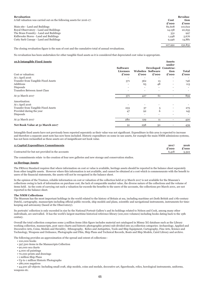| <b>Revaluation</b><br>A full valuation was carried out on the following assets for 2016-17: | Cost<br>£'000 | Revalua-<br>tion<br>£'000 |
|---------------------------------------------------------------------------------------------|---------------|---------------------------|
| Main site - Land and Buildings                                                              | 82,608        | 110,622                   |
| Royal Observatory - Land and Buildings                                                      | 14,158        | 20,655                    |
| The Brass Foundry - Land and Buildings                                                      | 331           | 997                       |
| Kidbrooke Stores - Land and Buildings                                                       | 1,448         | 5,676                     |
| Cutty Sark Canopy - Land and Buildings                                                      | 9,446         | 14,881                    |
|                                                                                             | 107,991       | 152,831                   |

The closing revaluation figure is the sum of cost and the cumulative total of annual revaluations.

No revaluation has been undertaken for other tangible fixed assets as it is considered that depreciated cost value is appropriate.

| 10.b Intangible Fixed Assets        |                          |                          |                          | <b>Assets</b><br>under       |              |
|-------------------------------------|--------------------------|--------------------------|--------------------------|------------------------------|--------------|
|                                     | <b>Software</b>          |                          |                          | Developed Construc-          |              |
|                                     | Licenses                 |                          | <b>Websites Software</b> | tion                         | <b>Total</b> |
| Cost or valuation:                  | £'000                    | £'000                    | £'000                    | £'000                        | £'000        |
| At 1 April 2016                     |                          |                          |                          |                              |              |
| Transfer from Tangible Fixed Assets | 371                      | 362                      | 13                       | $\overline{\phantom{a}}$     | 746          |
| Additions                           |                          | 65                       | 48                       | $\qquad \qquad \blacksquare$ | 113          |
| Disposals                           | $\overline{\phantom{a}}$ | $\overline{\phantom{a}}$ | $\overline{\phantom{a}}$ | $\overline{\phantom{0}}$     |              |
| Transfers Between Asset Class       | $\qquad \qquad$          | $\qquad \qquad$          | $\qquad \qquad$          |                              |              |
| At 31 March 2017                    | 371                      | 427                      | 61                       |                              | 859          |
| Amortisation:                       |                          |                          |                          |                              |              |
| At 1 April 2016                     |                          |                          |                          |                              |              |
| Transfer from Tangible Fixed Assets | 233                      | 37                       | 5                        | $\overline{\phantom{a}}$     | 275          |
| Provided during the year            | 47                       | Q <sub>2</sub>           | 6                        | $\qquad \qquad \blacksquare$ | 145          |
| Disposals                           | $\overline{\phantom{0}}$ | $\qquad \qquad$          |                          |                              |              |
| At 31 March 2017                    | 280                      | 129                      | 11                       |                              | 420          |
| Net Book Value at 31 March 2017     | 91                       | 298                      | 50                       | $\qquad \qquad \blacksquare$ | 439          |

Intangible fixed assets have not previously been reported seperately as their value was not significant. Expenditure in this area is expected to increase and therefore a separate asset note has now been included. Historic expenditure on some in-use assets, for example the main NMM admissions systems, has not been reclassified as these assets are of insignificant net book value.

| 11 Capital Expenditure Commitments              | 2017  | 2016  |
|-------------------------------------------------|-------|-------|
|                                                 | £'000 | £'000 |
| Contracted for but not provided in the accounts | 6,418 | 3,322 |
|                                                 |       |       |

The commitments relate to the creation of four new galleries and new storage and conservation studios.

### **12 Heritage Assets**

The FRS102 Standard requires that where information on cost or value is available, heritage assets should be reported in the balance sheet separately from other tangible assets. However where this information is not available, and cannot be obtained at a cost which is commensurate with the benefit to users of the financial statements, the assets will not be recognised in the balance sheet.

In the opinion of the Trustees, reliable information on cost or valuation of the collection held at 31 March 2017 is not available for the Museum's collections owing to lack of information on purchase cost, the lack of comparable market value, the diverse nature of the collections and the volume of items held. As the costs of carrying out such a valuation far exceeds the benefits to the users of the accounts, the collections pre March 2001, are not reported in the balance sheet.

### **The NMM Collections**

The Museum has the most important holdings in the world related to the history of Britain at sea, including maritime art (both British and 17th-century Dutch), cartography, manuscripts including official public records, ship models and plans, scientific and navigational instruments, instruments for timekeeping and astronomy (based at the Observatory).

Its portraits' collection is only exceeded in size by the National Portrait Gallery's and its holdings related to Nelson and Cook, among many other individuals, are unrivalled. It has the world's largest maritime historical reference library (100,000 volumes) including books dating back to the 15th century.

Overall the total collection comprises some 3 million items (this figure includes material not catalogued in Mimsy XG database such as the Library working collection, manuscripts, post 1900 charts and historic photographic prints) sub-divided into 25 collection categories: Archaeology, Applied and Decorative Arts, Coins, Medals and Heraldry, Ethnography, Relics and Antiquities, Tools and Ship Equipment, Cartography, Fine Arts, Science and Technology, Weapons and Ordnance, Photographs and Film, Ship Plans and Technical Records, Boats and Ship Models, Caird Library and archive.

The following provides an approximation of the spread and extent of collections:-

- 100,000 books
- 397,500 items in the Manuscripts Collection
- 90,000 sea charts
- 4,000 oil paintings
- 70,000 prints and drawings
- 1 million Ship Plans
- Up to 1 million Historic Photographs • 280,000 negatives

 • 44,500 3D objects: Including small craft, ship models, coins and medals, decorative art, figureheads, relics, horological instruments, uniforms, weapons etc.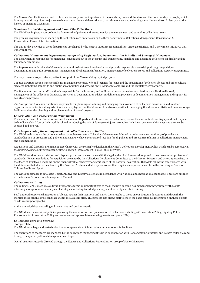The Museum's collections are used to illustrate for everyone the importance of the sea, ships, time and the stars and their relationship to people, which is interpreted through four major research areas: maritime and decorative art; maritime science and technology, maritime and world history, and the history of maritime Greenwich.

### **Structure for the Management and Care of the Collections**

The NMM has in place a comprehensive framework of policies and procedures for the management and care of its collections assets.

The primary requirements of managing the collections are undertaken by the three departments: Collections Management; Conservation & Preservation, Research & Information.

The day-to-day activities of these departments are shaped by the NMM's statutory responsibilities, strategic priorities and Government initiatives that underpin these.

#### *Collections Management Department; comprising Registration, Documentation & Audit and Storage & Movement.*

The department is responsible for managing loans in and out of the Museum and transporting, installing and decanting collections on display and in temporary exhibitions.

The Department underpins the Museum's core remit to look after its collections and provide responsible stewardship, through acquisitions, documentation and audit programmes, management of collections information, management of collections stores and collections security programmes.

The department also provides expertise in support of the Museum's key capital projects.

*The Registration* section is responsible for managing processes, risk and logistics for loans and the acquisition of collection objects and other cultural artefacts, upholding standards and public accountability and advising on relevant applicable law and the regulatory environment.

*The Documentation and Audit* section is responsible for the inventory and audit activities across collections, leading on collection disposal, management of the collections databases, provision of documentation advice, guidelines and provision of documentation management and support for key Museum projects.

*The Storage and Movement* section is responsible for planning, scheduling and managing the movement of collections across sites and to other organisations and for installing exhibitions and displays across the Museum. It is also responsible for managing the Museum's offsite and on-site storage facilities and for the planning and implementation of stores' projects.

### *Conservation and Preservation Department*

The main purpose of the Conservation and Preservation Department is to care for the collections, ensure they are suitable for display and that they can be handled safely. Most of their work is related to reducing the risk of damage to objects, extending their life expectancy whilst ensuring they can be accessed and enjoyed.

### *Policies governing the management and collections care activities*

The NMM maintains a suite of policies which combine to create a Collections Management Manual in order to ensure continuity of practice and standardisation of procedure and policies, and ensure we have a centralised location for all policies and procedures relating to collections management and documentation.

Acquisitions and disposals are made in accordance with the principles detailed in the NMM's Collections Development Policy which can be accessed via the link www.rmg.co.uk/sites/default/files/Collection\_Development\_Policy\_2012-2017.pdf.

The NMM has rigorous acquisition and disposal processes in accordance with the legal and ethical framework required to meet recognised professional standards. Recommendations for acquisition are made by the Collections Development Committee to the Museum Director, and where appropriate, to the Board of Trustees, depending on the financial value, sensitivity or significance of the potential acquisition. Disposals follow the same process with the difference that all are considered by the Board of Trustees and all disposals other than duplicates require consent from the Secretary of State for Culture, Media and Sport.

The NMM undertakes to catalogue Object, Archive and Library collections in accordance with National and International standards. These are outlined in the Museum's Collections Management Manual.

### *Collections Auditing*

The rolling NMM Collections Auditing Programme forms an important part of the Museum's ongoing risk management programme with results informing a range of other management strategies including knowledge management, security and staff training.

Staff undertake a physical inspection of objects against their locations and match these results to those on our Museum databases, and through this monitor the location controls in place within the Museum sites. This process also allows staff to check the basic catalogue information on these objects or add record photographs.

Audits are prioritised according to known risks and business needs.

The NMM also has a suite of policies governing the conservation and preservation of collections including a Conservation Policy, Lighting Policy, Environmental Preservation Policy and an integrated approach to managing insects and pests (IPM).

#### *Collections Care and Storage*

Storage Estate:

The NMM has a large and varied collections storage estate which includes a number of offsite facilities.

The operations of the stores are managed by the collections management team in collaboration with Conservation, Curatorial and Estates colleagues and through the quarterly Stores Management meetings.

Overall estates strategy is directed through the Estates and Collections Rationalisation group of Senior Managers.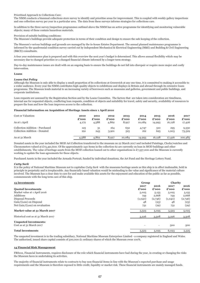Prioritised Approach to Collections Care:

The NMM conducts a biannual collections store survey to identify and prioritise areas for improvement. This is coupled with weekly gallery inspections and one collection survey per year in a particular area. The data from these surveys informs strategies for collections care.

In addition to the three survey/inspection programmes outlined above the NMM has an active programme for identifying and monitoring vulnerable objects; many of these contain hazardous materials.

### Provision of suitable building conditions:

The Museum's buildings provide adequate protection in terms of their condition and design to ensure the safe keeping of the collection.

The Museum's various buildings and grounds are managed by the in-house Estates Department. The annual planned maintenance programme is informed by the quadrennial condition survey carried out by independent Mechanical & Electrical Engineering (M&E) and Building & Civil Engineering (B&CE) consultants.

A four year maintenance plan is prepared and with this overview the next year's budget is determined. This allows annual flexibility which may be necessary due to changed priorities or a changed financial climate informed by a longer term strategy.

Day-to-day maintenance issues are dealt with on an ongoing basis to ensure the buildings do not fall into disrepair or require more major and costly intervention.

### **Loans**

### *Loans Out Policy*

Although the Museum is only able to display a small proportion of its collections at Greenwich at any one time, it is committed to making it accessible to a wider audience. Every year the NMM contributes high-quality objects to exhibitions and displays in Britain and abroad through its extensive loans programme. The Museum lends material to an increasing variety of borrowers such as museums and galleries, government and public buildings, and corporate institutions.

Loan requests are assessed by the Registration Section and by the Loans Committee. The factors that are taken into consideration are timeliness, internal use for requested objects, conflicting loan requests, condition of objects and suitability for travel, safety and security, availability of resources to prepare the loan and how the loan improves access to the collection.

### **Financial Information on Acquisition of Heritage Assets since 1 April 2010**

| Cost or Valuation:              | 2010  | 2011  | 2012  | 2013   | 2014   | 2015   | 2016   | 2017                        |
|---------------------------------|-------|-------|-------|--------|--------|--------|--------|-----------------------------|
|                                 | £'000 | £'000 | £'000 | £'000  | £'000  | £'000  | £'000  | $\boldsymbol{\pounds}$ '000 |
| As at 1 April                   | 4,172 | 4,588 | 4,862 | 8,927  | 10,084 | 14,993 | 16,128 | 17,426                      |
| Collection Addition - Purchased | 125   | 31    | 164   | 632    | 4,747  | 510    | 295    | 9,530                       |
| Collection Addition - Donated   | 291   | 243   | 3,901 | 525    | 162    | 625    | 1,003  | 73,529                      |
| As at 31 March                  | 4,588 | 4,862 | 8,927 | 10,084 | 14,993 | 16,128 | 17,426 | 100,485                     |

Donated assets in the year included the MOD Art Collection transferred to the museum on 22 March 2017 and included Paintings, Clocks/watches and Chronometers valued at £73,491,600. Of the approximately 240 items in the collection 62 are currently on loan in MOD buildings and other establishments. The value of heritage assets from the MOD collection loaned out to other organisations is  $\pounds$ 7,557,000 and the Museum is currently working to update the loan agreements for these objects.

Purchased Assets in the year included the Armada Portrait, funded by individual donations, the Art Fund and the Heritage Lottery Fund.

#### *Cutty Sark*

It is the policy of National Maritime Museum not to capitalise *Cutty Sark* with the museums heritage assets as this ship is in effect inalienable, held in principle in perpetuity and is irreplaceable. Any financially based valuation would be misleading to the value and significance of the material culture involved. The Museum has a clear duty to care for and make available this assets for the enjoyment and education of the public as far as possible, commensurate with the long term care of this ship.

| 13 Investments                      |                          | Group                    | <b>Charity</b> |         |
|-------------------------------------|--------------------------|--------------------------|----------------|---------|
|                                     | 2017                     | 2016                     | 2017           | 2016    |
| <b>Quoted Investments</b>           | £'000                    | £'000                    | £'000          | £'000   |
| Market value at 1 April 2016        | 5,025                    | 5,155                    | 5,025          | 5,155   |
| Additions                           | 759                      | 2,668                    | 759            | 2,668   |
| Disposal Proceeds                   | (1,040)                  | (2,746)                  | (1,040)        | (2,746) |
| Gain/(Loss) on Disposal             | 48                       | (23)                     | 48             | (23)    |
| Net Gain/(Loss) on revaluation      | 731                      | (29)                     | 731            | (29)    |
| Market value at 31 March 2017       | 5,523                    | 5,025                    | 5,523          | 5,025   |
| Historical cost as at 31 March 2017 | 3,226                    | 3,508                    | 3,226          | 3,508   |
| <b>Unquoted Investments:</b>        |                          |                          |                |         |
| Cost as at 31 March 2017            | $\overline{\phantom{a}}$ | $\overline{\phantom{a}}$ | 500            | 500     |
| <b>Total Investments</b>            | 5,523                    | 5,025                    | 6,023          | 5,525   |

The unquoted investment is in the trading subsidiary, National Maritime Museum Enterprises Limited - a company registered in England and Wales. The authorised, issued share capital consists of 500,000 £1 ordinary shares of which the Museum owns 100%.

#### **14 Financial Risk Management**

FRS102, Financial Instruments, requires disclosure of the role which financial instruments have had during the year, in creating or changing the risks the Museum faces in undertaking its activities.

The majority of financial instruments relate to contracts to buy non-financial items in line with the Museum's expected purchase and usage requirements and the Museum is therefore exposed to little credit, liquidity or market risk. These financial instruments are mainly managed funds.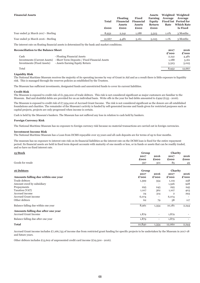| <b>Financial Assets</b>             | <b>Total</b><br>£000 | <b>Floating</b><br><b>Financial</b><br><b>Assets</b><br>£000 | <b>Fixed</b><br><b>Financial</b><br><b>Assets</b><br>£000 | Assets<br><b>Earning</b><br>Equity<br>Return<br>£000 | Average<br>Rate | Weighted Weighted<br>Average<br><b>Fixed Int Period for</b><br><b>Which Rate</b><br><b>Is Fixed</b> |
|-------------------------------------|----------------------|--------------------------------------------------------------|-----------------------------------------------------------|------------------------------------------------------|-----------------|-----------------------------------------------------------------------------------------------------|
| Year ended 31 March 2017 - Sterling | 8,952                | 2,241                                                        | 1,188                                                     | 5,523                                                | $1.0\%$         | 3 Months                                                                                            |
| Year ended 31 March 2016 - Sterling | 12,667               | 4,481                                                        | 3,161                                                     | 5,025                                                | $1.1\%$         | 3 Months                                                                                            |

The interest rate on floating financial assets is determined by the bank and market conditions.

### **Reconciliation to the Balance Sheet 2017 2016**

|                                                                             | £'000 | $\boldsymbol{\pounds}$ '000 |
|-----------------------------------------------------------------------------|-------|-----------------------------|
| - Floating Financial Assets<br>Cash                                         | 2,241 | 4,481                       |
| Investments (Current Assets) - Short Term Deposits / Fixed Financial Assets | 1.188 | 3,161                       |
| Investments (Fixed Assets)<br>- Assets Earning Equity Return                | 5,523 | 5,025                       |
| Total                                                                       | 8,952 | 12.667                      |

### **Liquidity Risk**

The National Maritime Museum receives the majority of its operating income by way of Grant in Aid and as a result there is little exposure to liquidity risk. This is managed through the reserves policies as established by the Trustees.

The Museum has sufficient investments, designated funds and unrestricted funds to cover its current liabilities.

### **Credit Risk**

The Museum is exposed to credit risk of  $£1,399,000$  of trade debtors. This risk is not considered significant as major customers are familiar to the Museum. Bad and doubtful debts are provided for on an individual basis. Write offs in the year for bad debts amounted to £499 (£155 - 2016).

The Museum is exposed to credit risk of £7,954,000 of Accrued Grant Income. The risk is not considered significant as the donors are all established foundations and charities. The remainder of the Museum's activity is funded by self-generated income and funds given for restricted purposes such as capital projects, projects are only progressed when income is certain.

Cash is held by the Museum's bankers. The Museum has not suffered any loss in relation to cash held by bankers.

### **Foreign Currency Risk**

The National Maritime Museum has no exposure to foreign currency risk because no material transactions are carried out in foreign currencies.

### **Investment Income Risk**

The National Maritime Museum has a Loan from DCMS repayable over 25 years and all cash deposits are for terms of up to four months.

The museum has no exposure to interest rate risk on its financial liabilities as the interest rate on the DCMS loan is fixed for the entire repayment period. Its financial assets are held in fixed term deposit accounts with maturity of one month or less, or in funds or assets that can be readily traded, and so have no fixed interest rate.

| 15 Stock                            | Group  |                          | Charity        |       |
|-------------------------------------|--------|--------------------------|----------------|-------|
|                                     | 2017   | 2016                     | 2017           | 2016  |
|                                     | £000   | £000                     | £000           | £000  |
| Goods for resale                    | 397    | 301                      | 85             | 49    |
|                                     |        |                          |                |       |
| 16 Debtors                          | Group  |                          | Charity        |       |
|                                     | 2017   | 2016                     | 2017           | 2016  |
| Amounts falling due within one year | £'000  | £'000                    | £'000          | £'000 |
| Trade debtors                       | 1,399  | 354                      | 1,119          | 258   |
| Amount owed by subsidiary           |        |                          | 1,526          | 928   |
| Prepayments                         | 295    | 245                      | 295            | 245   |
| Taxation (VAT)                      | 1,107  | 362                      | 1,107          | 403   |
| Accrued income                      | 24     | 314                      | $\overline{2}$ | 293   |
| Accrued Grant income                | 6,074  |                          | 6,074          |       |
| Other debtors                       | 62     | 79                       | 58             | 117   |
| Balance falling due within one year | 8,961  | 1,354                    | 10,181         | 2,244 |
| Amounts falling due after one year  |        |                          |                |       |
| <b>Accrued Grant Income</b>         | 1,879  | $\overline{\phantom{a}}$ | 1,879          |       |
| Balance falling due after one year  | 1,879  | $\overline{\phantom{a}}$ | 1,879          |       |
| <b>Total</b>                        | 10,840 | 1,354                    | 12,060         | 2,244 |

Accrued Grant income includes £7,166,735 of income due from restricted grant funding for specific projects to be undertaken by the Museum in 2017-18 and future years.

Other debtors includes £13,602 of unpresented credit card income (£19,500 - 2016).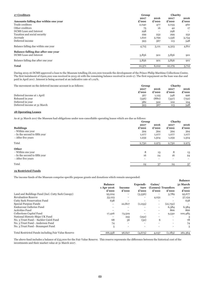| 17 Creditors                                                        | Group         | <b>Charity</b> |               |               |
|---------------------------------------------------------------------|---------------|----------------|---------------|---------------|
| Amounts falling due within one year                                 | 2017<br>£'000 | 2016<br>£'000  | 2017<br>£'000 | 2016<br>£'000 |
| Trade creditors                                                     | 2,040         | 477            | 2,035         | 460           |
| Other creditors                                                     | 75            | 16             | 42            | 17            |
| DCMS Loan and Interest                                              | 298           |                | 298           |               |
| Taxation and social security                                        | 299           | 252            | 299           | 252           |
| Accruals                                                            | 1,610         | 3,799          | 1,536         | 3,734         |
| Deferred income                                                     | 393           | 567            | 113           | 348           |
| Balance falling due within one year                                 | 4,715         | 5,111          | 4,323         | 4,811         |
| Balance falling due after one year<br><b>DCMS</b> Loan and Interest | 5,856         | 901            | 5,856         | 901           |
| Balance falling due after one year                                  | 5,856         | 901            | 5,856         | 901           |
| <b>Total</b>                                                        | 10,571        | 6,012          | 10,179        | 5,712         |

During 2015-16 DCMS approved a loan to the Museum totalling £6,100,000 towards the development of the Prince Philip Maritime Collections Centre. The first instalment of £900,000 was received in 2015-16 with the remaining balance received in 2016-17. The first repayment on the loan was due and paid in April 2017. Interest is being accrued at an indicative rate of 1.02%.

| The movement on the deferred income account is as follows: | Group         | Charity       |               |               |
|------------------------------------------------------------|---------------|---------------|---------------|---------------|
|                                                            | 2017<br>£'000 | 2016<br>£'000 | 2017<br>£'000 | 2016<br>£'000 |
| Deferred income at 1 April                                 | 567           | 1,125         | 348           | 996           |
| Released in year                                           | (556)         | (880)         | (337)         | (752)         |
| Deferred in year                                           | 382           | 322           | 102           | 104           |
| Deferred income at 31 March                                | 393           | 567           | 113           | 348           |

## **18 Operating Leases**

As at 31 March 2017 the Museum had obligations under non-cancellable operating leases which are due as follows:

|                               |                 | Group         |                              | <b>Charity</b>           |
|-------------------------------|-----------------|---------------|------------------------------|--------------------------|
| <b>Buildings</b>              | 2017<br>£'000   | 2016<br>£'000 | 2017<br>£'000                | 2016<br>£'000            |
| - Within one year             | 394             | 394           | 394                          | 394                      |
| - In the second to fifth year | 1,077           | 1,077         | 1,077                        | 1,077                    |
| - After five years            | 1,259           | 1,504         | 1,259                        | 1,504                    |
| Total                         | 2,730           | 2,975         | 2,730                        | 2,975                    |
| <b>Other</b>                  |                 |               |                              |                          |
| - Within one year             | 8               | 13            | 8                            | 13                       |
| - In the second to fifth year | 16              | 24            | 16                           | 24                       |
| - After five years            | $\qquad \qquad$ |               | $\qquad \qquad \blacksquare$ | $\overline{\phantom{0}}$ |
| Total                         | 24              | 37            | 24                           | 37                       |

## **19 Restricted Funds**

The income funds of the Museum comprise specific purpose grants and donations which remain unexpended:

|                                                     |                |                          |           |                 |                    | ратансе                     |
|-----------------------------------------------------|----------------|--------------------------|-----------|-----------------|--------------------|-----------------------------|
|                                                     | <b>Balance</b> |                          | Expendi-  | Gains/          |                    | 31 March                    |
|                                                     | 1 Apr 2016     | <b>Income</b>            | ture      |                 | (Losses) Transfers | 2017                        |
|                                                     | £'000          | £'000                    | £'000     | £'000           | £'000              | $\boldsymbol{\pounds}$ '000 |
| Land and Buildings Fund (Incl. Cutty Sark Canopy)   | 95,224         | $\overline{\phantom{a}}$ | (3,336)   |                 | 3,789              | 95,677                      |
| <b>Revaluation Reserve</b>                          | 53,123         |                          |           | 4,031           |                    | 57,154                      |
| <b>Cutty Sark Preservation Fund</b>                 | 638            |                          |           |                 |                    | 638                         |
| Special Purpose Funds                               |                | 22,807                   | (1,0,5,5) | $\qquad \qquad$ | (21,752)           |                             |
| <b>Endeavour Galleries Fund</b>                     |                |                          |           |                 | 6,384              | 6,384                       |
| <b>Activities Fund</b>                              |                |                          |           | $\qquad \qquad$ | 866                | 866                         |
| Collections Capital Fund                            | 17,426         | 73,529                   |           |                 | 9,530              | 100,485                     |
| National Historic Ships UK Fund                     |                | 255                      | (252)     |                 |                    | 3                           |
| No. 3 Trust Fund - Sackler Caird Fund               | 68             | 36                       | (32)      | 6               |                    | 78                          |
| No. 3 Trust Fund - Anderson Fund                    | 74             | $\overline{\phantom{a}}$ |           |                 |                    | 74                          |
| No. 3 Trust Fund - Bosanquet Fund                   | 5              |                          |           |                 |                    | 5                           |
| Total Restricted Funds including Fair Value Reserve | 166,558        | 96,627                   | (4, 675)  | 4,037           | (1,183)            | 261,364                     |

**Balance**

The above fund includes a balance of £55,000 for the Fair Value Reserve. This reserve represents the difference between the historical cost of the investments and their market value at 31 March 2017.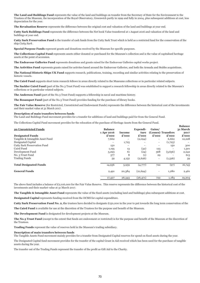**The Land and Buildings Fund** represents the value of the land and buildings on transfer from the Secretary of State for the Environment to the Trustees of the Museum, the incorporation of the Royal Observatory, Greenwich partly in 1999 and fully in 2004, plus subsequent additions at cost, less depreciation for the year.

**The Revaluation Reserve** represents the difference between the original cost and valuation of the land and buildings at year end.

**Cutty Sark Buildings Fund** represents the difference between the Net book Value transferred at 1 August 2016 and valuation of the land and buildings at year end.

**Cutty Sark Preservation Fund** is the transfer of cash funds from the Cutty Sark Trust which is held as a restricted fund for the conservation of the ship *Cutty Sark* .

**Special Purpose Funds** represent grants and donations received by the Museum for specific purposes.

**The Collections Capital Fund** represents assets either donated or purchased for the Museum's collection and is the value of capitalised heritage assets at the point of accession.

**The Endeavour Galleries Fund** represents donations and grants raised for the Endeavour Galleries capital works project.

**The Activities Fund** represents grants raised for activites based around the Endeavour Galleries, and both the Armada and Stubbs acquisitions.

**The National Historic Ships UK Fund** supports research, publications, training, recording and similar activities relating to the preservation of historic vessels.

**The Caird Fund** supports short term research fellows in areas directly related to the Museums collections or in particular related subjects.

**The Sackler Caird Fund** (part of the No.3 Trust Fund) was established to support a research fellowship in areas directly related to the Museum's collections or in particular related subjects.

**The Anderson Fund** (part of the No.3 Trust Fund) supports a fellowship in naval and maritime history.

**The Bosanquet Fund** (part of the No.3 Trust Fund) provides funding for the purchase of library books.

**The Fair Value Reserve** (for Restricted, Unrestricted and Endowment Funds) represents the difference between the historical cost of the investments and their market value at 31 March 2017.

**Balance**

#### **Description of main transfers between funds**

The Land and Buildings Fund movement provides for a transfer for additions of land and buildings paid for from the General Fund.

The Collections Capital Fund movement provides for the relocation of the purchase of Heritage Assets from the General Fund.

| 20 Unrestricted Funds            | <b>Balance</b>           |                          | Expendi-  | Gains/                   |                    | vamu<br>31 March |
|----------------------------------|--------------------------|--------------------------|-----------|--------------------------|--------------------|------------------|
|                                  | 1 Apr 2016               | <b>Income</b>            | ture      |                          | (Losses) Transfers | 2017             |
| <b>Designated Funds</b>          | £'000                    | £'000                    | £'000     | £'000                    | £'000              | £'000            |
| Tangible & Intangible Asset Fund | 7,662                    | $\overline{\phantom{a}}$ | (2,094)   | $\overline{\phantom{a}}$ | 6,660              | 12,228           |
| Designated Capital               | $\overline{\phantom{a}}$ | 1,725                    |           | $\overline{\phantom{a}}$ | (1,725)            |                  |
| Cutty Sark Preservation Fund     | 150                      | $\overline{\phantom{a}}$ |           | $\overline{\phantom{a}}$ | 150                | 300              |
| Caird Fund                       | 1,195                    | 13                       | (32)      | 125                      |                    | 1,301            |
| Development Fund                 | 5,293                    | 61                       | (24)      | 568                      | (3,656)            | 2,242            |
| No. 3 Trust Fund                 | 577                      | 8                        | (1)       | 29                       |                    | 613              |
| <b>Trading Funds</b>             | 59                       | 4,152                    | (2,626)   | $\overline{\phantom{a}}$ | (1,526)            | 59               |
| <b>Total Designated Funds</b>    | 14,936                   | 5,959                    | (4,777)   | 722                      | (97)               | 16,743           |
| <b>General Funds</b>             | 2,491                    | 20,384                   | (21,694)  | $\overline{\phantom{a}}$ | 1,280              | 2,461            |
|                                  | 17,427                   | 26,343                   | (26, 471) | 722                      | 1,183              | 19,204           |

The above fund includes a balance of £2,016,000 for the Fair Value Reserve. This reserve represents the difference between the historical cost of the investments and their market value at 31 March 2017.

**The Tangible & Intangible Asset Fund** represents the value of the fixed assets (excluding land and buildings) plus subsequent additions at cost.

**Designated Capital** represents funding received from the DCMS for capital expenditure.

**Cutty Sark Preservation Fund No. 2, t**he trustees have decided to designate £150,000 in the year to put towards the long term conservation of the

**The Caird Fund** is available for use at the discretion of the Trustees for the purpose and benefit of the Museum.

**The Development Fund** is designated for development projects at the Museum.

**The No.3 Trust Fund** (except to the extent that funds are endowment or restricted) is for the purpose and benefit of the Museum at the discretion of the Trustees.

**Trading Funds** represent the value of reserves held in the Museum's trading subsidiary.

#### **Description of main transfers between funds**

The Tangible Assets Fund movement mainly provides for a transfer from Designated Capital reserves for spend on fixed assets during the year.

The Designated Capital fund movement provides for the transfer of the capital Grant in Aid received which has been used for the purchase of tangible assets during the year.

The transfer out of the Trading Funds represent the transfer of the profit as Gift Aid to the Charity.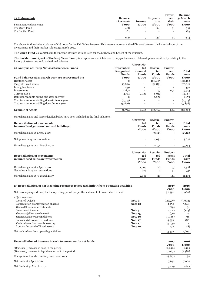| 21 Endowments         | <b>Balance</b><br>1 Apr 2016 | Income | Expendi-<br>ture         | Invest-<br>Gain          | <b>Balance</b><br>ment 31 March<br>2017 |
|-----------------------|------------------------------|--------|--------------------------|--------------------------|-----------------------------------------|
| Permanent endowments: | $\boldsymbol{\pounds}$ '000  | £'000  | £'000                    | £'000                    | $\boldsymbol{\pounds}$ '000             |
| The Caird Fund        | 488                          | b      | (14)                     | 51                       | 531                                     |
| The Sackler Fund      | 162                          |        | $\overline{\phantom{a}}$ | $\overline{\phantom{0}}$ | 163                                     |
|                       | 650                          |        | (14)                     | 51                       | 694                                     |

The above fund includes a balance of £181,000 for the Fair Value Reserve. This reserve represents the difference between the historical cost of the investments and their market value at 31 March 2017.

**The Caird Fund** is a capital sum the income of which is to be used for the purpose and benefit of the Museum.

**The Sackler Fund (part of the No.3 Trust Fund)** is a capital sum which is used to support a research fellowship in areas directly relating to the history of astronomy and navigational sciences.

| 22 Analysis of Group Net Assets between Funds      | Unrestricted<br><b>Designated</b><br><b>Funds</b> | Unrestric-<br>ted<br>General<br>Funds | Restric-<br>ted<br><b>Funds</b> | Endow-<br>ment<br><b>Funds</b> | <b>Total</b><br>2017 |
|----------------------------------------------------|---------------------------------------------------|---------------------------------------|---------------------------------|--------------------------------|----------------------|
| Fund balances at 31 March 2017 are represented by: | £'000                                             | £'000                                 | £'000                           | £'000                          | £'000                |
| Heritage Assets                                    | $\Omega$                                          | $\overline{\phantom{a}}$              | 100,485                         | $\overline{\phantom{a}}$       | 100,485              |
| Tangible Fixed assets                              | 17,890                                            | $\overline{\phantom{a}}$              | 152,831                         | $\qquad \qquad \blacksquare$   | 170,721              |
| Intangible Assets                                  | 439                                               | $\overline{\phantom{a}}$              | $\overline{\phantom{a}}$        | $\overline{\phantom{a}}$       | 439                  |
| Investments                                        | 4,672                                             | $\qquad \qquad$                       | 157                             | 694                            | 5,523                |
| Current assets                                     | 4,314                                             | 2,461                                 | 6,012                           | $\overline{\phantom{a}}$       | 12,787               |
| Debtors: Amounts falling due after one year        | $\Omega$                                          | $\overline{\phantom{a}}$              | 1,879                           | $\overline{\phantom{a}}$       | 1,879                |
| Creditors: Amounts falling due within one year     | (4,715)                                           | $\overline{\phantom{a}}$              | $\qquad \qquad$                 | $\overline{\phantom{a}}$       | (4,715)              |
| Creditors: Amounts falling due after one year      | (5,856)                                           | $\qquad \qquad$                       |                                 | $\overline{\phantom{a}}$       | (5,856)              |
| <b>Group Net Assets</b>                            | 16,744                                            | 2,461                                 | 261,364                         | 694                            | 281,263              |

Unrealised gains and losses detailed below have been included in the fund balances.

| <b>Reconciliation of movements</b><br>in unrealised gains on land and buildings:<br>Unrealised gains at 1 April 2016 | Unrestric-<br>ted<br>Funds<br>£'000 | <b>Restric-</b><br>ted<br><b>Funds</b><br>£'000<br>53,123 | Endow-<br>ment<br><b>Funds</b><br>£'000 | Total<br>2017<br>£'000<br>53,123 |
|----------------------------------------------------------------------------------------------------------------------|-------------------------------------|-----------------------------------------------------------|-----------------------------------------|----------------------------------|
| Net gain arising on revaluation                                                                                      | $\overline{\phantom{a}}$            | 4,031                                                     | $\overline{\phantom{a}}$                | 4,031                            |
| Unrealised gains at 31 March 2017                                                                                    |                                     | 57,154                                                    |                                         | 57,154                           |
| <b>Reconciliation of movements</b><br>in unrealised gains on investments:                                            | Unrestric-<br>ted<br>Funds<br>£'000 | <b>Restric-</b><br>ted<br><b>Funds</b><br>£'000           | Endow-<br>ment<br>Funds<br>£'000        | Total<br>2017<br>£'000           |
| Unrealised gains at 1 April 2016<br>Net gains arising on revaluations                                                | 1,407<br>674                        | 18<br>6                                                   | 93<br>51                                | 1,518<br>731                     |
| Unrealised gains at 31 March 2017                                                                                    | 2,081                               |                                                           |                                         |                                  |

| 23 Reconciliation of net incoming resources to net cash inflow from operating activities         |                |               | 2016<br>£'000    |
|--------------------------------------------------------------------------------------------------|----------------|---------------|------------------|
| Net income/(expenditure) for the reporting period (as per the statement of financial activities) |                | 92,596        | (1,960)          |
| Adjustments for:                                                                                 |                |               |                  |
| Donated Objects                                                                                  | Note 2         | (73, 529)     | (1,003)          |
| Depreciation & amortisation charges                                                              | Note 10        | 5,258         | 5,148            |
| (Gains)/losses on investments                                                                    |                | (779)         | 51               |
| Investment income                                                                                | Note 5         | (104)         | (124)            |
| (Increase)/Decrease in stock                                                                     | <b>Note 15</b> | (96)          | 14               |
| (Increase)/Decrease in debtors                                                                   | Note 16        | (9,486)       | 396              |
| Increase/(decrease) in creditors                                                                 | Note 17        | 4,559         | 180              |
| Cash inflows from new borrowing                                                                  | Note 17        | (5, 199)      |                  |
| Loss on Disposal of Fixed Assets                                                                 | Note 10        | 172           | (8)              |
| Net cash inflow from operating activities                                                        |                | 13,392        | 2,694            |
| Reconciliation of increase in cash to movement in net funds                                      |                | 2017<br>£'000 | 2016             |
| (Decrease)/Increase in cash in the period                                                        |                | (2,240)       | £'000            |
| (Decrease)/Increase in liquid resources in the period                                            |                | (1,973)       | 1,423<br>(1,387) |
|                                                                                                  |                |               |                  |
| Change in net funds resulting from cash flows                                                    |                | (4,213)       | 36               |
| Net funds at 1 April 2016                                                                        |                | 7,642         | 7,606            |
| Net funds at 31 March 2017                                                                       |                | 3,429         | 7,642            |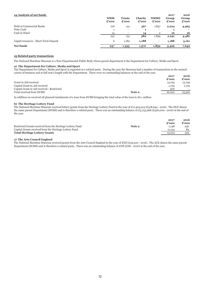| 24 Analysis of net funds              | <b>NMM</b><br>£'000 | <b>Trusts</b><br>£'000   | Charity<br>£'000 | <b>NMME</b><br>£'000     | 2017<br>Group<br>£'000 | 2016<br>Group<br>£'000 |
|---------------------------------------|---------------------|--------------------------|------------------|--------------------------|------------------------|------------------------|
| Held at Commercial Banks              | 216                 | 151                      | 367              | 1,857                    | 2,224                  | 4,465                  |
| Petty Cash                            | <b>I</b>            | $\overline{\phantom{a}}$ |                  | $\overline{\phantom{a}}$ |                        |                        |
| Cash in Hand                          | 14                  | $\overline{\phantom{a}}$ | 14               | $\overline{2}$           | 16                     | 16                     |
|                                       | 231                 | 151                      | 382              | 1,859                    | 2,241                  | 4,481                  |
| Liquid resources - Short Term Deposit | 6                   | 1,182                    | 1,188            | $\overline{\phantom{a}}$ | 1,188                  | 3,161                  |
| Net funds                             | 237                 | 1,333                    | 1,570            | 1,859                    | 3,429                  | 7,642                  |

## **25 Related party transactions**

The National Maritime Museum is a Non-Departmental Public Body whose parent department is the Department for Culture, Media and Sport.

# **a) The Department for Culture, Media and Sport**

The Department for Culture, Media and Sport is regarded as a related party. During the year the Museum had a number of transactions in the normal course of business and at full arm's length with the Department. There were no outstanding balances at the end of the year.

|                                            |        | 2017<br>£'000 | 2016<br>$\boldsymbol{\pounds}$ '000 |
|--------------------------------------------|--------|---------------|-------------------------------------|
| Grant in Aid received                      |        | 13,795        | 13,795                              |
| Capital Grant in Aid received              |        | 1,725         | 1,725                               |
| Capital Grant in Aid received - Restricted |        | 500           |                                     |
| Total received from DCMS                   | Note 2 | 16,020        | 15,520                              |
|                                            |        |               |                                     |

In addition we received all planned instalments of a loan from DCMS bringing the total value of the loan to £6.1 million.

#### **b) The Heritage Lottery Fund**

The National Maritime Museum received lottery grants from the Heritage Lottery Fund in the year of £11,405,914 (£318,644 - 2016). The HLF shares the same parent Department (DCMS) and is therefore a related party. There was an outstanding balance of £3,753,968 (£326,000 - 2016) at the end of the year.

|                                                           |        | 2017   | 2016  |
|-----------------------------------------------------------|--------|--------|-------|
|                                                           |        | £'000  | £'000 |
| Restricted Grants received from the Heritage Lottery Fund | Note 2 | 1.148  | 236   |
| Capital Grants received from the Heritage Lottery Fund    |        | 11,124 | 83    |
| <b>Total Heritage Lottery Grants</b>                      |        | 12,272 | 319   |

## **c) The Arts Council England**

The National Maritime Museum received grants from the Arts Council England in the year of £Nil (£29,500 - 2016). The ACE shares the same parent Department (DCMS) and is therefore a related party. There was an outstanding balance of £Nil (£Nil - 2016) at the end of the year.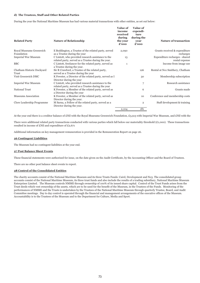### **d) The Trustees, Staff and Other Related Parties**

During the year the National Maritime Museum has had various material transactions with other entities, as set out below:

| <b>Related Party</b>               | <b>Nature of Relationship</b>                                                                             | <b>Value of</b><br>income<br>received<br>during<br>the year<br>£'000 | Value of<br>expendi-<br>ture<br>during the<br>year<br>£'000 | <b>Nature of transaction</b>                     |
|------------------------------------|-----------------------------------------------------------------------------------------------------------|----------------------------------------------------------------------|-------------------------------------------------------------|--------------------------------------------------|
| Royal Museums Greenwich            | E Boddington, a Trustee of the related party, served                                                      | 2,090                                                                |                                                             | Grants received & expenditure                    |
| Foundation                         | as a Trustee during the year                                                                              |                                                                      |                                                             | recharges                                        |
| <b>Imperial War Museum</b>         | C Lintott, who provided research assistance to the<br>related party, served as a Trustee during the year. | 13                                                                   |                                                             | Expenditure recharges - shared<br>rental expense |
| <b>BBC</b>                         | C Lintott, freelancer for the related party, served as<br>a Trustee during the year.                      | $\mathbf{1}$                                                         |                                                             | Income from image use                            |
| Chatham Historic Dockyard<br>Trust | Sir R Crawford, a Trustee of the related party,<br>served as a Trustee during the year                    |                                                                      | 126                                                         | Rental at No1 Smithery, Chatham                  |
| Visit Greenwich DMC                | K Fewster, a Director of the related party, served as I<br>Director during the year                       |                                                                      | 30                                                          | Membership subscription                          |
| <b>Imperial War Museum</b>         | C Lintott, who provided research assistance to the<br>related party, served as a Trustee during the year  |                                                                      | 7                                                           | Research assistance                              |
| <b>National Trust</b>              | K Fewster, a Member of the related party, served as<br>a Director during the year                         |                                                                      | 6                                                           | Grants made                                      |
| Museums Association                | K Fewster, a Member of the related party, served as<br>Director during the year.                          |                                                                      | 10                                                          | Conference and membership costs                  |
| Clore Leadership Programme         | M Sarna, a Fellow of the related party, served as a<br>Director during the year.                          |                                                                      | $\overline{2}$                                              | Staff development & training                     |
|                                    |                                                                                                           | 2,104                                                                | 181                                                         |                                                  |

At the year end there is a creditor balance of £Nil with the Royal Museums Greenwich Foundation, £3,913 with Imperial War Museum, and £Nil with the

There were additional related party transactions conducted with various parties which fall below our materiality threshold  $(E1,000)$ . These transactions resulted in income of £Nil and expenditure of £2,671

Additional information on key management remuneration is provided in the Remuneration Report on page 26.

#### **26 Contingent Liabilities**

The Museum had no contingent liabilities at the year end.

#### **27 Post Balance Sheet Events**

These financial statements were authorised for issue, on the date given on the Audit Certificate, by the Accounting Officer and the Board of Trustees.

There are no other post balance sheet events to report.

# **28 Control of the Consolidated Entities**

The charity accounts consist of the National Maritime Museum and its three Trusts Funds: Caird, Development and No3. The consolidated group accounts consist of the National Maritime Museum, its three trust funds and also include the results of a trading subsidiary, National Maritime Museum Enterprises Limited. The Museum controls NMME through ownership of 100% of its issued share capital. Control of the Trust Funds arises from the Trust deeds which vest ownership of the assets, which are to be used for the benefit of the Museum, in the Trustees of the Funds. Monitoring of the performances of NMME and the Trusts is undertaken by the Trustees of the National Maritime Museum through quarterly Trustee, Board, and Audit Committee meetings. Day to day control is operated through the financial and management arrangements of the executive offices of the Museum. Accountability is to the Trustees of the Museum and to the Department for Culture, Media and Sport.